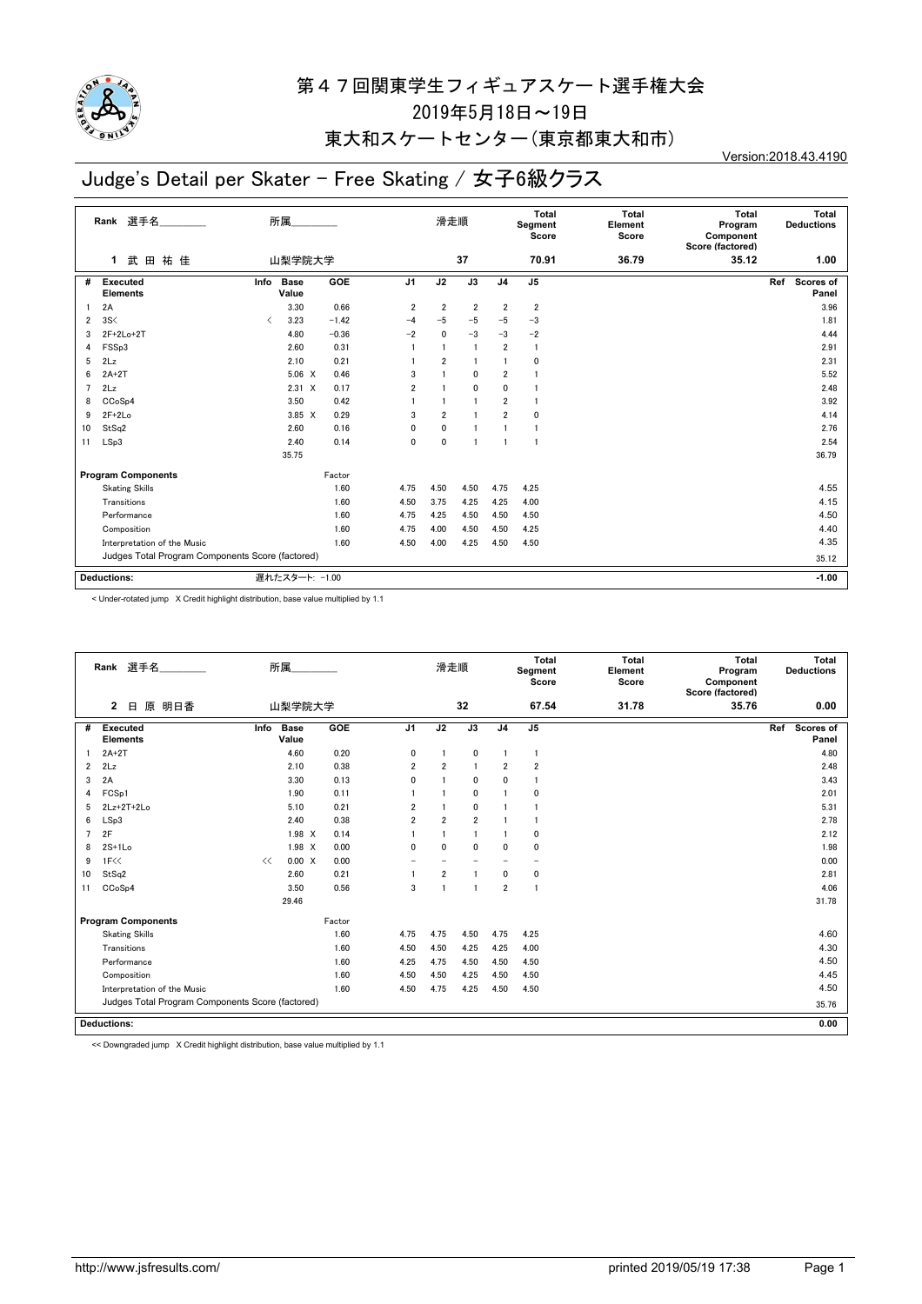

### 東大和スケートセンター(東京都東大和市)

# Judge's Detail per Skater - Free Skating / 女子6級クラス

Version:2018.43.4190

|                | 選手名<br>Rank                                      | 所属                           |             |         |                | 滑走順            |                         |                | Total<br>Segment<br>Score | Total<br>Element<br>Score | <b>Total</b><br>Program<br>Component<br>Score (factored) | Total<br><b>Deductions</b>       |
|----------------|--------------------------------------------------|------------------------------|-------------|---------|----------------|----------------|-------------------------|----------------|---------------------------|---------------------------|----------------------------------------------------------|----------------------------------|
|                | 武田祐佳<br>1                                        |                              | 山梨学院大学      |         |                |                | 37                      |                | 70.91                     | 36.79                     | 35.12                                                    | 1.00                             |
| #              | <b>Executed</b><br><b>Elements</b>               | <b>Base</b><br>Info<br>Value |             | GOE     | J <sub>1</sub> | J2             | J3                      | J <sub>4</sub> | J <sub>5</sub>            |                           |                                                          | Ref<br><b>Scores of</b><br>Panel |
| -1             | 2A                                               |                              | 3.30        | 0.66    | $\overline{2}$ | $\overline{2}$ | $\overline{\mathbf{2}}$ | $\overline{2}$ | $\overline{2}$            |                           |                                                          | 3.96                             |
| 2              | 3S<                                              | $\langle$                    | 3.23        | $-1.42$ | $-4$           | $-5$           | $-5$                    | $-5$           | $-3$                      |                           |                                                          | 1.81                             |
| 3              | 2F+2Lo+2T                                        |                              | 4.80        | $-0.36$ | $-2$           | $\mathbf{0}$   | $-3$                    | $-3$           | $-2$                      |                           |                                                          | 4.44                             |
| 4              | FSSp3                                            |                              | 2.60        | 0.31    |                |                |                         | $\overline{2}$ | $\mathbf{1}$              |                           |                                                          | 2.91                             |
| 5              | 2Lz                                              |                              | 2.10        | 0.21    |                | 2              |                         |                | $\mathbf{0}$              |                           |                                                          | 2.31                             |
| 6              | $2A+2T$                                          |                              | $5.06 \t X$ | 0.46    | 3              |                | $\mathbf{0}$            | $\overline{2}$ | $\mathbf{1}$              |                           |                                                          | 5.52                             |
| $\overline{7}$ | 2Lz                                              |                              | $2.31 \t X$ | 0.17    | $\overline{2}$ |                | 0                       | 0              | 1                         |                           |                                                          | 2.48                             |
| 8              | CC <sub>o</sub> S <sub>p4</sub>                  |                              | 3.50        | 0.42    |                |                |                         | $\overline{2}$ | $\mathbf{1}$              |                           |                                                          | 3.92                             |
| 9              | $2F+2Lo$                                         |                              | $3.85 \t X$ | 0.29    | 3              | $\overline{2}$ |                         | $\overline{2}$ | 0                         |                           |                                                          | 4.14                             |
| 10             | StSq2                                            |                              | 2.60        | 0.16    | 0              | $\mathbf 0$    |                         |                | $\mathbf{1}$              |                           |                                                          | 2.76                             |
| 11             | LSp3                                             |                              | 2.40        | 0.14    | $\mathbf{0}$   | $\mathbf{0}$   |                         |                | -1                        |                           |                                                          | 2.54                             |
|                |                                                  | 35.75                        |             |         |                |                |                         |                |                           |                           |                                                          | 36.79                            |
|                | <b>Program Components</b>                        |                              |             | Factor  |                |                |                         |                |                           |                           |                                                          |                                  |
|                | <b>Skating Skills</b>                            |                              |             | 1.60    | 4.75           | 4.50           | 4.50                    | 4.75           | 4.25                      |                           |                                                          | 4.55                             |
|                | Transitions                                      |                              |             | 1.60    | 4.50           | 3.75           | 4.25                    | 4.25           | 4.00                      |                           |                                                          | 4.15                             |
|                | Performance                                      |                              |             | 1.60    | 4.75           | 4.25           | 4.50                    | 4.50           | 4.50                      |                           |                                                          | 4.50                             |
|                | Composition                                      |                              |             | 1.60    | 4.75           | 4.00           | 4.50                    | 4.50           | 4.25                      |                           |                                                          | 4.40                             |
|                | Interpretation of the Music                      |                              |             | 1.60    | 4.50           | 4.00           | 4.25                    | 4.50           | 4.50                      |                           |                                                          | 4.35                             |
|                | Judges Total Program Components Score (factored) |                              |             |         |                |                |                         |                |                           | 35.12                     |                                                          |                                  |
|                | <b>Deductions:</b>                               | 遅れたスタート: -1.00               |             |         |                |                |                         |                |                           |                           |                                                          | $-1.00$                          |

< Under-rotated jump X Credit highlight distribution, base value multiplied by 1.1

|                | Rank 選手名                                         |      | 所属                   |        |                | 滑走順            |                |                | Total<br>Segment<br>Score | Total<br>Element<br>Score | <b>Total</b><br>Program<br>Component<br>Score (factored) | Total<br><b>Deductions</b> |
|----------------|--------------------------------------------------|------|----------------------|--------|----------------|----------------|----------------|----------------|---------------------------|---------------------------|----------------------------------------------------------|----------------------------|
|                | 原<br>明日香<br>2<br>$\Box$                          |      | 山梨学院大学               |        |                |                | 32             |                | 67.54                     | 31.78                     | 35.76                                                    | 0.00                       |
| #              | <b>Executed</b><br><b>Elements</b>               | Info | <b>Base</b><br>Value | GOE    | J <sub>1</sub> | J2             | J3             | J <sub>4</sub> | J5                        |                           |                                                          | Scores of<br>Ref<br>Panel  |
|                | $2A+2T$                                          |      | 4.60                 | 0.20   | 0              | $\overline{1}$ | $\mathbf 0$    | $\overline{1}$ | $\overline{1}$            |                           |                                                          | 4.80                       |
| $\overline{2}$ | 2Lz                                              |      | 2.10                 | 0.38   | $\overline{2}$ | $\overline{2}$ | $\overline{1}$ | $\overline{2}$ | $\overline{2}$            |                           |                                                          | 2.48                       |
| 3              | 2A                                               |      | 3.30                 | 0.13   | 0              | $\overline{1}$ | 0              | 0              | 1                         |                           |                                                          | 3.43                       |
| 4              | FCS <sub>p1</sub>                                |      | 1.90                 | 0.11   |                |                | $\mathbf 0$    |                | 0                         |                           |                                                          | 2.01                       |
| 5              | $2Lz+2T+2Lo$                                     |      | 5.10                 | 0.21   | $\overline{2}$ | $\mathbf{1}$   | $\mathbf 0$    |                |                           |                           |                                                          | 5.31                       |
| 6              | LSp3                                             |      | 2.40                 | 0.38   | $\overline{2}$ | $\overline{2}$ | $\overline{2}$ |                | 1                         |                           |                                                          | 2.78                       |
| $\overline{7}$ | 2F                                               |      | 1.98 X               | 0.14   |                | $\overline{1}$ | $\mathbf{1}$   |                | 0                         |                           |                                                          | 2.12                       |
| 8              | $2S+1Lo$                                         |      | 1.98 X               | 0.00   | 0              | $\mathbf{0}$   | 0              | 0              | $\mathbf{0}$              |                           |                                                          | 1.98                       |
| 9              | 1F<<                                             | <<   | 0.00 X               | 0.00   |                |                |                |                | -                         |                           |                                                          | 0.00                       |
| 10             | StSq2                                            |      | 2.60                 | 0.21   |                | $\overline{2}$ | $\overline{1}$ | $\mathbf{0}$   | 0                         |                           |                                                          | 2.81                       |
| 11             | CCoSp4                                           |      | 3.50                 | 0.56   | 3              | $\mathbf{1}$   | -1             | $\overline{2}$ | 1                         |                           |                                                          | 4.06                       |
|                |                                                  |      | 29.46                |        |                |                |                |                |                           |                           |                                                          | 31.78                      |
|                | <b>Program Components</b>                        |      |                      | Factor |                |                |                |                |                           |                           |                                                          |                            |
|                | <b>Skating Skills</b>                            |      |                      | 1.60   | 4.75           | 4.75           | 4.50           | 4.75           | 4.25                      |                           |                                                          | 4.60                       |
|                | Transitions                                      |      |                      | 1.60   | 4.50           | 4.50           | 4.25           | 4.25           | 4.00                      |                           |                                                          | 4.30                       |
|                | Performance                                      |      |                      | 1.60   | 4.25           | 4.75           | 4.50           | 4.50           | 4.50                      |                           |                                                          | 4.50                       |
|                | Composition                                      |      |                      | 1.60   | 4.50           | 4.50           | 4.25           | 4.50           | 4.50                      |                           |                                                          | 4.45                       |
|                | Interpretation of the Music                      |      |                      | 1.60   | 4.50           | 4.25           | 4.50           | 4.50           |                           |                           | 4.50                                                     |                            |
|                | Judges Total Program Components Score (factored) |      |                      |        |                |                |                |                |                           |                           |                                                          | 35.76                      |
|                | <b>Deductions:</b>                               |      |                      |        |                |                |                |                |                           |                           |                                                          | 0.00                       |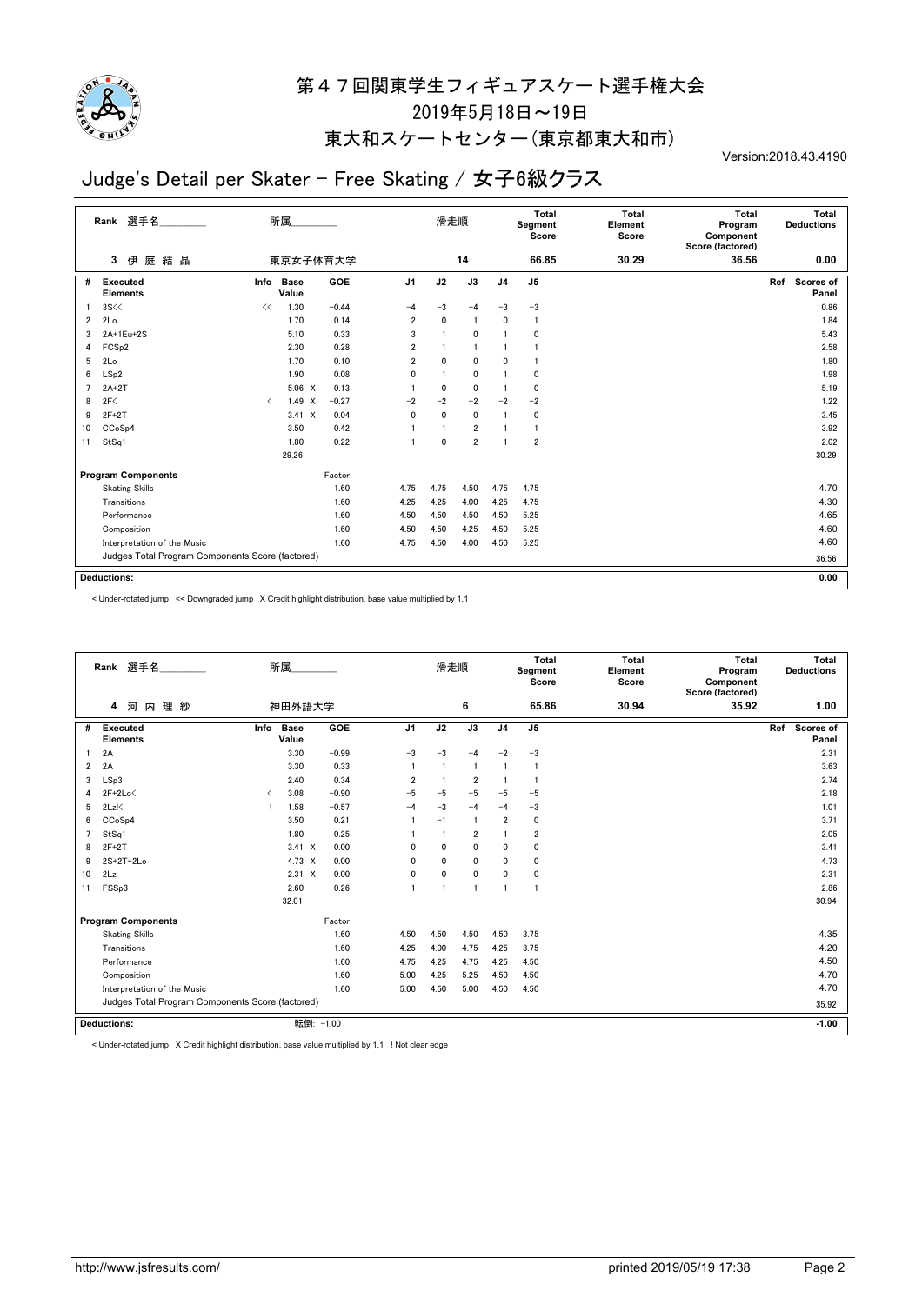

### 東大和スケートセンター(東京都東大和市)

# Judge's Detail per Skater - Free Skating / 女子6級クラス

Version:2018.43.4190

|                | 選手名<br>Rank                                      |           | 所属            |         |                | 滑走順          |                |                | Total<br>Segment<br>Score | Total<br>Element<br>Score | Total<br>Program<br>Component<br>Score (factored) | Total<br><b>Deductions</b> |
|----------------|--------------------------------------------------|-----------|---------------|---------|----------------|--------------|----------------|----------------|---------------------------|---------------------------|---------------------------------------------------|----------------------------|
|                | 庭結晶<br>伊<br>3                                    |           | 東京女子体育大学      |         |                |              | 14             |                | 66.85                     | 30.29                     | 36.56                                             | 0.00                       |
| #              | Executed<br><b>Elements</b>                      | Info      | Base<br>Value | GOE     | J <sub>1</sub> | J2           | J3             | J <sub>4</sub> | J <sub>5</sub>            |                           |                                                   | Scores of<br>Ref<br>Panel  |
|                | 3S <                                             | <<        | 1.30          | $-0.44$ | $-4$           | -3           | $-4$           | $-3$           | $-3$                      |                           |                                                   | 0.86                       |
| $\overline{2}$ | 2Lo                                              |           | 1.70          | 0.14    | $\overline{2}$ | $\mathbf{0}$ |                | 0              | $\mathbf{1}$              |                           |                                                   | 1.84                       |
| 3              | 2A+1Eu+2S                                        |           | 5.10          | 0.33    | 3              |              | $\mathbf{0}$   |                | $\mathbf{0}$              |                           |                                                   | 5.43                       |
| 4              | FCS <sub>p2</sub>                                |           | 2.30          | 0.28    | $\overline{2}$ |              |                |                | 1                         |                           |                                                   | 2.58                       |
| 5              | 2Lo                                              |           | 1.70          | 0.10    | $\overline{2}$ | $\mathbf{0}$ | 0              | 0              |                           |                           |                                                   | 1.80                       |
| 6              | LSp2                                             |           | 1.90          | 0.08    | $\mathbf 0$    |              | $\mathbf 0$    |                | 0                         |                           |                                                   | 1.98                       |
| $\overline{7}$ | $2A+2T$                                          |           | $5.06 \t X$   | 0.13    |                | $\mathbf{0}$ | 0              |                | 0                         |                           |                                                   | 5.19                       |
| 8              | 2F<                                              | $\langle$ | $1.49 \times$ | $-0.27$ | $-2$           | $-2$         | $-2$           | $-2$           | $-2$                      |                           |                                                   | 1.22                       |
| 9              | $2F+2T$                                          |           | $3.41 \times$ | 0.04    | 0              | 0            | 0              |                | 0                         |                           |                                                   | 3.45                       |
| 10             | CCoSp4                                           |           | 3.50          | 0.42    |                |              | $\overline{2}$ |                | -1                        |                           |                                                   | 3.92                       |
| 11             | StSq1                                            |           | 1.80          | 0.22    |                | $\mathbf{0}$ | $\overline{2}$ |                | $\overline{2}$            |                           |                                                   | 2.02                       |
|                |                                                  |           | 29.26         |         |                |              |                |                |                           |                           |                                                   | 30.29                      |
|                | <b>Program Components</b>                        |           |               | Factor  |                |              |                |                |                           |                           |                                                   |                            |
|                | <b>Skating Skills</b>                            |           |               | 1.60    | 4.75           | 4.75         | 4.50           | 4.75           | 4.75                      |                           |                                                   | 4.70                       |
|                | Transitions                                      |           |               | 1.60    | 4.25           | 4.25         | 4.00           | 4.25           | 4.75                      |                           |                                                   | 4.30                       |
|                | Performance                                      |           |               | 1.60    | 4.50           | 4.50         | 4.50           | 4.50           | 5.25                      |                           |                                                   | 4.65                       |
|                | Composition                                      |           |               | 1.60    | 4.50           | 4.50         | 4.25           | 4.50           | 5.25                      |                           |                                                   | 4.60                       |
|                | Interpretation of the Music                      |           |               | 1.60    | 4.75           | 4.50         | 4.00           | 4.50           | 5.25                      |                           |                                                   | 4.60                       |
|                | Judges Total Program Components Score (factored) |           |               |         |                |              |                |                |                           |                           |                                                   | 36.56                      |
|                |                                                  |           |               |         |                |              |                |                |                           |                           |                                                   |                            |
|                | <b>Deductions:</b>                               |           |               |         |                |              |                |                |                           |                           |                                                   | 0.00                       |

< Under-rotated jump << Downgraded jump X Credit highlight distribution, base value multiplied by 1.1

|    | Rank 選手名                                         |      | 所属                   |           |                | 滑走順                     |                |                | <b>Total</b><br>Segment<br>Score | <b>Total</b><br>Element<br>Score | Total<br>Program<br>Component<br>Score (factored) | Total<br><b>Deductions</b>       |  |
|----|--------------------------------------------------|------|----------------------|-----------|----------------|-------------------------|----------------|----------------|----------------------------------|----------------------------------|---------------------------------------------------|----------------------------------|--|
|    | 理 紗<br>河内<br>4                                   |      | 神田外語大学               |           |                |                         | 6              |                | 65.86                            | 30.94                            | 35.92                                             | 1.00                             |  |
| #  | <b>Executed</b><br><b>Elements</b>               | Info | <b>Base</b><br>Value | GOE       | J <sub>1</sub> | J2                      | J3             | J <sub>4</sub> | J <sub>5</sub>                   |                                  |                                                   | Ref<br><b>Scores of</b><br>Panel |  |
|    | 2A                                               |      | 3.30                 | $-0.99$   | $-3$           | $-3$                    | $-4$           | $-2$           | $-3$                             |                                  |                                                   | 2.31                             |  |
| 2  | 2A                                               |      | 3.30                 | 0.33      |                | $\overline{1}$          | $\mathbf{1}$   |                |                                  |                                  |                                                   | 3.63                             |  |
| 3  | LSp3                                             |      | 2.40                 | 0.34      | $\overline{2}$ | $\overline{\mathbf{1}}$ | $\overline{2}$ |                |                                  |                                  |                                                   | 2.74                             |  |
| 4  | $2F+2Lo<$                                        | ≺    | 3.08                 | $-0.90$   | $-5$           | $-5$                    | $-5$           | $-5$           | $-5$                             |                                  |                                                   | 2.18                             |  |
| 5  | $2Lz$ !                                          |      | 1.58                 | $-0.57$   | $-4$           | $-3$                    | $-4$           | $-4$           | $-3$                             |                                  |                                                   | 1.01                             |  |
| 6  | CCoSp4                                           |      | 3.50                 | 0.21      |                | $-1$                    | $\overline{1}$ | $\overline{2}$ | $\mathbf{0}$                     |                                  |                                                   | 3.71                             |  |
| 7  | StSq1                                            |      | 1.80                 | 0.25      |                |                         | $\overline{2}$ |                | $\overline{\mathbf{2}}$          |                                  |                                                   | 2.05                             |  |
| 8  | $2F+2T$                                          |      | $3.41 \times$        | 0.00      | 0              | $\mathbf{0}$            | 0              | $\mathbf{0}$   | 0                                |                                  |                                                   | 3.41                             |  |
| 9  | $2S+2T+2Lo$                                      |      | 4.73 X               | 0.00      | 0              | $\mathbf 0$             | 0              | $\mathbf{0}$   | 0                                |                                  |                                                   | 4.73                             |  |
| 10 | 2Lz                                              |      | $2.31 \t X$          | 0.00      | 0              | $\mathbf 0$             | $\mathbf 0$    | 0              | 0                                |                                  |                                                   | 2.31                             |  |
| 11 | FSS <sub>p3</sub>                                |      | 2.60                 | 0.26      |                | $\overline{\mathbf{1}}$ | -1             | $\mathbf{1}$   | -1                               |                                  |                                                   | 2.86                             |  |
|    |                                                  |      | 32.01                |           |                |                         |                |                |                                  |                                  |                                                   | 30.94                            |  |
|    | <b>Program Components</b>                        |      |                      | Factor    |                |                         |                |                |                                  |                                  |                                                   |                                  |  |
|    | <b>Skating Skills</b>                            |      |                      | 1.60      | 4.50           | 4.50                    | 4.50           | 4.50           | 3.75                             |                                  |                                                   | 4.35                             |  |
|    | Transitions                                      |      |                      | 1.60      | 4.25           | 4.00                    | 4.75           | 4.25           | 3.75                             |                                  |                                                   | 4.20                             |  |
|    | Performance                                      |      |                      | 1.60      | 4.75           | 4.25                    | 4.75           | 4.25           | 4.50                             |                                  |                                                   | 4.50                             |  |
|    | Composition                                      |      |                      | 1.60      | 5.00           | 4.25                    | 5.25           | 4.50           | 4.50                             |                                  |                                                   | 4.70                             |  |
|    | Interpretation of the Music                      |      |                      | 1.60      | 5.00           | 4.50                    | 5.00           | 4.50           | 4.50                             |                                  |                                                   | 4.70                             |  |
|    | Judges Total Program Components Score (factored) |      |                      |           |                |                         |                |                | 35.92                            |                                  |                                                   |                                  |  |
|    | <b>Deductions:</b>                               |      |                      | 転倒: -1.00 |                |                         |                |                |                                  |                                  |                                                   | $-1.00$                          |  |

< Under-rotated jump X Credit highlight distribution, base value multiplied by 1.1 ! Not clear edge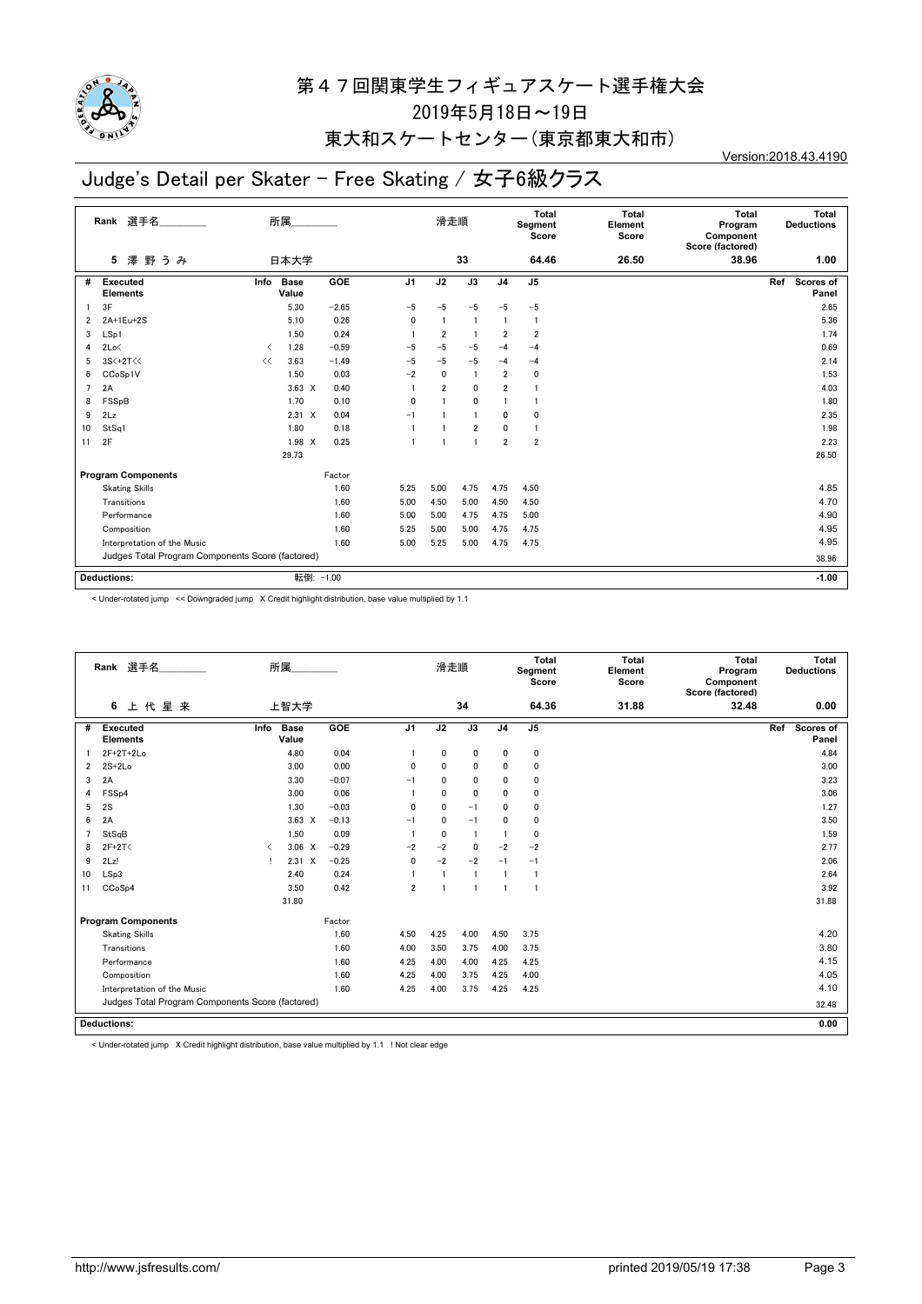

### 東大和スケートセンター(東京都東大和市)

# Judge's Detail per Skater - Free Skating / 女子6級クラス

Version:2018.43.4190

|                | 選手名<br>Rank                                      |                               | 所属                   |            |                | 滑走順            |                 |                | Total<br>Segment<br>Score | <b>Total</b><br>Element<br>Score | Total<br>Program<br>Component<br>Score (factored) | Total<br><b>Deductions</b> |
|----------------|--------------------------------------------------|-------------------------------|----------------------|------------|----------------|----------------|-----------------|----------------|---------------------------|----------------------------------|---------------------------------------------------|----------------------------|
|                | 澤<br>野うみ<br>5                                    |                               | 日本大学                 |            |                |                | 33              |                | 64.46                     | 26.50                            | 38.96                                             | 1.00                       |
| #              | <b>Executed</b><br><b>Elements</b>               | Info                          | <b>Base</b><br>Value | <b>GOE</b> | J <sub>1</sub> | J2             | $\overline{J3}$ | J <sub>4</sub> | J <sub>5</sub>            |                                  |                                                   | Ref<br>Scores of<br>Panel  |
|                | 3F                                               |                               | 5.30                 | $-2.65$    | $-5$           | $-5$           | $-5$            | $-5$           | $-5$                      |                                  |                                                   | 2.65                       |
| $\overline{2}$ | 2A+1Eu+2S                                        |                               | 5.10                 | 0.26       | 0              |                |                 |                |                           |                                  |                                                   | 5.36                       |
| 3              | LSp1                                             |                               | 1.50                 | 0.24       |                | $\overline{2}$ |                 | $\overline{2}$ | $\overline{2}$            |                                  |                                                   | 1.74                       |
| 4              | 2Lo<                                             | $\overline{\left( \right. }%$ | 1.28                 | $-0.59$    | $-5$           | $-5$           | $-5$            | $-4$           | $-4$                      |                                  |                                                   | 0.69                       |
| 5              | 3S<+2T<<                                         | <<                            | 3.63                 | $-1.49$    | $-5$           | $-5$           | $-5$            | $-4$           | $-4$                      |                                  |                                                   | 2.14                       |
| 6              | CCoSp1V                                          |                               | 1.50                 | 0.03       | $-2$           | $\mathbf{0}$   | 1               | $\overline{2}$ | $\mathbf{0}$              |                                  |                                                   | 1.53                       |
| $\overline{7}$ | 2A                                               |                               | $3.63 \times$        | 0.40       |                | $\overline{2}$ | 0               | $\overline{2}$ |                           |                                  |                                                   | 4.03                       |
| 8              | FSSpB                                            |                               | 1.70                 | 0.10       | $\mathbf{0}$   |                | 0               |                |                           |                                  |                                                   | 1.80                       |
| 9              | 2Lz                                              |                               | $2.31 \t X$          | 0.04       | $-1$           |                | 1               | $\mathbf{0}$   | $\mathbf{0}$              |                                  |                                                   | 2.35                       |
| 10             | StSq1                                            |                               | 1.80                 | 0.18       |                |                | $\overline{2}$  | $\mathbf 0$    |                           |                                  |                                                   | 1.98                       |
| 11             | 2F                                               |                               | 1.98 X               | 0.25       |                |                | 1               | $\overline{2}$ | $\overline{2}$            |                                  |                                                   | 2.23                       |
|                |                                                  |                               | 29.73                |            |                |                |                 |                |                           |                                  |                                                   | 26.50                      |
|                | <b>Program Components</b>                        |                               |                      | Factor     |                |                |                 |                |                           |                                  |                                                   |                            |
|                | <b>Skating Skills</b>                            |                               |                      | 1.60       | 5.25           | 5.00           | 4.75            | 4.75           | 4.50                      |                                  |                                                   | 4.85                       |
|                | Transitions                                      |                               |                      | 1.60       | 5.00           | 4.50           | 5.00            | 4.50           | 4.50                      |                                  |                                                   | 4.70                       |
|                | Performance                                      |                               |                      | 1.60       | 5.00           | 5.00           | 4.75            | 4.75           | 5.00                      |                                  |                                                   | 4.90                       |
|                | Composition                                      |                               |                      | 1.60       | 5.25           | 5.00           | 5.00            | 4.75           | 4.75                      |                                  |                                                   | 4.95                       |
|                | 1.60<br>Interpretation of the Music              |                               |                      |            | 5.00           | 5.25           | 5.00            | 4.75           | 4.75                      |                                  |                                                   | 4.95                       |
|                | Judges Total Program Components Score (factored) |                               |                      |            |                |                |                 |                | 38.96                     |                                  |                                                   |                            |
|                | <b>Deductions:</b>                               |                               | 転倒: -1.00            |            |                |                |                 |                |                           |                                  |                                                   | $-1.00$                    |

< Under-rotated jump << Downgraded jump X Credit highlight distribution, base value multiplied by 1.1

|    | Rank 選手名                                         |                                          | 所属                   |         |                | 滑走順          |                |                | Total<br>Segment<br>Score | <b>Total</b><br>Element<br>Score | Total<br>Program<br>Component<br>Score (factored) | Total<br><b>Deductions</b> |
|----|--------------------------------------------------|------------------------------------------|----------------------|---------|----------------|--------------|----------------|----------------|---------------------------|----------------------------------|---------------------------------------------------|----------------------------|
|    | 上代星来<br>6                                        |                                          | 上智大学                 |         |                |              | 34             |                | 64.36                     | 31.88                            | 32.48                                             | 0.00                       |
| #  | <b>Executed</b><br><b>Elements</b>               | Info                                     | <b>Base</b><br>Value | GOE     | J <sub>1</sub> | J2           | J3             | J <sub>4</sub> | J <sub>5</sub>            |                                  |                                                   | Ref<br>Scores of<br>Panel  |
|    | $2F+2T+2Lo$                                      |                                          | 4.80                 | 0.04    |                | 0            | $\mathbf 0$    | 0              | 0                         |                                  |                                                   | 4.84                       |
| 2  | $2S+2Lo$                                         |                                          | 3.00                 | 0.00    | $\mathbf{0}$   | $\mathbf{0}$ | $\mathbf{0}$   | 0              | $\mathbf{0}$              |                                  |                                                   | 3.00                       |
| 3  | 2A                                               |                                          | 3.30                 | $-0.07$ | $-1$           | $\mathbf{0}$ | $\mathbf{0}$   | 0              | 0                         |                                  |                                                   | 3.23                       |
| 4  | FSS <sub>p4</sub>                                |                                          | 3.00                 | 0.06    |                | $\mathbf{0}$ | $\mathbf 0$    | 0              | 0                         |                                  |                                                   | 3.06                       |
| 5  | 2S                                               |                                          | 1.30                 | $-0.03$ | $\mathbf{0}$   | $\mathbf 0$  | $-1$           | $\mathbf{0}$   | $\mathbf 0$               |                                  |                                                   | 1.27                       |
| 6  | 2A                                               |                                          | $3.63 \times$        | $-0.13$ | $-1$           | $\mathbf{0}$ | $-1$           | $\Omega$       | 0                         |                                  |                                                   | 3.50                       |
| 7  | StSqB                                            |                                          | 1.50                 | 0.09    |                | $\mathbf 0$  | $\mathbf{1}$   |                | 0                         |                                  |                                                   | 1.59                       |
| 8  | $2F+2T<$                                         | $\overline{\left\langle \right\rangle }$ | $3.06 \times$        | $-0.29$ | $-2$           | $-2$         | $\mathbf{0}$   | $-2$           | $-2$                      |                                  |                                                   | 2.77                       |
| 9  | 2Lz!                                             |                                          | $2.31 \times$        | $-0.25$ | 0              | $-2$         | $-2$           | $-1$           | $-1$                      |                                  |                                                   | 2.06                       |
| 10 | LSp3                                             |                                          | 2.40                 | 0.24    |                |              | $\blacksquare$ |                |                           |                                  |                                                   | 2.64                       |
| 11 | CCoSp4                                           |                                          | 3.50                 | 0.42    | $\overline{2}$ |              |                |                |                           |                                  |                                                   | 3.92                       |
|    |                                                  |                                          | 31.80                |         |                |              |                |                |                           |                                  |                                                   | 31.88                      |
|    | <b>Program Components</b>                        |                                          |                      | Factor  |                |              |                |                |                           |                                  |                                                   |                            |
|    | <b>Skating Skills</b>                            |                                          |                      | 1.60    | 4.50           | 4.25         | 4.00           | 4.50           | 3.75                      |                                  |                                                   | 4.20                       |
|    | Transitions                                      |                                          |                      | 1.60    | 4.00           | 3.50         | 3.75           | 4.00           | 3.75                      |                                  |                                                   | 3.80                       |
|    | Performance                                      |                                          |                      | 1.60    | 4.25           | 4.00         | 4.00           | 4.25           | 4.25                      |                                  |                                                   | 4.15                       |
|    | Composition                                      |                                          |                      | 1.60    | 4.25           | 4.00         | 3.75           | 4.25           | 4.00                      |                                  |                                                   | 4.05                       |
|    | Interpretation of the Music                      |                                          |                      | 1.60    | 4.25           | 4.00         | 3.75           | 4.25           | 4.25                      |                                  |                                                   | 4.10                       |
|    | Judges Total Program Components Score (factored) |                                          |                      |         |                |              |                |                |                           |                                  |                                                   | 32.48                      |
|    | <b>Deductions:</b>                               |                                          |                      |         |                |              |                |                |                           |                                  |                                                   | 0.00                       |

< Under-rotated jump X Credit highlight distribution, base value multiplied by 1.1 ! Not clear edge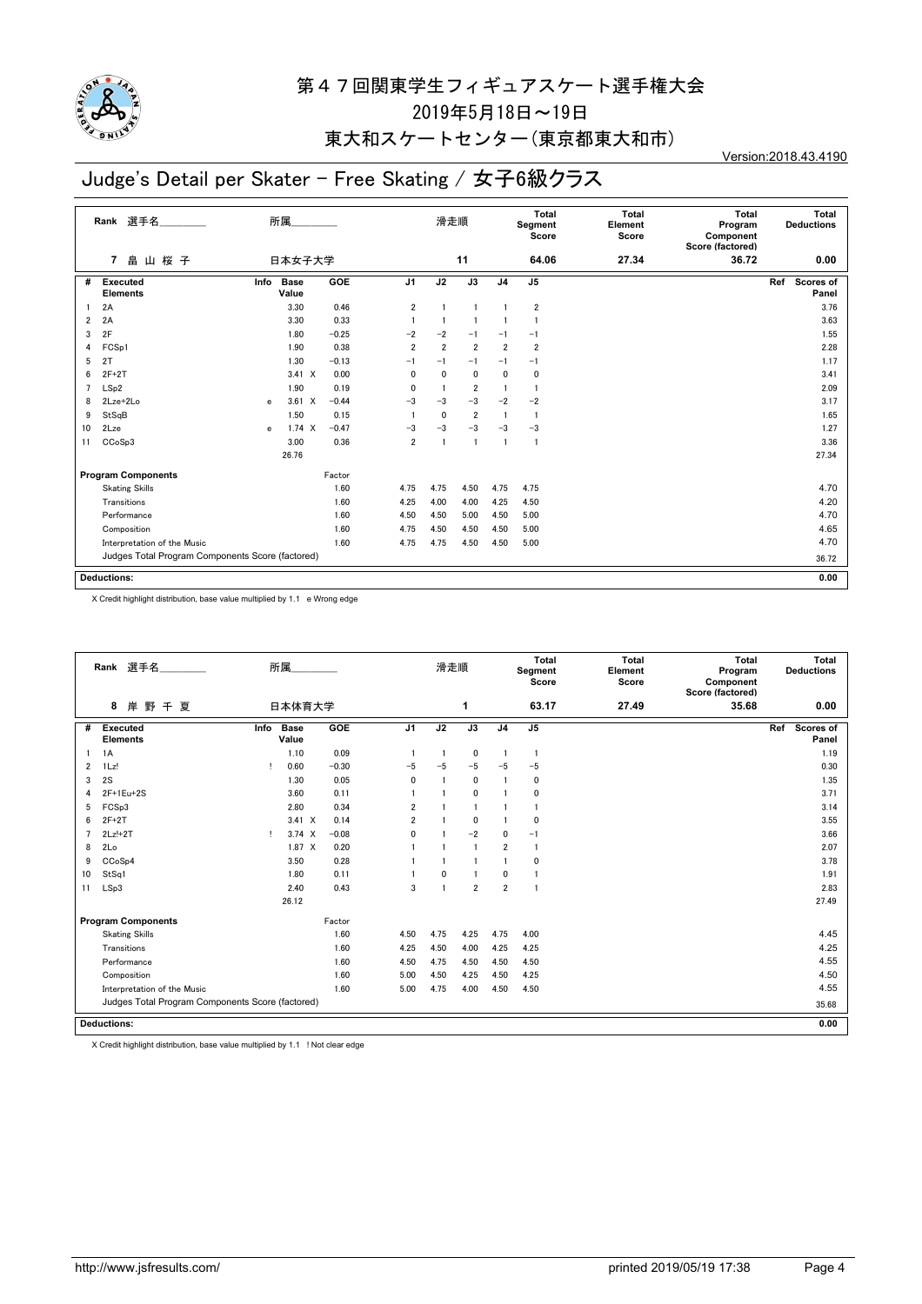

## 東大和スケートセンター(東京都東大和市)

# Judge's Detail per Skater - Free Skating / 女子6級クラス

Version:2018.43.4190

|                | 選手名<br>Rank                                      | 所属                             |            |                | 滑走順            |                 |                | <b>Total</b><br>Segment<br>Score | <b>Total</b><br>Element<br>Score | <b>Total</b><br>Program<br>Component<br>Score (factored) | <b>Total</b><br><b>Deductions</b> |
|----------------|--------------------------------------------------|--------------------------------|------------|----------------|----------------|-----------------|----------------|----------------------------------|----------------------------------|----------------------------------------------------------|-----------------------------------|
|                | 畠<br>山桜子<br>7                                    | 日本女子大学                         |            |                |                | 11              |                | 64.06                            | 27.34                            | 36.72                                                    | 0.00                              |
| #              | <b>Executed</b><br><b>Elements</b>               | <b>Base</b><br>Info<br>Value   | <b>GOE</b> | J <sub>1</sub> | J2             | $\overline{J3}$ | J <sub>4</sub> | J <sub>5</sub>                   |                                  |                                                          | Ref<br>Scores of<br>Panel         |
|                | 2A                                               | 3.30                           | 0.46       | $\overline{2}$ | $\mathbf{1}$   |                 |                | $\overline{2}$                   |                                  |                                                          | 3.76                              |
| $\overline{2}$ | 2A                                               | 3.30                           | 0.33       |                | $\mathbf{1}$   |                 |                | $\overline{1}$                   |                                  |                                                          | 3.63                              |
| 3              | 2F                                               | 1.80                           | $-0.25$    | $-2$           | $-2$           | $-1$            | $-1$           | $-1$                             |                                  |                                                          | 1.55                              |
| 4              | FCSp1                                            | 1.90                           | 0.38       | $\overline{2}$ | $\overline{2}$ | $\overline{2}$  | $\overline{2}$ | $\overline{2}$                   |                                  |                                                          | 2.28                              |
| 5              | 2T                                               | 1.30                           | $-0.13$    | $-1$           | $-1$           | $-1$            | $-1$           | $-1$                             |                                  |                                                          | 1.17                              |
| 6              | $2F+2T$                                          | $3.41 \times$                  | 0.00       | 0              | $\mathbf{0}$   | $\mathbf 0$     | $\mathbf{0}$   | $\mathbf 0$                      |                                  |                                                          | 3.41                              |
| 7              | LSp2                                             | 1.90                           | 0.19       | 0              | 1              | 2               | $\overline{1}$ | $\mathbf{1}$                     |                                  |                                                          | 2.09                              |
| 8              | 2Lze+2Lo                                         | $3.61 \quad X$<br>$\mathbf{e}$ | $-0.44$    | $-3$           | $-3$           | $-3$            | $-2$           | $-2$                             |                                  |                                                          | 3.17                              |
| 9              | StSqB                                            | 1.50                           | 0.15       |                | 0              | $\overline{2}$  | $\overline{1}$ | $\overline{1}$                   |                                  |                                                          | 1.65                              |
| 10             | 2Lze                                             | 1.74 X<br>$\mathbf{e}$         | $-0.47$    | $-3$           | $-3$           | $-3$            | $-3$           | $-3$                             |                                  |                                                          | 1.27                              |
| 11             | CCoSp3                                           | 3.00                           | 0.36       | $\overline{2}$ | $\overline{1}$ |                 | $\overline{1}$ | $\overline{1}$                   |                                  |                                                          | 3.36                              |
|                |                                                  | 26.76                          |            |                |                |                 |                |                                  |                                  |                                                          | 27.34                             |
|                | <b>Program Components</b>                        |                                | Factor     |                |                |                 |                |                                  |                                  |                                                          |                                   |
|                | <b>Skating Skills</b>                            |                                | 1.60       | 4.75           | 4.75           | 4.50            | 4.75           | 4.75                             |                                  |                                                          | 4.70                              |
|                | Transitions                                      |                                | 1.60       | 4.25           | 4.00           | 4.00            | 4.25           | 4.50                             |                                  |                                                          | 4.20                              |
|                | Performance                                      |                                | 1.60       | 4.50           | 4.50           | 5.00            | 4.50           | 5.00                             |                                  |                                                          | 4.70                              |
|                | Composition                                      |                                | 1.60       | 4.75           | 4.50           | 4.50            | 4.50           | 5.00                             |                                  |                                                          | 4.65                              |
|                | Interpretation of the Music                      |                                | 1.60       | 4.75           | 4.75           | 4.50            | 4.50           | 5.00                             |                                  |                                                          | 4.70                              |
|                | Judges Total Program Components Score (factored) |                                |            |                |                |                 |                |                                  |                                  |                                                          | 36.72                             |
|                | <b>Deductions:</b>                               |                                |            |                |                |                 |                |                                  |                                  |                                                          | 0.00                              |
|                |                                                  |                                |            |                |                |                 |                |                                  |                                  |                                                          |                                   |

X Credit highlight distribution, base value multiplied by 1.1 e Wrong edge

|                | Rank 選手名                                         |      | 所属                   |         |                | 滑走順  |                |                | Total<br>Segment<br>Score | Total<br>Element<br>Score | Total<br>Program<br>Component<br>Score (factored) |     | Total<br><b>Deductions</b> |
|----------------|--------------------------------------------------|------|----------------------|---------|----------------|------|----------------|----------------|---------------------------|---------------------------|---------------------------------------------------|-----|----------------------------|
|                | 8<br>岸野千夏                                        |      | 日本体育大学               |         |                |      | 1              |                | 63.17                     | 27.49                     | 35.68                                             |     | 0.00                       |
| #              | <b>Executed</b><br><b>Elements</b>               | Info | <b>Base</b><br>Value | GOE     | J <sub>1</sub> | J2   | J3             | J <sub>4</sub> | J5                        |                           |                                                   | Ref | <b>Scores of</b><br>Panel  |
|                | 1A                                               |      | 1.10                 | 0.09    |                |      | 0              | -1             | $\mathbf{1}$              |                           |                                                   |     | 1.19                       |
| 2              | $1$ Lz!                                          | т    | 0.60                 | $-0.30$ | $-5$           | $-5$ | $-5$           | $-5$           | $-5$                      |                           |                                                   |     | 0.30                       |
| 3              | 2S                                               |      | 1.30                 | 0.05    | $\mathbf{0}$   |      | 0              |                | $\mathbf 0$               |                           |                                                   |     | 1.35                       |
| 4              | $2F+1Eu+2S$                                      |      | 3.60                 | 0.11    |                |      | $\mathbf{0}$   |                | $\mathbf 0$               |                           |                                                   |     | 3.71                       |
| 5              | FCSp3                                            |      | 2.80                 | 0.34    | $\overline{2}$ |      | $\blacksquare$ |                | $\mathbf{1}$              |                           |                                                   |     | 3.14                       |
| 6              | $2F+2T$                                          |      | $3.41 \times$        | 0.14    | $\overline{2}$ |      | $\mathbf{0}$   |                | $\Omega$                  |                           |                                                   |     | 3.55                       |
| $\overline{7}$ | $2Lz!+2T$                                        | Ţ.   | $3.74 \times$        | $-0.08$ | $\mathbf{0}$   |      | $-2$           | 0              | $-1$                      |                           |                                                   |     | 3.66                       |
| 8              | 2Lo                                              |      | $1.87 \times$        | 0.20    |                |      | $\blacksquare$ | $\overline{2}$ | $\overline{1}$            |                           |                                                   |     | 2.07                       |
| 9              | CCoSp4                                           |      | 3.50                 | 0.28    |                |      |                |                | $\mathbf 0$               |                           |                                                   |     | 3.78                       |
| 10             | StSq1                                            |      | 1.80                 | 0.11    |                | 0    | 1              | 0              |                           |                           |                                                   |     | 1.91                       |
| 11             | LSp3                                             |      | 2.40                 | 0.43    | 3              |      | $\overline{2}$ | $\overline{2}$ | $\mathbf{1}$              |                           |                                                   |     | 2.83                       |
|                |                                                  |      | 26.12                |         |                |      |                |                |                           |                           |                                                   |     | 27.49                      |
|                | <b>Program Components</b>                        |      |                      | Factor  |                |      |                |                |                           |                           |                                                   |     |                            |
|                | <b>Skating Skills</b>                            |      |                      | 1.60    | 4.50           | 4.75 | 4.25           | 4.75           | 4.00                      |                           |                                                   |     | 4.45                       |
|                | Transitions                                      |      |                      | 1.60    | 4.25           | 4.50 | 4.00           | 4.25           | 4.25                      |                           |                                                   |     | 4.25                       |
|                | Performance                                      |      |                      | 1.60    | 4.50           | 4.75 | 4.50           | 4.50           | 4.50                      |                           |                                                   |     | 4.55                       |
|                | Composition                                      |      |                      | 1.60    | 5.00           | 4.50 | 4.25           | 4.50           | 4.25                      |                           |                                                   |     | 4.50                       |
|                | Interpretation of the Music                      |      |                      | 1.60    | 5.00           | 4.75 | 4.00           | 4.50           | 4.50                      |                           |                                                   |     | 4.55                       |
|                | Judges Total Program Components Score (factored) |      |                      |         |                |      |                |                |                           |                           |                                                   |     | 35.68                      |
|                | <b>Deductions:</b>                               |      |                      |         |                |      |                |                |                           |                           |                                                   |     | 0.00                       |

X Credit highlight distribution, base value multiplied by 1.1 ! Not clear edge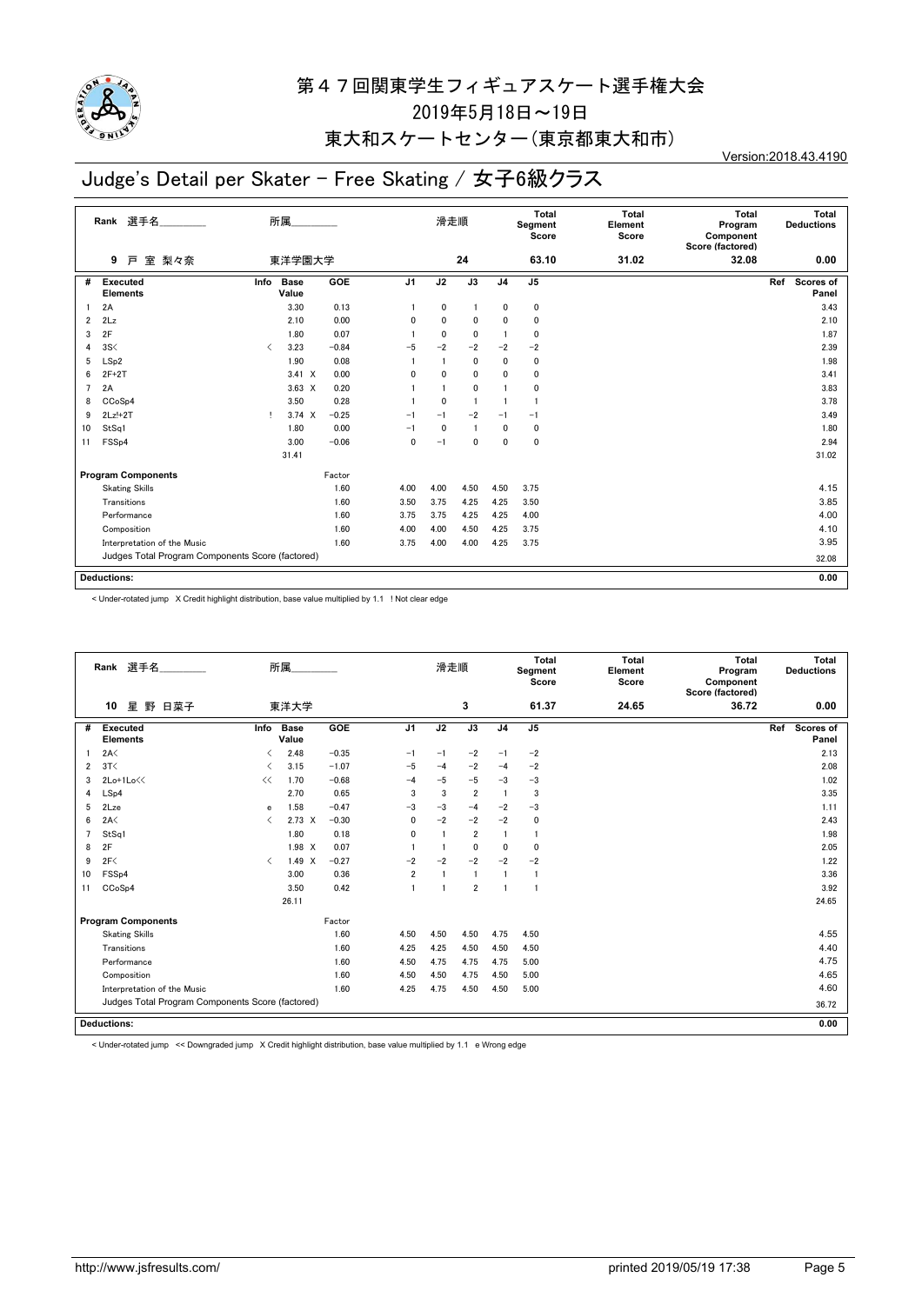

## 東大和スケートセンター(東京都東大和市)

# Judge's Detail per Skater - Free Skating / 女子6級クラス

Version:2018.43.4190

|    | 選手名<br>Rank                                      |                               | 所属.                  |         |                | 滑走順          |              |                | Total<br>Segment<br>Score | Total<br>Element<br>Score | <b>Total</b><br>Program<br>Component<br>Score (factored) | Total<br><b>Deductions</b> |
|----|--------------------------------------------------|-------------------------------|----------------------|---------|----------------|--------------|--------------|----------------|---------------------------|---------------------------|----------------------------------------------------------|----------------------------|
|    | 室 梨々奈<br>9<br>戸                                  |                               | 東洋学園大学               |         |                |              | 24           |                | 63.10                     | 31.02                     | 32.08                                                    | 0.00                       |
| #  | <b>Executed</b><br><b>Elements</b>               | Info                          | <b>Base</b><br>Value | GOE     | J <sub>1</sub> | J2           | J3           | J <sub>4</sub> | J <sub>5</sub>            |                           |                                                          | Scores of<br>Ref<br>Panel  |
| 1  | 2A                                               |                               | 3.30                 | 0.13    |                | 0            |              | 0              | 0                         |                           |                                                          | 3.43                       |
| 2  | 2Lz                                              |                               | 2.10                 | 0.00    | 0              | 0            | 0            | 0              | 0                         |                           |                                                          | 2.10                       |
| 3  | 2F                                               |                               | 1.80                 | 0.07    |                | $\mathbf{0}$ | 0            |                | $\mathbf{0}$              |                           |                                                          | 1.87                       |
| 4  | 3S<                                              | $\overline{\left( \right. }%$ | 3.23                 | $-0.84$ | $-5$           | $-2$         | $-2$         | $-2$           | $-2$                      |                           |                                                          | 2.39                       |
| 5  | LSp2                                             |                               | 1.90                 | 0.08    |                |              | $\mathbf{0}$ | 0              | 0                         |                           |                                                          | 1.98                       |
| 6  | $2F+2T$                                          |                               | $3.41 \times$        | 0.00    | 0              | 0            | 0            | 0              | 0                         |                           |                                                          | 3.41                       |
| 7  | 2A                                               |                               | $3.63 \times$        | 0.20    |                |              | 0            |                | 0                         |                           |                                                          | 3.83                       |
| 8  | CC <sub>o</sub> S <sub>p4</sub>                  |                               | 3.50                 | 0.28    |                | 0            | $\mathbf{1}$ |                | -1                        |                           |                                                          | 3.78                       |
| 9  | $2Lz!+2T$                                        | л.                            | $3.74 \times$        | $-0.25$ | $-1$           | $-1$         | $-2$         | $-1$           | $-1$                      |                           |                                                          | 3.49                       |
| 10 | StSq1                                            |                               | 1.80                 | 0.00    | $-1$           | 0            |              | 0              | 0                         |                           |                                                          | 1.80                       |
| 11 | FSSp4                                            |                               | 3.00                 | $-0.06$ | 0              | $-1$         | 0            | 0              | $\mathbf{0}$              |                           |                                                          | 2.94                       |
|    |                                                  |                               | 31.41                |         |                |              |              |                |                           |                           |                                                          | 31.02                      |
|    | <b>Program Components</b>                        |                               |                      | Factor  |                |              |              |                |                           |                           |                                                          |                            |
|    | <b>Skating Skills</b>                            |                               |                      | 1.60    | 4.00           | 4.00         | 4.50         | 4.50           | 3.75                      |                           |                                                          | 4.15                       |
|    | Transitions                                      |                               |                      | 1.60    | 3.50           | 3.75         | 4.25         | 4.25           | 3.50                      |                           |                                                          | 3.85                       |
|    | Performance                                      |                               |                      | 1.60    | 3.75           | 3.75         | 4.25         | 4.25           | 4.00                      |                           |                                                          | 4.00                       |
|    | Composition                                      |                               |                      | 1.60    | 4.00           | 4.00         | 4.50         | 4.25           | 3.75                      |                           |                                                          | 4.10                       |
|    | Interpretation of the Music                      |                               |                      | 1.60    | 3.75           | 4.00         | 4.00         | 4.25           | 3.75                      |                           |                                                          | 3.95                       |
|    | Judges Total Program Components Score (factored) |                               |                      |         |                |              |              |                |                           |                           |                                                          | 32.08                      |
|    |                                                  |                               |                      |         |                |              |              |                |                           |                           |                                                          |                            |
|    | <b>Deductions:</b>                               |                               |                      |         |                |              |              |                |                           |                           |                                                          | 0.00                       |

< Under-rotated jump X Credit highlight distribution, base value multiplied by 1.1 ! Not clear edge

|    | Rank 選手名                                         |                                          | 所属                   |         |                | 滑走順          |                |                | <b>Total</b><br>Segment<br>Score | <b>Total</b><br>Element<br>Score | Total<br>Program<br>Component<br>Score (factored) |     | Total<br><b>Deductions</b> |
|----|--------------------------------------------------|------------------------------------------|----------------------|---------|----------------|--------------|----------------|----------------|----------------------------------|----------------------------------|---------------------------------------------------|-----|----------------------------|
|    | 星<br>野<br>10<br>日菜子                              |                                          | 東洋大学                 |         |                |              | 3              |                | 61.37                            | 24.65                            | 36.72                                             |     | 0.00                       |
| #  | <b>Executed</b><br><b>Elements</b>               | Info                                     | <b>Base</b><br>Value | GOE     | J <sub>1</sub> | J2           | J3             | J <sub>4</sub> | J <sub>5</sub>                   |                                  |                                                   | Ref | Scores of<br>Panel         |
|    | 2A<                                              | ≺                                        | 2.48                 | $-0.35$ | $-1$           | $-1$         | $-2$           | $-1$           | $-2$                             |                                  |                                                   |     | 2.13                       |
| 2  | 3T<                                              |                                          | 3.15                 | $-1.07$ | $-5$           | $-4$         | $-2$           | $-4$           | $-2$                             |                                  |                                                   |     | 2.08                       |
| 3  | 2Lo+1Lo<<                                        | <<                                       | 1.70                 | $-0.68$ | $-4$           | $-5$         | $-5$           | $-3$           | $-3$                             |                                  |                                                   |     | 1.02                       |
| 4  | LSp4                                             |                                          | 2.70                 | 0.65    | 3              | 3            | $\overline{2}$ | $\mathbf{1}$   | 3                                |                                  |                                                   |     | 3.35                       |
| 5  | 2Lze                                             | e                                        | 1.58                 | $-0.47$ | $-3$           | $-3$         | $-4$           | $-2$           | $-3$                             |                                  |                                                   |     | 1.11                       |
| 6  | 2A<                                              | $\overline{\left( \right. }%$            | $2.73 \times$        | $-0.30$ | $\mathbf{0}$   | $-2$         | $-2$           | $-2$           | $\mathbf 0$                      |                                  |                                                   |     | 2.43                       |
|    | StSq1                                            |                                          | 1.80                 | 0.18    | $\mathbf{0}$   |              | $\overline{2}$ |                | $\mathbf{1}$                     |                                  |                                                   |     | 1.98                       |
| 8  | 2F                                               |                                          | $1.98 \times$        | 0.07    |                |              | 0              | $\mathbf{0}$   | $\mathbf 0$                      |                                  |                                                   |     | 2.05                       |
| 9  | 2F<                                              | $\overline{\left\langle \right\rangle }$ | 1.49 X               | $-0.27$ | $-2$           | $-2$         | $-2$           | $-2$           | $-2$                             |                                  |                                                   |     | 1.22                       |
| 10 | FSS <sub>p4</sub>                                |                                          | 3.00                 | 0.36    | $\overline{2}$ | $\mathbf{1}$ | $\overline{1}$ | $\mathbf{1}$   | $\overline{1}$                   |                                  |                                                   |     | 3.36                       |
| 11 | CC <sub>o</sub> S <sub>p4</sub>                  |                                          | 3.50                 | 0.42    | $\overline{1}$ | -1           | $\overline{2}$ | $\mathbf{1}$   | $\mathbf{1}$                     |                                  |                                                   |     | 3.92                       |
|    |                                                  |                                          | 26.11                |         |                |              |                |                |                                  |                                  |                                                   |     | 24.65                      |
|    | <b>Program Components</b>                        |                                          |                      | Factor  |                |              |                |                |                                  |                                  |                                                   |     |                            |
|    | <b>Skating Skills</b>                            |                                          |                      | 1.60    | 4.50           | 4.50         | 4.50           | 4.75           | 4.50                             |                                  |                                                   |     | 4.55                       |
|    | Transitions                                      |                                          |                      | 1.60    | 4.25           | 4.25         | 4.50           | 4.50           | 4.50                             |                                  |                                                   |     | 4.40                       |
|    | Performance                                      |                                          |                      | 1.60    | 4.50           | 4.75         | 4.75           | 4.75           | 5.00                             |                                  |                                                   |     | 4.75                       |
|    | Composition                                      |                                          |                      | 1.60    | 4.50           | 4.50         | 4.75           | 4.50           | 5.00                             |                                  |                                                   |     | 4.65                       |
|    | Interpretation of the Music                      |                                          |                      | 1.60    | 4.25           | 4.75         | 4.50           | 4.50           | 5.00                             |                                  |                                                   |     | 4.60                       |
|    | Judges Total Program Components Score (factored) |                                          |                      |         |                |              |                |                |                                  |                                  |                                                   |     | 36.72                      |
|    | Deductions:                                      |                                          |                      |         |                |              |                |                |                                  |                                  |                                                   |     | 0.00                       |

< Under-rotated jump << Downgraded jump X Credit highlight distribution, base value multiplied by 1.1 e Wrong edge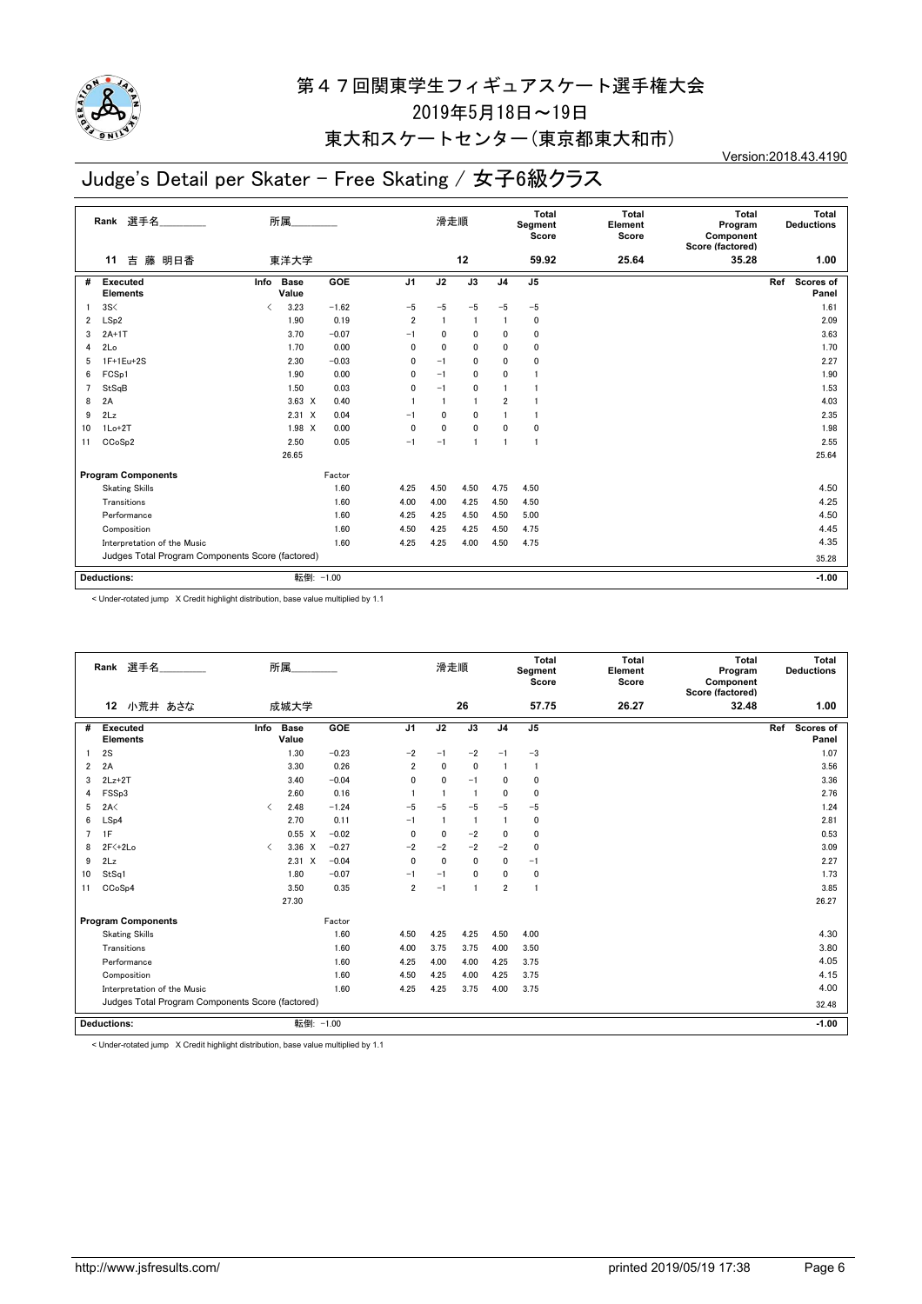

## 東大和スケートセンター(東京都東大和市)

# Judge's Detail per Skater - Free Skating / 女子6級クラス

Version:2018.43.4190

|    | 選手名<br>Rank                                      | 所属                                               |         |                | 滑走順      |                 |                | Total<br>Segment<br>Score | <b>Total</b><br>Element<br>Score | Total<br>Program<br>Component<br>Score (factored) | Total<br><b>Deductions</b> |
|----|--------------------------------------------------|--------------------------------------------------|---------|----------------|----------|-----------------|----------------|---------------------------|----------------------------------|---------------------------------------------------|----------------------------|
|    | 吉<br>藤 明日香<br>11                                 | 東洋大学                                             |         |                |          | 12              |                | 59.92                     | 25.64                            | 35.28                                             | 1.00                       |
| #  | <b>Executed</b><br><b>Elements</b>               | <b>Base</b><br>Info<br>Value                     | GOE     | J <sub>1</sub> | J2       | $\overline{J3}$ | J <sub>4</sub> | J <sub>5</sub>            |                                  |                                                   | Ref<br>Scores of<br>Panel  |
|    | 3S<                                              | 3.23<br>$\overline{\left\langle \right\rangle }$ | $-1.62$ | $-5$           | $-5$     | $-5$            | $-5$           | $-5$                      |                                  |                                                   | 1.61                       |
| 2  | LSp2                                             | 1.90                                             | 0.19    | $\overline{2}$ |          |                 |                | 0                         |                                  |                                                   | 2.09                       |
| 3  | $2A+1T$                                          | 3.70                                             | $-0.07$ | $-1$           | 0        | $\mathbf 0$     | 0              | $\mathbf{0}$              |                                  |                                                   | 3.63                       |
| 4  | 2Lo                                              | 1.70                                             | 0.00    | $\Omega$       | $\Omega$ | $\mathbf{0}$    | 0              | $\mathbf{0}$              |                                  |                                                   | 1.70                       |
| 5  | 1F+1Eu+2S                                        | 2.30                                             | $-0.03$ | 0              | $-1$     | $\mathbf{0}$    | 0              | $\mathbf{0}$              |                                  |                                                   | 2.27                       |
| 6  | FCSp1                                            | 1.90                                             | 0.00    | 0              | $-1$     | $\mathbf{0}$    | 0              |                           |                                  |                                                   | 1.90                       |
| 7  | StSqB                                            | 1.50                                             | 0.03    | 0              | $-1$     | 0               | 1              |                           |                                  |                                                   | 1.53                       |
| 8  | 2A                                               | $3.63 \times$                                    | 0.40    |                |          |                 | $\overline{2}$ |                           |                                  |                                                   | 4.03                       |
| 9  | 2Lz                                              | $2.31 \t X$                                      | 0.04    | $-1$           | 0        | $\mathbf{0}$    |                |                           |                                  |                                                   | 2.35                       |
| 10 | $1Lo+2T$                                         | 1.98 X                                           | 0.00    | $\mathbf 0$    | $\Omega$ | 0               | 0              | 0                         |                                  |                                                   | 1.98                       |
| 11 | CCoSp2                                           | 2.50                                             | 0.05    | $-1$           | $-1$     |                 | $\overline{1}$ | 1                         |                                  |                                                   | 2.55                       |
|    |                                                  | 26.65                                            |         |                |          |                 |                |                           |                                  |                                                   | 25.64                      |
|    | <b>Program Components</b>                        |                                                  | Factor  |                |          |                 |                |                           |                                  |                                                   |                            |
|    | <b>Skating Skills</b>                            |                                                  | 1.60    | 4.25           | 4.50     | 4.50            | 4.75           | 4.50                      |                                  |                                                   | 4.50                       |
|    | Transitions                                      |                                                  | 1.60    | 4.00           | 4.00     | 4.25            | 4.50           | 4.50                      |                                  |                                                   | 4.25                       |
|    | Performance                                      |                                                  | 1.60    | 4.25           | 4.25     | 4.50            | 4.50           | 5.00                      |                                  |                                                   | 4.50                       |
|    | Composition                                      |                                                  | 1.60    | 4.50           | 4.25     | 4.25            | 4.50           | 4.75                      |                                  |                                                   | 4.45                       |
|    | Interpretation of the Music                      | 1.60                                             | 4.25    | 4.25           | 4.00     | 4.50            | 4.75           |                           |                                  | 4.35                                              |                            |
|    | Judges Total Program Components Score (factored) |                                                  |         |                |          |                 |                |                           | 35.28                            |                                                   |                            |
|    | <b>Deductions:</b>                               | 転倒: -1.00                                        |         |                |          |                 |                |                           |                                  |                                                   | $-1.00$                    |

< Under-rotated jump X Credit highlight distribution, base value multiplied by 1.1

|                | Rank 選手名                                         |                               | 所属                   |         |                | 滑走順                     |                |                | Total<br>Segment<br>Score | Total<br>Element<br>Score | Total<br>Program<br>Component<br>Score (factored) | Total<br><b>Deductions</b>       |
|----------------|--------------------------------------------------|-------------------------------|----------------------|---------|----------------|-------------------------|----------------|----------------|---------------------------|---------------------------|---------------------------------------------------|----------------------------------|
|                | 小荒井 あさな<br>12                                    |                               | 成城大学                 |         |                |                         | 26             |                | 57.75                     | 26.27                     | 32.48                                             | 1.00                             |
| #              | Executed<br><b>Elements</b>                      | Info                          | <b>Base</b><br>Value | GOE     | J <sub>1</sub> | J2                      | J3             | J <sub>4</sub> | J <sub>5</sub>            |                           |                                                   | Ref<br><b>Scores of</b><br>Panel |
|                | 2S                                               |                               | 1.30                 | $-0.23$ | $-2$           | $-1$                    | $-2$           | $-1$           | $-3$                      |                           |                                                   | 1.07                             |
| $\overline{2}$ | 2A                                               |                               | 3.30                 | 0.26    | $\overline{2}$ | $\mathbf{0}$            | $\mathbf{0}$   | $\mathbf{1}$   | $\mathbf{1}$              |                           |                                                   | 3.56                             |
| 3              | $2Lz+2T$                                         |                               | 3.40                 | $-0.04$ | 0              | $\mathbf{0}$            | $-1$           | $\Omega$       | 0                         |                           |                                                   | 3.36                             |
| 4              | FSSp3                                            |                               | 2.60                 | 0.16    |                | $\overline{\mathbf{1}}$ | $\overline{1}$ | $\Omega$       | 0                         |                           |                                                   | 2.76                             |
| 5              | 2A<                                              | $\overline{\left( \right. }%$ | 2.48                 | $-1.24$ | $-5$           | $-5$                    | $-5$           | $-5$           | $-5$                      |                           |                                                   | 1.24                             |
| 6              | LSp4                                             |                               | 2.70                 | 0.11    | $-1$           | $\overline{\mathbf{1}}$ | $\overline{1}$ |                | 0                         |                           |                                                   | 2.81                             |
| $\overline{7}$ | 1F                                               |                               | 0.55<br>$\times$     | $-0.02$ | 0              | 0                       | $-2$           | $\mathbf 0$    | 0                         |                           |                                                   | 0.53                             |
| 8              | 2F <sub>2</sub>                                  | $\overline{\left( \right. }%$ | $3.36 \times$        | $-0.27$ | $-2$           | $-2$                    | $-2$           | $-2$           | 0                         |                           |                                                   | 3.09                             |
| 9              | 2Lz                                              |                               | $2.31 \t X$          | $-0.04$ | $\mathbf{0}$   | $\mathbf{0}$            | $\mathbf{0}$   | $\mathbf{0}$   | $-1$                      |                           |                                                   | 2.27                             |
| 10             | StSq1                                            |                               | 1.80                 | $-0.07$ | $-1$           | $-1$                    | 0              | $\mathbf{0}$   | 0                         |                           |                                                   | 1.73                             |
| 11             | CCoSp4                                           |                               | 3.50                 | 0.35    | $\overline{2}$ | $-1$                    | -1             | $\overline{2}$ | -1                        |                           |                                                   | 3.85                             |
|                |                                                  |                               | 27.30                |         |                |                         |                |                |                           |                           |                                                   | 26.27                            |
|                | <b>Program Components</b>                        |                               |                      | Factor  |                |                         |                |                |                           |                           |                                                   |                                  |
|                | <b>Skating Skills</b>                            |                               |                      | 1.60    | 4.50           | 4.25                    | 4.25           | 4.50           | 4.00                      |                           |                                                   | 4.30                             |
|                | Transitions                                      |                               |                      | 1.60    | 4.00           | 3.75                    | 3.75           | 4.00           | 3.50                      |                           |                                                   | 3.80                             |
|                | Performance                                      |                               |                      | 1.60    | 4.25           | 4.00                    | 4.00           | 4.25           | 3.75                      |                           |                                                   | 4.05                             |
|                | Composition                                      |                               |                      | 1.60    | 4.50           | 4.25                    | 4.00           | 4.25           | 3.75                      |                           |                                                   | 4.15                             |
|                | Interpretation of the Music                      |                               |                      | 1.60    | 4.25           | 4.25                    | 3.75           | 4.00           | 3.75                      |                           |                                                   | 4.00                             |
|                | Judges Total Program Components Score (factored) |                               |                      |         |                |                         |                |                | 32.48                     |                           |                                                   |                                  |
|                | <b>Deductions:</b>                               |                               | 転倒: -1.00            |         |                |                         |                |                |                           |                           |                                                   | $-1.00$                          |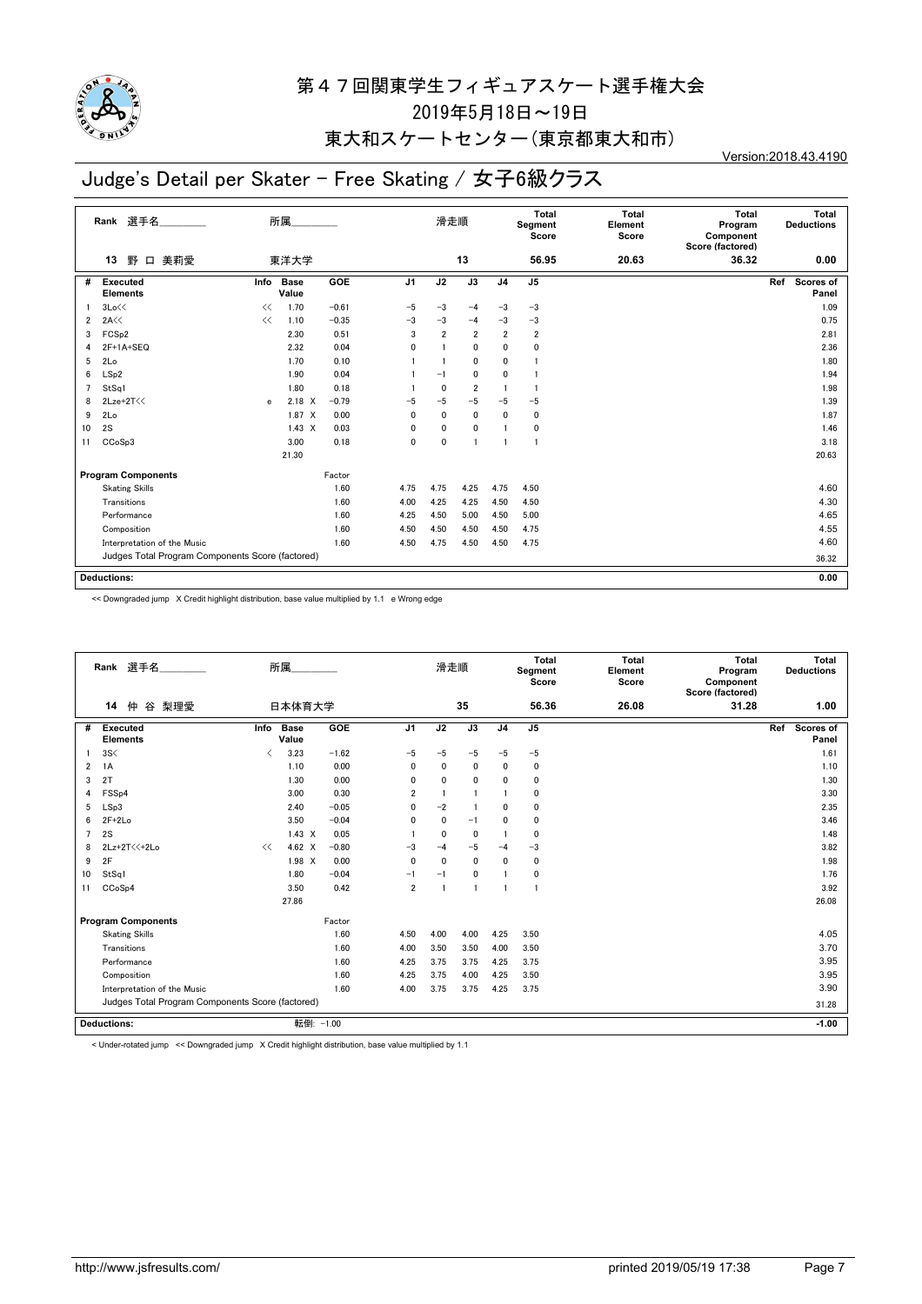

### 東大和スケートセンター(東京都東大和市)

# Judge's Detail per Skater - Free Skating / 女子6級クラス

Version:2018.43.4190

|                         | 選手名<br>Rank                                      |              | 所属                   |         |                | 滑走順            |                |                | Total<br>Segment<br>Score | <b>Total</b><br>Element<br>Score | Total<br>Program<br>Component<br>Score (factored) | Total<br><b>Deductions</b> |
|-------------------------|--------------------------------------------------|--------------|----------------------|---------|----------------|----------------|----------------|----------------|---------------------------|----------------------------------|---------------------------------------------------|----------------------------|
|                         | 野<br>美莉愛<br>13<br>$\Box$                         |              | 東洋大学                 |         |                |                | 13             |                | 56.95                     | 20.63                            | 36.32                                             | 0.00                       |
| #                       | <b>Executed</b><br><b>Elements</b>               | Info         | <b>Base</b><br>Value | GOE     | J <sub>1</sub> | J2             | J3             | J <sub>4</sub> | J <sub>5</sub>            |                                  |                                                   | Scores of<br>Ref<br>Panel  |
|                         | 3Lo<<                                            | <<           | 1.70                 | $-0.61$ | $-5$           | $-3$           | $-4$           | $-3$           | $-3$                      |                                  |                                                   | 1.09                       |
| $\overline{\mathbf{2}}$ | 2A<<                                             | <<           | 1.10                 | $-0.35$ | $-3$           | $-3$           | $-4$           | $-3$           | $-3$                      |                                  |                                                   | 0.75                       |
| 3                       | FCS <sub>p2</sub>                                |              | 2.30                 | 0.51    | 3              | $\overline{2}$ | $\overline{2}$ | $\overline{2}$ | $\overline{2}$            |                                  |                                                   | 2.81                       |
| 4                       | 2F+1A+SEQ                                        |              | 2.32                 | 0.04    | 0              |                | $\mathbf{0}$   | 0              | $\mathbf{0}$              |                                  |                                                   | 2.36                       |
| 5                       | 2Lo                                              |              | 1.70                 | 0.10    |                |                | $\mathbf{0}$   | 0              |                           |                                  |                                                   | 1.80                       |
| 6                       | LSp2                                             |              | 1.90                 | 0.04    |                | $-1$           | 0              | 0              |                           |                                  |                                                   | 1.94                       |
| 7                       | StSq1                                            |              | 1.80                 | 0.18    |                | 0              | 2              | 1              |                           |                                  |                                                   | 1.98                       |
| 8                       | 2Lze+2T<<                                        | $\mathbf{e}$ | $2.18 \times$        | $-0.79$ | -5             | $-5$           | $-5$           | $-5$           | $-5$                      |                                  |                                                   | 1.39                       |
| 9                       | 2Lo                                              |              | 1.87 X               | 0.00    | 0              | 0              | 0              | 0              | 0                         |                                  |                                                   | 1.87                       |
| 10                      | 2S                                               |              | $1.43 \times$        | 0.03    | 0              | 0              | 0              |                | 0                         |                                  |                                                   | 1.46                       |
| 11                      | CCoSp3                                           |              | 3.00                 | 0.18    | $\mathbf{0}$   | $\mathbf{0}$   |                | $\mathbf{1}$   | $\overline{1}$            |                                  |                                                   | 3.18                       |
|                         |                                                  |              | 21.30                |         |                |                |                |                |                           |                                  |                                                   | 20.63                      |
|                         | <b>Program Components</b>                        |              |                      | Factor  |                |                |                |                |                           |                                  |                                                   |                            |
|                         | <b>Skating Skills</b>                            |              |                      | 1.60    | 4.75           | 4.75           | 4.25           | 4.75           | 4.50                      |                                  |                                                   | 4.60                       |
|                         | Transitions                                      |              |                      | 1.60    | 4.00           | 4.25           | 4.25           | 4.50           | 4.50                      |                                  |                                                   | 4.30                       |
|                         | Performance                                      |              |                      | 1.60    | 4.25           | 4.50           | 5.00           | 4.50           | 5.00                      |                                  |                                                   | 4.65                       |
|                         | Composition                                      |              |                      | 1.60    | 4.50           | 4.50           | 4.50           | 4.50           | 4.75                      |                                  |                                                   | 4.55                       |
|                         | Interpretation of the Music                      |              |                      | 1.60    | 4.50           | 4.75           | 4.50           | 4.50           | 4.75                      |                                  |                                                   | 4.60                       |
|                         | Judges Total Program Components Score (factored) |              |                      |         |                |                |                |                |                           |                                  |                                                   | 36.32                      |
|                         |                                                  |              |                      |         |                |                |                |                |                           |                                  |                                                   |                            |
|                         | <b>Deductions:</b>                               |              |                      |         |                |                |                |                |                           |                                  |                                                   | 0.00                       |

<< Downgraded jump X Credit highlight distribution, base value multiplied by 1.1 e Wrong edge

|    | Rank 選手名                                         |                                          | 所属                   |         |                | 滑走順          |                |                | <b>Total</b><br>Segment<br>Score | <b>Total</b><br>Element<br>Score | Total<br>Program<br>Component<br>Score (factored) |     | Total<br><b>Deductions</b> |
|----|--------------------------------------------------|------------------------------------------|----------------------|---------|----------------|--------------|----------------|----------------|----------------------------------|----------------------------------|---------------------------------------------------|-----|----------------------------|
|    | 14<br>仲<br>谷 梨理愛                                 |                                          | 日本体育大学               |         |                |              | 35             |                | 56.36                            | 26.08                            | 31.28                                             |     | 1.00                       |
| #  | <b>Executed</b><br><b>Elements</b>               | Info                                     | <b>Base</b><br>Value | GOE     | J <sub>1</sub> | J2           | J3             | J <sub>4</sub> | J <sub>5</sub>                   |                                  |                                                   | Ref | Scores of<br>Panel         |
|    | 3S<                                              | $\overline{\left\langle \right\rangle }$ | 3.23                 | $-1.62$ | $-5$           | $-5$         | $-5$           | $-5$           | $-5$                             |                                  |                                                   |     | 1.61                       |
| 2  | 1A                                               |                                          | 1.10                 | 0.00    | $\mathbf 0$    | 0            | $\mathbf 0$    | 0              | $\mathbf 0$                      |                                  |                                                   |     | 1.10                       |
| 3  | 2T                                               |                                          | 1.30                 | 0.00    | $\mathbf{0}$   | $\mathbf{0}$ | $\mathbf{0}$   | 0              | 0                                |                                  |                                                   |     | 1.30                       |
| 4  | FSS <sub>p4</sub>                                |                                          | 3.00                 | 0.30    | $\overline{2}$ | $\mathbf{1}$ |                |                | 0                                |                                  |                                                   |     | 3.30                       |
| 5  | LSp3                                             |                                          | 2.40                 | $-0.05$ | $\mathbf{0}$   | $-2$         | $\overline{1}$ | 0              | 0                                |                                  |                                                   |     | 2.35                       |
| 6  | $2F+2Lo$                                         |                                          | 3.50                 | $-0.04$ | $\mathbf{0}$   | 0            | $-1$           | 0              | 0                                |                                  |                                                   |     | 3.46                       |
| 7  | 2S                                               |                                          | $1.43 \times$        | 0.05    |                | $\mathbf{0}$ | 0              |                | 0                                |                                  |                                                   |     | 1.48                       |
| 8  | 2Lz+2T<<+2Lo                                     | <<                                       | 4.62 $\times$        | $-0.80$ | $-3$           | $-4$         | $-5$           | $-4$           | $-3$                             |                                  |                                                   |     | 3.82                       |
| 9  | 2F                                               |                                          | 1.98 X               | 0.00    | $\mathbf{0}$   | $\mathbf{0}$ | $\mathbf{0}$   | 0              | 0                                |                                  |                                                   |     | 1.98                       |
| 10 | StSq1                                            |                                          | 1.80                 | $-0.04$ | $-1$           | $-1$         | $\mathbf{0}$   |                | 0                                |                                  |                                                   |     | 1.76                       |
| 11 | CCoSp4                                           |                                          | 3.50                 | 0.42    | $\overline{2}$ | -1           |                |                | $\overline{1}$                   |                                  |                                                   |     | 3.92                       |
|    |                                                  |                                          | 27.86                |         |                |              |                |                |                                  |                                  |                                                   |     | 26.08                      |
|    | <b>Program Components</b>                        |                                          |                      | Factor  |                |              |                |                |                                  |                                  |                                                   |     |                            |
|    | <b>Skating Skills</b>                            |                                          |                      | 1.60    | 4.50           | 4.00         | 4.00           | 4.25           | 3.50                             |                                  |                                                   |     | 4.05                       |
|    | Transitions                                      |                                          |                      | 1.60    | 4.00           | 3.50         | 3.50           | 4.00           | 3.50                             |                                  |                                                   |     | 3.70                       |
|    | Performance                                      |                                          |                      | 1.60    | 4.25           | 3.75         | 3.75           | 4.25           | 3.75                             |                                  |                                                   |     | 3.95                       |
|    | Composition                                      |                                          |                      | 1.60    | 4.25           | 3.75         | 4.00           | 4.25           | 3.50                             |                                  |                                                   |     | 3.95                       |
|    | Interpretation of the Music                      |                                          |                      | 1.60    | 4.00           | 3.75         | 3.75           | 4.25           | 3.75                             |                                  |                                                   |     | 3.90                       |
|    | Judges Total Program Components Score (factored) |                                          |                      |         |                |              |                |                |                                  |                                  | 31.28                                             |     |                            |
|    | <b>Deductions:</b>                               |                                          | 転倒: -1.00            |         |                |              |                |                |                                  |                                  |                                                   |     | $-1.00$                    |

< Under-rotated jump << Downgraded jump X Credit highlight distribution, base value multiplied by 1.1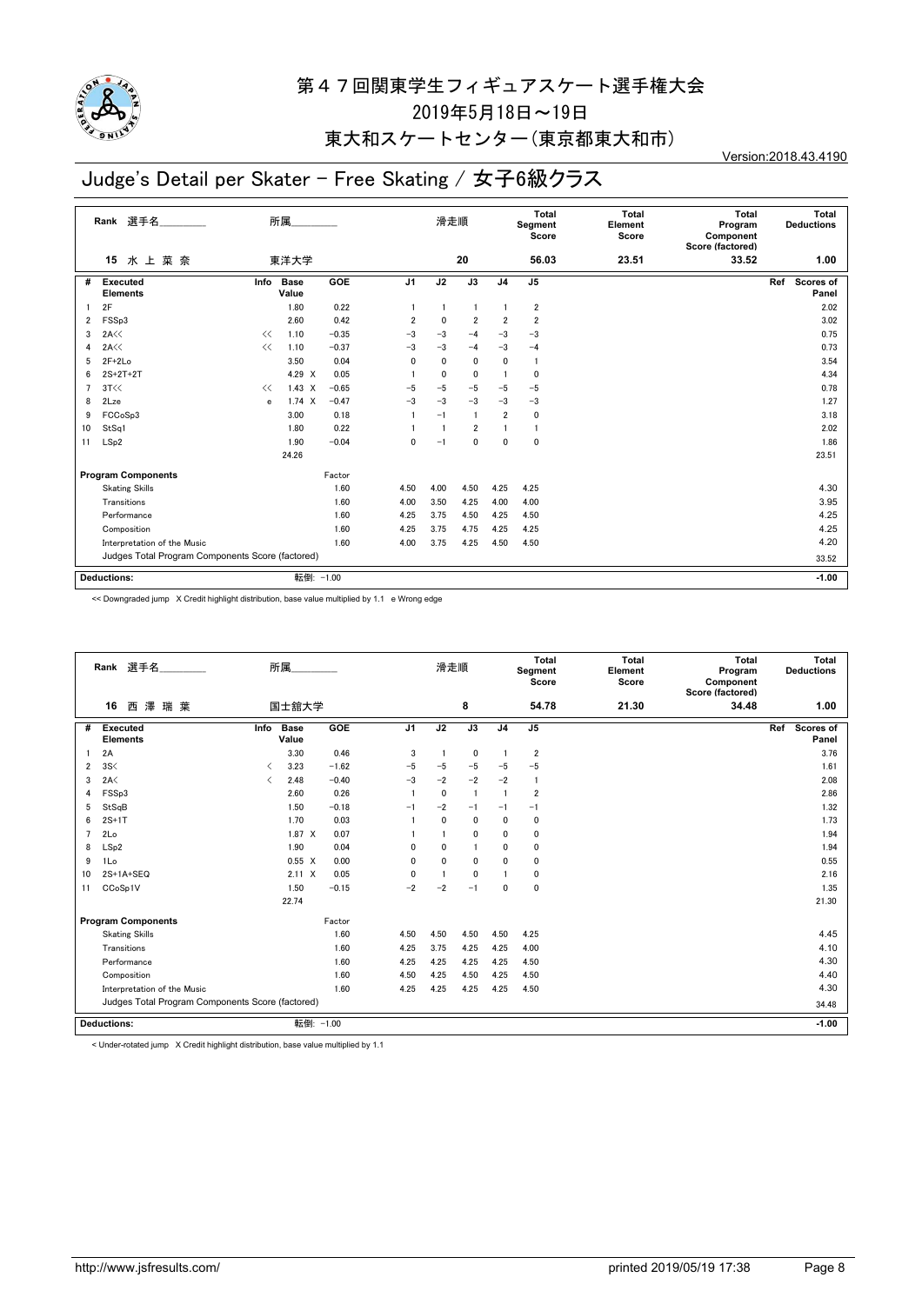

## 東大和スケートセンター(東京都東大和市)

# Judge's Detail per Skater - Free Skating / 女子6級クラス

Version:2018.43.4190

|    | 選手名<br>Rank                                      |      | 所属                   |         |                | 滑走順  |                |                | Total<br>Segment<br>Score | Total<br>Element<br>Score | <b>Total</b><br>Program<br>Component<br>Score (factored) | Total<br><b>Deductions</b> |
|----|--------------------------------------------------|------|----------------------|---------|----------------|------|----------------|----------------|---------------------------|---------------------------|----------------------------------------------------------|----------------------------|
|    | 水上菜奈<br>15                                       |      | 東洋大学                 |         |                |      | 20             |                | 56.03                     | 23.51                     | 33.52                                                    | 1.00                       |
| #  | <b>Executed</b><br><b>Elements</b>               | Info | <b>Base</b><br>Value | GOE     | J <sub>1</sub> | J2   | J3             | J <sub>4</sub> | J <sub>5</sub>            |                           |                                                          | Ref<br>Scores of<br>Panel  |
|    | 2F                                               |      | 1.80                 | 0.22    |                |      |                |                | $\overline{2}$            |                           |                                                          | 2.02                       |
| 2  | FSSp3                                            |      | 2.60                 | 0.42    | $\overline{2}$ | 0    | $\overline{2}$ | $\overline{2}$ | $\overline{2}$            |                           |                                                          | 3.02                       |
| 3  | 2A<<                                             | <<   | 1.10                 | $-0.35$ | $-3$           | $-3$ | $-4$           | $-3$           | $-3$                      |                           |                                                          | 0.75                       |
| 4  | 2A<<                                             | <<   | 1.10                 | $-0.37$ | $-3$           | $-3$ | $-4$           | $-3$           | $-4$                      |                           |                                                          | 0.73                       |
| 5  | $2F+2Lo$                                         |      | 3.50                 | 0.04    | $\Omega$       | 0    | $\mathbf{0}$   | $\mathbf{0}$   | -1                        |                           |                                                          | 3.54                       |
| 6  | $2S+2T+2T$                                       |      | 4.29 X               | 0.05    |                | 0    | $\mathbf{0}$   | $\mathbf{1}$   | $\mathbf{0}$              |                           |                                                          | 4.34                       |
| 7  | 3T<<                                             | <<   | $1.43 \times$        | $-0.65$ | -5             | $-5$ | -5             | $-5$           | $-5$                      |                           |                                                          | 0.78                       |
| 8  | 2Lze                                             | e    | 1.74 X               | $-0.47$ | $-3$           | $-3$ | $-3$           | $-3$           | $-3$                      |                           |                                                          | 1.27                       |
| 9  | FCCoSp3                                          |      | 3.00                 | 0.18    |                | $-1$ |                | $\overline{2}$ | $\mathbf 0$               |                           |                                                          | 3.18                       |
| 10 | StSq1                                            |      | 1.80                 | 0.22    |                |      | $\overline{2}$ |                | $\mathbf{1}$              |                           |                                                          | 2.02                       |
| 11 | LSp2                                             |      | 1.90                 | $-0.04$ | $\mathbf{0}$   | $-1$ | $\mathbf{0}$   | $\mathbf{0}$   | 0                         |                           |                                                          | 1.86                       |
|    |                                                  |      | 24.26                |         |                |      |                |                |                           |                           |                                                          | 23.51                      |
|    | <b>Program Components</b>                        |      |                      | Factor  |                |      |                |                |                           |                           |                                                          |                            |
|    | <b>Skating Skills</b>                            |      |                      | 1.60    | 4.50           | 4.00 | 4.50           | 4.25           | 4.25                      |                           |                                                          | 4.30                       |
|    | Transitions                                      |      |                      | 1.60    | 4.00           | 3.50 | 4.25           | 4.00           | 4.00                      |                           |                                                          | 3.95                       |
|    | Performance                                      |      |                      | 1.60    | 4.25           | 3.75 | 4.50           | 4.25           | 4.50                      |                           |                                                          | 4.25                       |
|    | Composition                                      |      |                      | 1.60    | 4.25           | 3.75 | 4.75           | 4.25           | 4.25                      |                           |                                                          | 4.25                       |
|    | Interpretation of the Music                      | 1.60 | 4.00                 | 3.75    | 4.25           | 4.50 | 4.50           |                |                           | 4.20                      |                                                          |                            |
|    | Judges Total Program Components Score (factored) |      |                      |         |                |      |                |                |                           | 33.52                     |                                                          |                            |
|    | <b>Deductions:</b>                               |      | 転倒: -1.00            |         |                |      |                |                |                           |                           |                                                          | $-1.00$                    |

<< Downgraded jump X Credit highlight distribution, base value multiplied by 1.1 e Wrong edge

|                | Rank 選手名                                         |                          | 所属                   |         |                | 滑走順            |                |                | Total<br>Segment<br>Score | <b>Total</b><br>Element<br>Score | Total<br>Program<br>Component<br>Score (factored) | Total<br><b>Deductions</b> |
|----------------|--------------------------------------------------|--------------------------|----------------------|---------|----------------|----------------|----------------|----------------|---------------------------|----------------------------------|---------------------------------------------------|----------------------------|
|                | 澤瑞葉<br>16<br>西                                   |                          | 国士舘大学                |         |                |                | 8              |                | 54.78                     | 21.30                            | 34.48                                             | 1.00                       |
| #              | <b>Executed</b><br><b>Elements</b>               | Info                     | <b>Base</b><br>Value | GOE     | J <sub>1</sub> | J2             | J3             | J <sub>4</sub> | J <sub>5</sub>            |                                  |                                                   | Scores of<br>Ref<br>Panel  |
|                | 2A                                               |                          | 3.30                 | 0.46    | 3              | $\overline{1}$ | 0              | $\overline{1}$ | $\overline{\mathbf{2}}$   |                                  |                                                   | 3.76                       |
| 2              | 3S<                                              | $\overline{\phantom{a}}$ | 3.23                 | $-1.62$ | $-5$           | $-5$           | $-5$           | $-5$           | $-5$                      |                                  |                                                   | 1.61                       |
| 3              | 2A<                                              | $\langle$                | 2.48                 | $-0.40$ | $-3$           | $-2$           | $-2$           | $-2$           | $\mathbf{1}$              |                                  |                                                   | 2.08                       |
| 4              | FSSp3                                            |                          | 2.60                 | 0.26    |                | 0              | $\overline{1}$ | -1             | $\overline{2}$            |                                  |                                                   | 2.86                       |
| 5              | StSqB                                            |                          | 1.50                 | $-0.18$ | $-1$           | $-2$           | $-1$           | $-1$           | $-1$                      |                                  |                                                   | 1.32                       |
| 6              | $2S+1T$                                          |                          | 1.70                 | 0.03    |                | $\mathbf 0$    | $\mathbf{0}$   | $\Omega$       | 0                         |                                  |                                                   | 1.73                       |
| $\overline{7}$ | 2Lo                                              |                          | 1.87 X               | 0.07    |                |                | $\mathbf 0$    | $\mathbf{0}$   | $\mathbf 0$               |                                  |                                                   | 1.94                       |
| 8              | LSp2                                             |                          | 1.90                 | 0.04    | 0              | $\mathbf{0}$   | $\overline{1}$ | 0              | $\mathbf{0}$              |                                  |                                                   | 1.94                       |
| 9              | 1Lo                                              |                          | $0.55 \quad X$       | 0.00    | $\mathbf{0}$   | $\mathbf{0}$   | $\mathbf{0}$   | $\Omega$       | 0                         |                                  |                                                   | 0.55                       |
| 10             | 2S+1A+SEQ                                        |                          | $2.11 \times$        | 0.05    | $\mathbf 0$    |                | $\mathbf 0$    |                | 0                         |                                  |                                                   | 2.16                       |
| 11             | CCoSp1V                                          |                          | 1.50                 | $-0.15$ | $-2$           | $-2$           | $-1$           | $\mathbf 0$    | $\mathbf 0$               |                                  |                                                   | 1.35                       |
|                |                                                  |                          | 22.74                |         |                |                |                |                |                           |                                  |                                                   | 21.30                      |
|                | <b>Program Components</b>                        |                          |                      | Factor  |                |                |                |                |                           |                                  |                                                   |                            |
|                | <b>Skating Skills</b>                            |                          |                      | 1.60    | 4.50           | 4.50           | 4.50           | 4.50           | 4.25                      |                                  |                                                   | 4.45                       |
|                | Transitions                                      |                          |                      | 1.60    | 4.25           | 3.75           | 4.25           | 4.25           | 4.00                      |                                  |                                                   | 4.10                       |
|                | Performance                                      |                          |                      | 1.60    | 4.25           | 4.25           | 4.25           | 4.25           | 4.50                      |                                  |                                                   | 4.30                       |
|                | Composition                                      |                          |                      | 1.60    | 4.50           | 4.25           | 4.50           | 4.25           | 4.50                      |                                  |                                                   | 4.40                       |
|                | Interpretation of the Music                      | 1.60                     | 4.25                 | 4.25    | 4.25           | 4.25           | 4.50           |                |                           | 4.30                             |                                                   |                            |
|                | Judges Total Program Components Score (factored) |                          |                      |         |                |                |                |                |                           | 34.48                            |                                                   |                            |
|                | <b>Deductions:</b>                               |                          | 転倒: -1.00            |         |                |                |                |                |                           |                                  |                                                   | $-1.00$                    |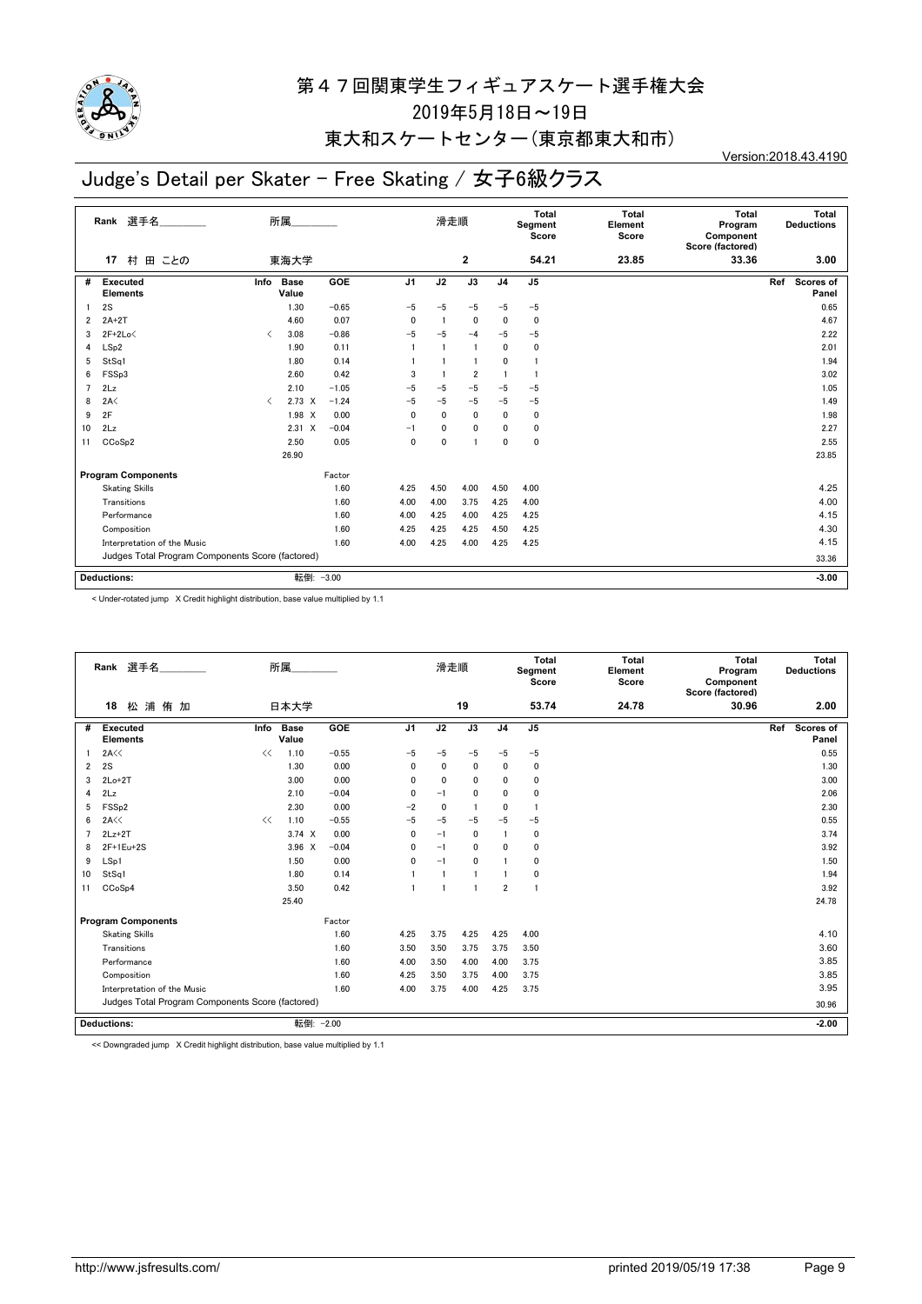

### 東大和スケートセンター(東京都東大和市)

# Judge's Detail per Skater - Free Skating / 女子6級クラス

Version:2018.43.4190

|                         | 選手名<br>Rank                                      |                               | 所属                   |            |                | 滑走順      |                         |                | <b>Total</b><br>Segment<br>Score | <b>Total</b><br>Element<br>Score | <b>Total</b><br>Program<br>Component<br>Score (factored) | Total<br><b>Deductions</b> |
|-------------------------|--------------------------------------------------|-------------------------------|----------------------|------------|----------------|----------|-------------------------|----------------|----------------------------------|----------------------------------|----------------------------------------------------------|----------------------------|
|                         | 村 田 ことの<br>17                                    |                               | 東海大学                 |            |                |          | $\overline{\mathbf{2}}$ |                | 54.21                            | 23.85                            | 33.36                                                    | 3.00                       |
| #                       | <b>Executed</b><br><b>Elements</b>               | Info                          | <b>Base</b><br>Value | <b>GOE</b> | J <sub>1</sub> | J2       | $\overline{J3}$         | J <sub>4</sub> | J <sub>5</sub>                   |                                  |                                                          | Scores of<br>Ref<br>Panel  |
|                         | 2S                                               |                               | 1.30                 | $-0.65$    | $-5$           | $-5$     | $-5$                    | $-5$           | $-5$                             |                                  |                                                          | 0.65                       |
| $\overline{\mathbf{2}}$ | $2A+2T$                                          |                               | 4.60                 | 0.07       | 0              | -1       | $\mathbf 0$             | $\Omega$       | $\mathbf 0$                      |                                  |                                                          | 4.67                       |
| 3                       | $2F+2Lo<$                                        | $\overline{\left( \right. }%$ | 3.08                 | $-0.86$    | $-5$           | $-5$     | $-4$                    | $-5$           | $-5$                             |                                  |                                                          | 2.22                       |
| 4                       | LSp2                                             |                               | 1.90                 | 0.11       | 1              | -1       | -1                      | $\mathbf{0}$   | $\mathbf 0$                      |                                  |                                                          | 2.01                       |
| 5                       | StSq1                                            |                               | 1.80                 | 0.14       |                |          |                         | $\mathbf{0}$   | $\mathbf{1}$                     |                                  |                                                          | 1.94                       |
| 6                       | FSSp3                                            |                               | 2.60                 | 0.42       | 3              |          | 2                       |                | $\mathbf{1}$                     |                                  |                                                          | 3.02                       |
| $\overline{7}$          | 2Lz                                              |                               | 2.10                 | $-1.05$    | $-5$           | $-5$     | $-5$                    | $-5$           | $-5$                             |                                  |                                                          | 1.05                       |
| 8                       | 2A<                                              | $\langle$                     | $2.73 \times$        | $-1.24$    | $-5$           | $-5$     | $-5$                    | $-5$           | $-5$                             |                                  |                                                          | 1.49                       |
| 9                       | 2F                                               |                               | 1.98 X               | 0.00       | 0              | 0        | $\mathbf{0}$            | $\mathbf{0}$   | 0                                |                                  |                                                          | 1.98                       |
| 10                      | 2Lz                                              |                               | $2.31 \times$        | $-0.04$    | $-1$           | $\Omega$ | 0                       | 0              | 0                                |                                  |                                                          | 2.27                       |
| 11                      | CCoSp2                                           |                               | 2.50                 | 0.05       | 0              | 0        | 1                       | $\mathbf{0}$   | $\mathbf 0$                      |                                  |                                                          | 2.55                       |
|                         |                                                  |                               | 26.90                |            |                |          |                         |                |                                  |                                  |                                                          | 23.85                      |
|                         | <b>Program Components</b>                        |                               |                      | Factor     |                |          |                         |                |                                  |                                  |                                                          |                            |
|                         | <b>Skating Skills</b>                            |                               |                      | 1.60       | 4.25           | 4.50     | 4.00                    | 4.50           | 4.00                             |                                  |                                                          | 4.25                       |
|                         | Transitions                                      |                               |                      | 1.60       | 4.00           | 4.00     | 3.75                    | 4.25           | 4.00                             |                                  |                                                          | 4.00                       |
|                         | Performance                                      |                               |                      | 1.60       | 4.00           | 4.25     | 4.00                    | 4.25           | 4.25                             |                                  |                                                          | 4.15                       |
|                         | Composition                                      |                               |                      | 1.60       | 4.25           | 4.25     | 4.25                    | 4.50           | 4.25                             |                                  |                                                          | 4.30                       |
|                         | Interpretation of the Music                      |                               |                      | 1.60       | 4.00           | 4.25     | 4.00                    | 4.25           | 4.25                             |                                  |                                                          | 4.15                       |
|                         | Judges Total Program Components Score (factored) |                               |                      |            |                |          |                         |                | 33.36                            |                                  |                                                          |                            |
|                         | <b>Deductions:</b>                               |                               | 転倒: - 3.00           |            |                |          |                         |                |                                  |                                  |                                                          | $-3.00$                    |

< Under-rotated jump X Credit highlight distribution, base value multiplied by 1.1

|    | Rank 選手名                                         |      | 所属                   |         |                | 滑走順          |              |                | Total<br>Segment<br>Score | <b>Total</b><br>Element<br>Score | <b>Total</b><br>Program<br>Component<br>Score (factored) | Total<br><b>Deductions</b> |
|----|--------------------------------------------------|------|----------------------|---------|----------------|--------------|--------------|----------------|---------------------------|----------------------------------|----------------------------------------------------------|----------------------------|
|    | 松浦侑加<br>18                                       |      | 日本大学                 |         |                |              | 19           |                | 53.74                     | 24.78                            | 30.96                                                    | 2.00                       |
| #  | <b>Executed</b><br><b>Elements</b>               | Info | <b>Base</b><br>Value | GOE     | J <sub>1</sub> | J2           | J3           | J <sub>4</sub> | J5                        |                                  |                                                          | Ref<br>Scores of<br>Panel  |
| -1 | 2A<<                                             | <<   | 1.10                 | $-0.55$ | $-5$           | $-5$         | $-5$         | $-5$           | $-5$                      |                                  |                                                          | 0.55                       |
| 2  | 2S                                               |      | 1.30                 | 0.00    | 0              | $\Omega$     | 0            | 0              | 0                         |                                  |                                                          | 1.30                       |
| 3  | $2Lo+2T$                                         |      | 3.00                 | 0.00    | 0              | $\mathbf 0$  | $\mathbf 0$  | 0              | 0                         |                                  |                                                          | 3.00                       |
| 4  | 2Lz                                              |      | 2.10                 | $-0.04$ | 0              | $-1$         | 0            | 0              | 0                         |                                  |                                                          | 2.06                       |
| 5  | FSS <sub>p2</sub>                                |      | 2.30                 | 0.00    | $-2$           | $\mathbf 0$  | $\mathbf{1}$ | 0              | -1                        |                                  |                                                          | 2.30                       |
| 6  | 2A<                                              | <<   | 1.10                 | $-0.55$ | $-5$           | $-5$         | $-5$         | $-5$           | $-5$                      |                                  |                                                          | 0.55                       |
| 7  | $2Lz+2T$                                         |      | $3.74 \times$        | 0.00    | 0              | $-1$         | $\mathbf 0$  |                | 0                         |                                  |                                                          | 3.74                       |
| 8  | $2F+1Eu+2S$                                      |      | $3.96 \times$        | $-0.04$ | 0              | $-1$         | $\mathbf 0$  | $\mathbf{0}$   | 0                         |                                  |                                                          | 3.92                       |
| 9  | LSp1                                             |      | 1.50                 | 0.00    | 0              | $-1$         | $\mathbf 0$  |                | 0                         |                                  |                                                          | 1.50                       |
| 10 | StSq1                                            |      | 1.80                 | 0.14    |                | $\mathbf{1}$ | $\mathbf{1}$ |                | 0                         |                                  |                                                          | 1.94                       |
| 11 | CCoSp4                                           |      | 3.50                 | 0.42    | $\mathbf{1}$   | $\mathbf{1}$ | -1           | $\overline{2}$ | 1                         |                                  |                                                          | 3.92                       |
|    |                                                  |      | 25.40                |         |                |              |              |                |                           |                                  |                                                          | 24.78                      |
|    | <b>Program Components</b>                        |      |                      | Factor  |                |              |              |                |                           |                                  |                                                          |                            |
|    | <b>Skating Skills</b>                            |      |                      | 1.60    | 4.25           | 3.75         | 4.25         | 4.25           | 4.00                      |                                  |                                                          | 4.10                       |
|    | Transitions                                      |      |                      | 1.60    | 3.50           | 3.50         | 3.75         | 3.75           | 3.50                      |                                  |                                                          | 3.60                       |
|    | Performance                                      |      |                      | 1.60    | 4.00           | 3.50         | 4.00         | 4.00           | 3.75                      |                                  |                                                          | 3.85                       |
|    | Composition                                      |      |                      | 1.60    | 4.25           | 3.50         | 3.75         | 4.00           | 3.75                      |                                  |                                                          | 3.85                       |
|    | Interpretation of the Music                      |      |                      | 1.60    | 4.00           | 3.75         | 4.00         | 4.25           | 3.75                      |                                  |                                                          | 3.95                       |
|    | Judges Total Program Components Score (factored) |      |                      |         |                |              |              |                |                           |                                  |                                                          | 30.96                      |
|    | <b>Deductions:</b>                               |      | 転倒: - 2.00           |         |                |              |              |                |                           |                                  |                                                          | $-2.00$                    |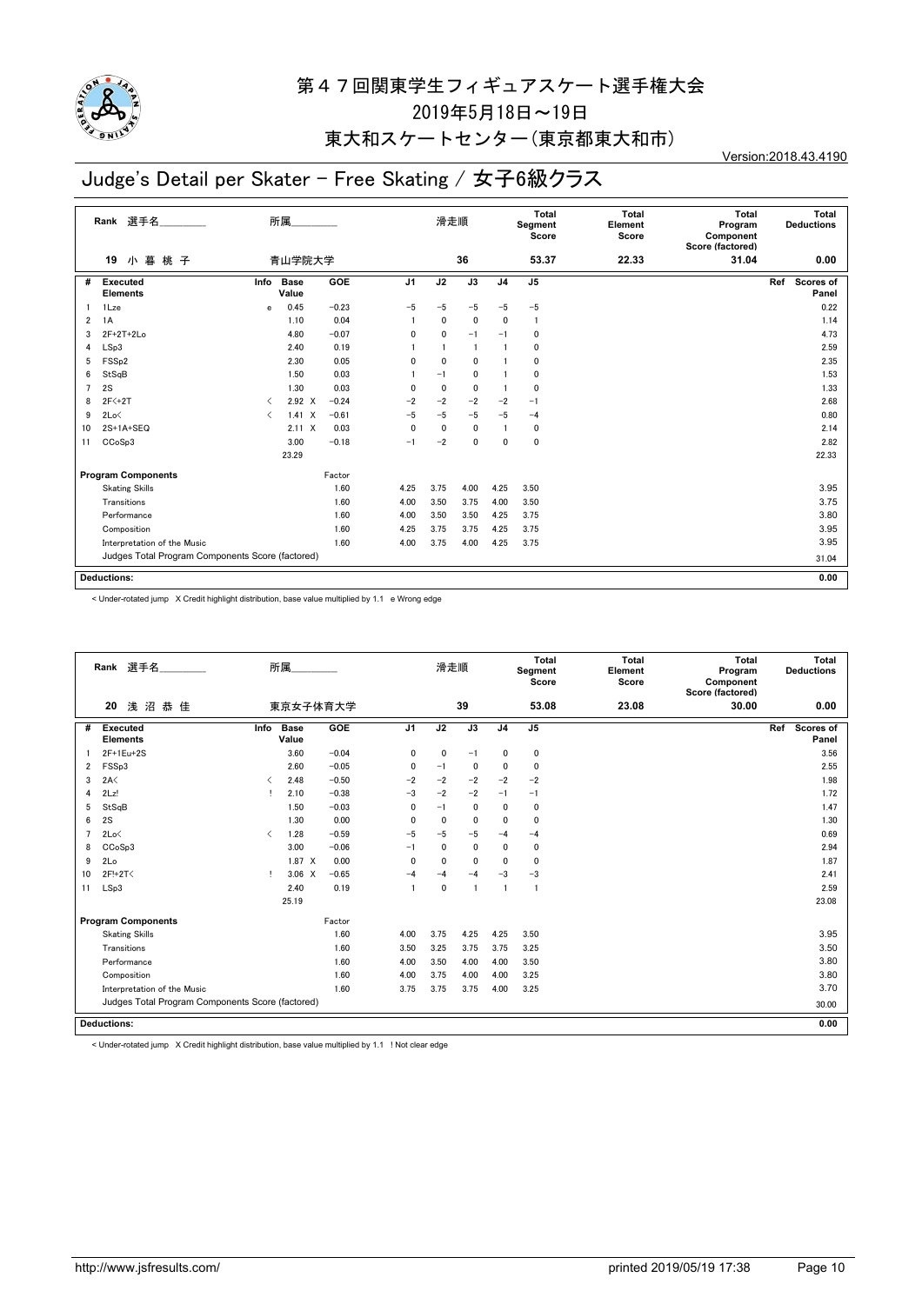

### 東大和スケートセンター(東京都東大和市)

# Judge's Detail per Skater - Free Skating / 女子6級クラス

Version:2018.43.4190

|                         | 選手名<br>Rank                                      |                               | 所属                   |         |                | 滑走順          |              |                | Total<br>Segment<br>Score | Total<br>Element<br>Score | Total<br>Program<br>Component<br>Score (factored) | Total<br><b>Deductions</b> |
|-------------------------|--------------------------------------------------|-------------------------------|----------------------|---------|----------------|--------------|--------------|----------------|---------------------------|---------------------------|---------------------------------------------------|----------------------------|
|                         | 小暮桃子<br>19                                       |                               | 青山学院大学               |         |                |              | 36           |                | 53.37                     | 22.33                     | 31.04                                             | 0.00                       |
| #                       | <b>Executed</b><br><b>Elements</b>               | Info                          | <b>Base</b><br>Value | GOE     | J <sub>1</sub> | J2           | J3           | J <sub>4</sub> | J <sub>5</sub>            |                           |                                                   | Scores of<br>Ref<br>Panel  |
|                         | 1Lze                                             | e                             | 0.45                 | $-0.23$ | $-5$           | -5           | -5           | $-5$           | $-5$                      |                           |                                                   | 0.22                       |
| $\overline{\mathbf{2}}$ | 1A                                               |                               | 1.10                 | 0.04    |                | 0            | $\mathbf{0}$ | $\mathbf{0}$   | $\overline{1}$            |                           |                                                   | 1.14                       |
| 3                       | $2F+2T+2Lo$                                      |                               | 4.80                 | $-0.07$ | 0              | $\Omega$     | $-1$         | $-1$           | $\mathbf{0}$              |                           |                                                   | 4.73                       |
| 4                       | LSp3                                             |                               | 2.40                 | 0.19    |                |              |              | 1              | $\mathbf{0}$              |                           |                                                   | 2.59                       |
| 5                       | FSS <sub>p2</sub>                                |                               | 2.30                 | 0.05    | 0              | $\mathbf{0}$ | $\mathbf{0}$ |                | $\mathbf{0}$              |                           |                                                   | 2.35                       |
| 6                       | StSqB                                            |                               | 1.50                 | 0.03    |                | $-1$         | 0            |                | $\mathbf{0}$              |                           |                                                   | 1.53                       |
| $\overline{7}$          | 2S                                               |                               | 1.30                 | 0.03    | 0              | $\mathbf{0}$ | 0            | $\mathbf{1}$   | $\mathbf{0}$              |                           |                                                   | 1.33                       |
| 8                       | 2F <sub>2</sub>                                  | $\overline{\left( \right. }%$ | $2.92 \times$        | $-0.24$ | $-2$           | $-2$         | $-2$         | $-2$           | $-1$                      |                           |                                                   | 2.68                       |
| 9                       | 2Lo<                                             | $\overline{\left( \right. }%$ | 1.41<br>$\mathsf{x}$ | $-0.61$ | $-5$           | $-5$         | $-5$         | $-5$           | $-4$                      |                           |                                                   | 0.80                       |
| 10                      | $2S+1A+SEQ$                                      |                               | $2.11 \times$        | 0.03    | $\Omega$       | 0            | $\mathbf{0}$ | 1              | 0                         |                           |                                                   | 2.14                       |
| 11                      | CCoSp3                                           |                               | 3.00                 | $-0.18$ | $-1$           | $-2$         | $\mathbf{0}$ | $\mathbf{0}$   | $\mathbf{0}$              |                           |                                                   | 2.82                       |
|                         |                                                  |                               | 23.29                |         |                |              |              |                |                           |                           |                                                   | 22.33                      |
|                         | <b>Program Components</b>                        |                               |                      | Factor  |                |              |              |                |                           |                           |                                                   |                            |
|                         | <b>Skating Skills</b>                            |                               |                      | 1.60    | 4.25           | 3.75         | 4.00         | 4.25           | 3.50                      |                           |                                                   | 3.95                       |
|                         | Transitions                                      |                               |                      | 1.60    | 4.00           | 3.50         | 3.75         | 4.00           | 3.50                      |                           |                                                   | 3.75                       |
|                         | Performance                                      |                               |                      | 1.60    | 4.00           | 3.50         | 3.50         | 4.25           | 3.75                      |                           |                                                   | 3.80                       |
|                         | Composition                                      |                               |                      | 1.60    | 4.25           | 3.75         | 3.75         | 4.25           | 3.75                      |                           |                                                   | 3.95                       |
|                         | Interpretation of the Music                      |                               |                      | 1.60    | 4.00           | 3.75         | 4.00         | 4.25           | 3.75                      |                           |                                                   | 3.95                       |
|                         | Judges Total Program Components Score (factored) |                               |                      |         |                |              |              |                |                           |                           |                                                   | 31.04                      |
|                         |                                                  |                               |                      |         |                |              |              |                |                           |                           |                                                   |                            |
|                         | <b>Deductions:</b>                               |                               |                      |         |                |              |              |                |                           |                           |                                                   | 0.00                       |

< Under-rotated jump X Credit highlight distribution, base value multiplied by 1.1 e Wrong edge

|                | Rank 選手名                                         |                               | 所属                   |          |                | 滑走順          |              |                | Total<br>Segment<br>Score | Total<br>Element<br>Score | Total<br>Program<br>Component<br>Score (factored) | Total<br><b>Deductions</b> |
|----------------|--------------------------------------------------|-------------------------------|----------------------|----------|----------------|--------------|--------------|----------------|---------------------------|---------------------------|---------------------------------------------------|----------------------------|
|                | 浅沼恭佳<br>20                                       |                               |                      | 東京女子体育大学 |                |              | 39           |                | 53.08                     | 23.08                     | 30.00                                             | 0.00                       |
| #              | <b>Executed</b><br><b>Elements</b>               | Info                          | <b>Base</b><br>Value | GOE      | J <sub>1</sub> | J2           | J3           | J <sub>4</sub> | J <sub>5</sub>            |                           |                                                   | Ref<br>Scores of<br>Panel  |
|                | 2F+1Eu+2S                                        |                               | 3.60                 | $-0.04$  | 0              | 0            | $-1$         | 0              | $\mathbf 0$               |                           |                                                   | 3.56                       |
| 2              | FSSp3                                            |                               | 2.60                 | $-0.05$  | $\mathbf{0}$   | $-1$         | 0            | 0              | $\mathbf 0$               |                           |                                                   | 2.55                       |
| 3              | 2A<                                              | ✓                             | 2.48                 | $-0.50$  | $-2$           | $-2$         | $-2$         | $-2$           | $-2$                      |                           |                                                   | 1.98                       |
| 4              | 2Lz!                                             |                               | 2.10                 | $-0.38$  | $-3$           | $-2$         | $-2$         | $-1$           | $-1$                      |                           |                                                   | 1.72                       |
| 5              | StSqB                                            |                               | 1.50                 | $-0.03$  | $\mathbf{0}$   | $-1$         | $\mathbf{0}$ | $\mathbf{0}$   | $\mathbf 0$               |                           |                                                   | 1.47                       |
| 6              | 2S                                               |                               | 1.30                 | 0.00     | $\mathbf{0}$   | $\mathbf{0}$ | $\mathbf{0}$ | 0              | $\mathbf 0$               |                           |                                                   | 1.30                       |
| $\overline{7}$ | 2Lo<                                             | $\overline{\left( \right. }%$ | 1.28                 | $-0.59$  | $-5$           | $-5$         | $-5$         | $-4$           | $-4$                      |                           |                                                   | 0.69                       |
| 8              | CCoSp3                                           |                               | 3.00                 | $-0.06$  | $-1$           | $\mathbf{0}$ | $\mathbf{0}$ | 0              | $\mathbf 0$               |                           |                                                   | 2.94                       |
| 9              | 2Lo                                              |                               | $1.87 \times$        | 0.00     | 0              | 0            | $\mathbf{0}$ | 0              | $\Omega$                  |                           |                                                   | 1.87                       |
| 10             | 2F!+2T<                                          | т.                            | $3.06 \times$        | $-0.65$  | $-4$           | $-4$         | $-4$         | $-3$           | $-3$                      |                           |                                                   | 2.41                       |
| 11             | LSp3                                             |                               | 2.40                 | 0.19     |                | $\mathbf 0$  | -1           | $\mathbf{1}$   | $\mathbf{1}$              |                           |                                                   | 2.59                       |
|                |                                                  |                               | 25.19                |          |                |              |              |                |                           |                           |                                                   | 23.08                      |
|                | <b>Program Components</b>                        |                               |                      | Factor   |                |              |              |                |                           |                           |                                                   |                            |
|                | <b>Skating Skills</b>                            |                               |                      | 1.60     | 4.00           | 3.75         | 4.25         | 4.25           | 3.50                      |                           |                                                   | 3.95                       |
|                | Transitions                                      |                               |                      | 1.60     | 3.50           | 3.25         | 3.75         | 3.75           | 3.25                      |                           |                                                   | 3.50                       |
|                | Performance                                      |                               |                      | 1.60     | 4.00           | 3.50         | 4.00         | 4.00           | 3.50                      |                           |                                                   | 3.80                       |
|                | Composition                                      |                               |                      | 1.60     | 4.00           | 3.75         | 4.00         | 4.00           | 3.25                      |                           |                                                   | 3.80                       |
|                | Interpretation of the Music                      |                               |                      | 1.60     | 3.75           | 3.75         | 3.75         | 4.00           | 3.25                      |                           |                                                   | 3.70                       |
|                | Judges Total Program Components Score (factored) |                               |                      |          |                |              |              |                |                           |                           |                                                   | 30.00                      |
|                | <b>Deductions:</b>                               |                               |                      |          |                |              |              |                |                           |                           |                                                   | 0.00                       |

< Under-rotated jump X Credit highlight distribution, base value multiplied by 1.1 ! Not clear edge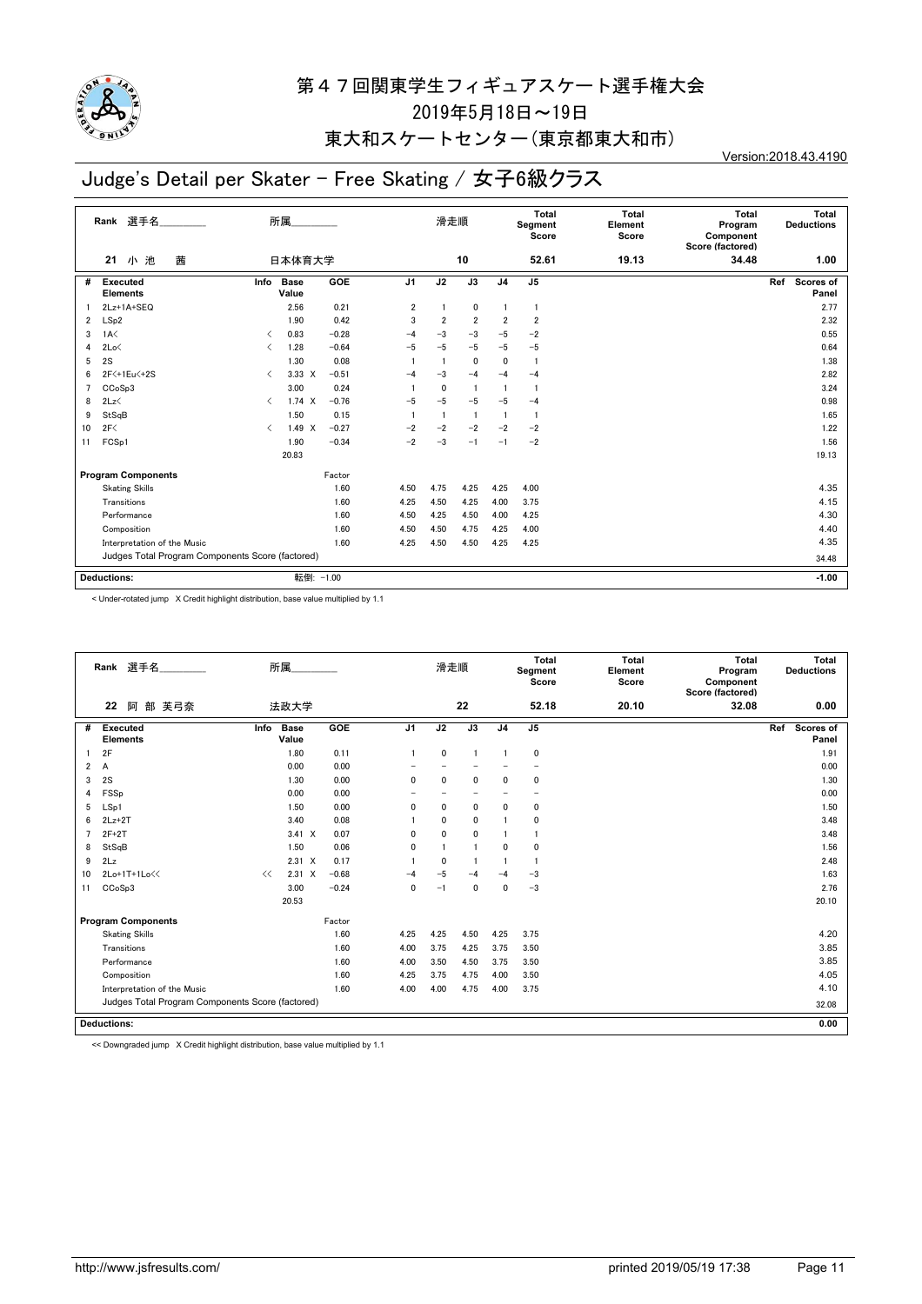

## 東大和スケートセンター(東京都東大和市)

# Judge's Detail per Skater - Free Skating / 女子6級クラス

Version:2018.43.4190

|                | 選手名<br>Rank                                      |                               | 所属                   |            |                | 滑走順            |                 |                | Total<br>Segment<br>Score | <b>Total</b><br>Element<br>Score | <b>Total</b><br>Program<br>Component<br>Score (factored) | Total<br><b>Deductions</b> |
|----------------|--------------------------------------------------|-------------------------------|----------------------|------------|----------------|----------------|-----------------|----------------|---------------------------|----------------------------------|----------------------------------------------------------|----------------------------|
|                | 茜<br>小池<br>21                                    |                               | 日本体育大学               |            |                |                | 10              |                | 52.61                     | 19.13                            | 34.48                                                    | 1.00                       |
| #              | <b>Executed</b><br><b>Elements</b>               | Info                          | <b>Base</b><br>Value | <b>GOE</b> | J <sub>1</sub> | J2             | $\overline{J3}$ | J <sub>4</sub> | J <sub>5</sub>            |                                  |                                                          | Scores of<br>Ref<br>Panel  |
|                | 2Lz+1A+SEQ                                       |                               | 2.56                 | 0.21       | 2              |                | 0               |                | $\mathbf{1}$              |                                  |                                                          | 2.77                       |
| $\overline{2}$ | LSp2                                             |                               | 1.90                 | 0.42       | 3              | $\overline{2}$ | $\overline{2}$  | $\overline{2}$ | $\overline{2}$            |                                  |                                                          | 2.32                       |
| 3              | 1A<                                              | $\overline{\left( \right. }%$ | 0.83                 | $-0.28$    | $-4$           | $-3$           | $-3$            | $-5$           | $-2$                      |                                  |                                                          | 0.55                       |
| 4              | 2Lo<                                             | $\overline{\left( \right. }%$ | 1.28                 | $-0.64$    | $-5$           | $-5$           | $-5$            | $-5$           | $-5$                      |                                  |                                                          | 0.64                       |
| 5              | 2S                                               |                               | 1.30                 | 0.08       |                | -1             | 0               | $\mathbf{0}$   | $\overline{1}$            |                                  |                                                          | 1.38                       |
| 6              | 2F <+1Eu <+2S                                    | $\langle$                     | $3.33 \times$        | $-0.51$    | $-4$           | $-3$           | $-4$            | $-4$           | $-4$                      |                                  |                                                          | 2.82                       |
| 7              | CCoSp3                                           |                               | 3.00                 | 0.24       |                | 0              |                 |                | -1                        |                                  |                                                          | 3.24                       |
| 8              | 2Lz                                              | $\overline{\left( \right. }%$ | $1.74 \times$        | $-0.76$    | $-5$           | $-5$           | $-5$            | $-5$           | $-4$                      |                                  |                                                          | 0.98                       |
| 9              | StSqB                                            |                               | 1.50                 | 0.15       |                |                | -1              |                |                           |                                  |                                                          | 1.65                       |
| 10             | 2F<                                              | $\langle$                     | $1.49 \times$        | $-0.27$    | $-2$           | $-2$           | $-2$            | $-2$           | $-2$                      |                                  |                                                          | 1.22                       |
| 11             | FCSp1                                            |                               | 1.90                 | $-0.34$    | $-2$           | $-3$           | $-1$            | $-1$           | $-2$                      |                                  |                                                          | 1.56                       |
|                |                                                  |                               | 20.83                |            |                |                |                 |                |                           |                                  |                                                          | 19.13                      |
|                | <b>Program Components</b>                        |                               |                      | Factor     |                |                |                 |                |                           |                                  |                                                          |                            |
|                | <b>Skating Skills</b>                            |                               |                      | 1.60       | 4.50           | 4.75           | 4.25            | 4.25           | 4.00                      |                                  |                                                          | 4.35                       |
|                | Transitions                                      |                               |                      | 1.60       | 4.25           | 4.50           | 4.25            | 4.00           | 3.75                      |                                  |                                                          | 4.15                       |
|                | Performance                                      |                               |                      | 1.60       | 4.50           | 4.25           | 4.50            | 4.00           | 4.25                      |                                  |                                                          | 4.30                       |
|                | Composition                                      |                               |                      | 1.60       | 4.50           | 4.50           | 4.75            | 4.25           | 4.00                      |                                  |                                                          | 4.40                       |
|                | Interpretation of the Music                      |                               |                      | 1.60       | 4.25           | 4.50           | 4.50            | 4.25           | 4.25                      |                                  |                                                          | 4.35                       |
|                | Judges Total Program Components Score (factored) |                               |                      |            |                |                |                 |                |                           |                                  |                                                          | 34.48                      |
|                | <b>Deductions:</b>                               |                               |                      | 転倒: -1.00  |                |                |                 |                |                           |                                  |                                                          | $-1.00$                    |

< Under-rotated jump X Credit highlight distribution, base value multiplied by 1.1

|                | Rank 選手名                                         |      | 所属                   |         |                | 滑走順          |                          |                | Total<br>Segment<br>Score | Total<br>Element<br>Score | <b>Total</b><br>Program<br>Component<br>Score (factored) | Total<br><b>Deductions</b> |
|----------------|--------------------------------------------------|------|----------------------|---------|----------------|--------------|--------------------------|----------------|---------------------------|---------------------------|----------------------------------------------------------|----------------------------|
|                | 部 芙弓奈<br>22<br>阿                                 |      | 法政大学                 |         |                |              | 22                       |                | 52.18                     | 20.10                     | 32.08                                                    | 0.00                       |
| #              | <b>Executed</b><br><b>Elements</b>               | Info | <b>Base</b><br>Value | GOE     | J <sub>1</sub> | J2           | J3                       | J <sub>4</sub> | J5                        |                           |                                                          | Scores of<br>Ref<br>Panel  |
|                | 2F                                               |      | 1.80                 | 0.11    | $\mathbf{1}$   | 0            | $\overline{1}$           | $\overline{1}$ | 0                         |                           |                                                          | 1.91                       |
| $\overline{2}$ | A                                                |      | 0.00                 | 0.00    |                |              |                          |                |                           |                           |                                                          | 0.00                       |
| 3              | 2S                                               |      | 1.30                 | 0.00    | 0              | $\mathbf{0}$ | 0                        | 0              | 0                         |                           |                                                          | 1.30                       |
| 4              | FSSp                                             |      | 0.00                 | 0.00    |                |              | $\overline{\phantom{0}}$ |                | -                         |                           |                                                          | 0.00                       |
| 5              | LSp1                                             |      | 1.50                 | 0.00    | 0              | $\mathbf{0}$ | 0                        | 0              | 0                         |                           |                                                          | 1.50                       |
| 6              | $2Lz+2T$                                         |      | 3.40                 | 0.08    |                | $\mathbf 0$  | $\mathbf 0$              |                | 0                         |                           |                                                          | 3.48                       |
| $\overline{7}$ | $2F+2T$                                          |      | $3.41 \times$        | 0.07    | 0              | $\mathbf{0}$ | $\mathbf 0$              |                | 1                         |                           |                                                          | 3.48                       |
| 8              | StSqB                                            |      | 1.50                 | 0.06    | 0              | $\mathbf{1}$ | $\overline{1}$           | 0              | 0                         |                           |                                                          | 1.56                       |
| 9              | 2Lz                                              |      | $2.31 \t X$          | 0.17    |                | $\Omega$     | $\mathbf{1}$             |                | -1                        |                           |                                                          | 2.48                       |
| 10             | 2Lo+1T+1Lo<<                                     | <<   | $2.31 \t X$          | $-0.68$ | $-4$           | $-5$         | $-4$                     | $-4$           | $-3$                      |                           |                                                          | 1.63                       |
| 11             | CCoSp3                                           |      | 3.00                 | $-0.24$ | $\mathbf{0}$   | $-1$         | $\Omega$                 | 0              | $-3$                      |                           |                                                          | 2.76                       |
|                |                                                  |      | 20.53                |         |                |              |                          |                |                           |                           |                                                          | 20.10                      |
|                | <b>Program Components</b>                        |      |                      | Factor  |                |              |                          |                |                           |                           |                                                          |                            |
|                | <b>Skating Skills</b>                            |      |                      | 1.60    | 4.25           | 4.25         | 4.50                     | 4.25           | 3.75                      |                           |                                                          | 4.20                       |
|                | Transitions                                      |      |                      | 1.60    | 4.00           | 3.75         | 4.25                     | 3.75           | 3.50                      |                           |                                                          | 3.85                       |
|                | Performance                                      |      |                      | 1.60    | 4.00           | 3.50         | 4.50                     | 3.75           | 3.50                      |                           |                                                          | 3.85                       |
|                | Composition                                      |      |                      | 1.60    | 4.25           | 3.75         | 4.75                     | 4.00           | 3.50                      |                           |                                                          | 4.05                       |
|                | Interpretation of the Music                      |      |                      | 1.60    | 3.75           |              |                          | 4.10           |                           |                           |                                                          |                            |
|                | Judges Total Program Components Score (factored) |      |                      |         |                |              |                          |                |                           |                           |                                                          | 32.08                      |
|                | <b>Deductions:</b>                               |      |                      |         |                |              |                          |                |                           |                           |                                                          | 0.00                       |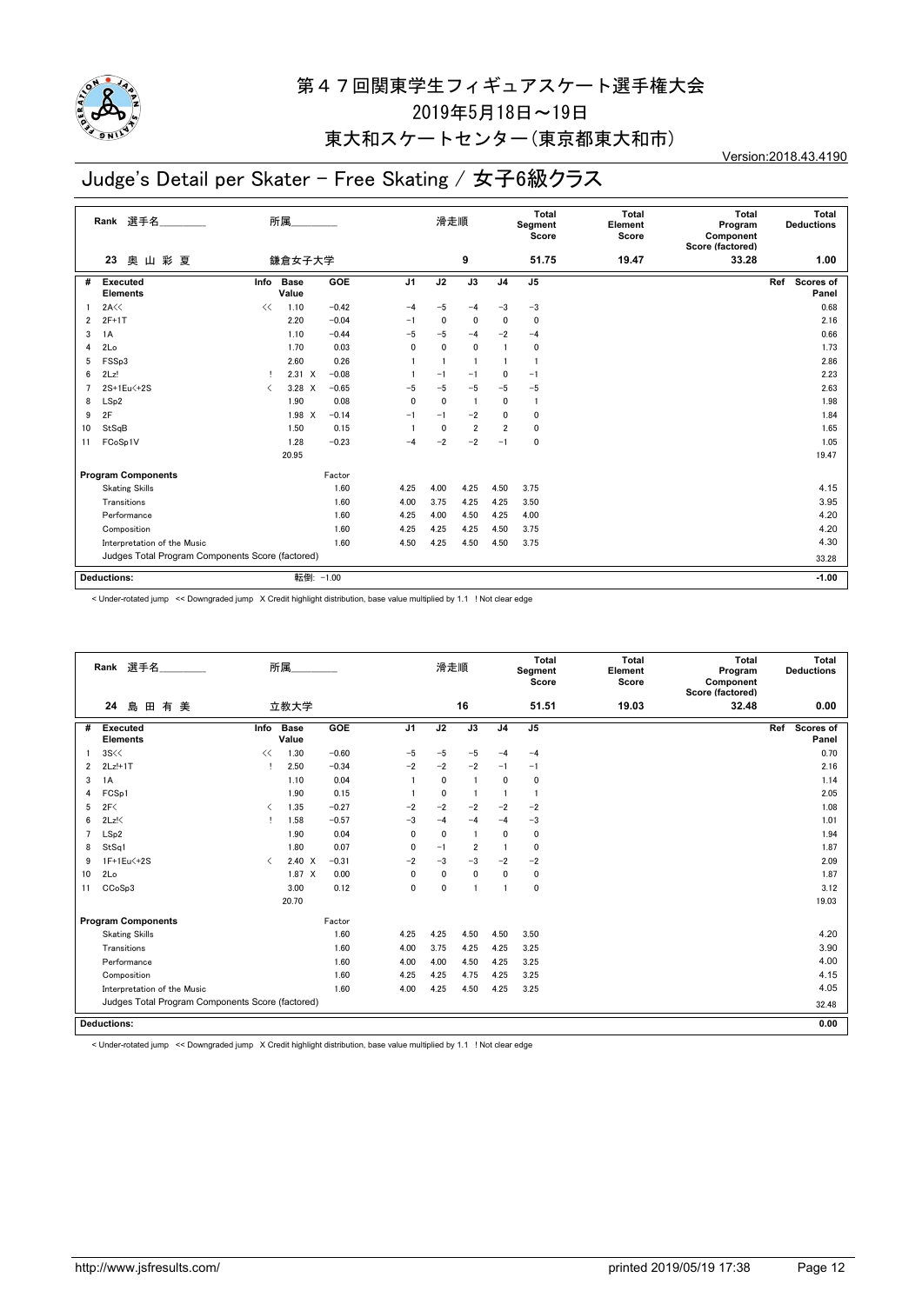

### 東大和スケートセンター(東京都東大和市)

# Judge's Detail per Skater - Free Skating / 女子6級クラス

Version:2018.43.4190

|                | 選手名<br>Rank                                      |                               | 所属                   |         |                | 滑走順  |                 |                | Total<br>Segment<br>Score | <b>Total</b><br>Element<br>Score | <b>Total</b><br>Program<br>Component<br>Score (factored) | <b>Total</b><br><b>Deductions</b> |
|----------------|--------------------------------------------------|-------------------------------|----------------------|---------|----------------|------|-----------------|----------------|---------------------------|----------------------------------|----------------------------------------------------------|-----------------------------------|
|                | 山彩夏<br>奥<br>23                                   |                               | 鎌倉女子大学               |         |                |      | 9               |                | 51.75                     | 19.47                            | 33.28                                                    | 1.00                              |
| #              | <b>Executed</b><br><b>Elements</b>               | Info                          | <b>Base</b><br>Value | GOE     | J <sub>1</sub> | J2   | $\overline{J3}$ | J <sub>4</sub> | J <sub>5</sub>            |                                  |                                                          | Scores of<br>Ref<br>Panel         |
|                | 2A<<                                             | <<                            | 1.10                 | $-0.42$ | $-4$           | $-5$ | $-4$            | $-3$           | $-3$                      |                                  |                                                          | 0.68                              |
| $\overline{2}$ | $2F+1T$                                          |                               | 2.20                 | $-0.04$ | $-1$           | 0    | $\mathbf 0$     | 0              | 0                         |                                  |                                                          | 2.16                              |
| 3              | 1A                                               |                               | 1.10                 | $-0.44$ | $-5$           | $-5$ | $-4$            | $-2$           | $-4$                      |                                  |                                                          | 0.66                              |
| 4              | 2Lo                                              |                               | 1.70                 | 0.03    | 0              | 0    | 0               |                | 0                         |                                  |                                                          | 1.73                              |
| 5              | FSSp3                                            |                               | 2.60                 | 0.26    |                |      |                 |                |                           |                                  |                                                          | 2.86                              |
| 6              | 2Lz!                                             |                               | $2.31 \t X$          | $-0.08$ |                | $-1$ | $-1$            | 0              | $-1$                      |                                  |                                                          | 2.23                              |
| $\overline{7}$ | 2S+1Eu<+2S                                       | $\overline{\left( \right. }%$ | 3.28 X               | $-0.65$ | -5             | $-5$ | $-5$            | $-5$           | $-5$                      |                                  |                                                          | 2.63                              |
| 8              | LSp2                                             |                               | 1.90                 | 0.08    | 0              | 0    | 1               | 0              | $\overline{1}$            |                                  |                                                          | 1.98                              |
| 9              | 2F                                               |                               | 1.98 X               | $-0.14$ | $-1$           | $-1$ | $-2$            | 0              | $\mathbf{0}$              |                                  |                                                          | 1.84                              |
| 10             | StSqB                                            |                               | 1.50                 | 0.15    |                | 0    | $\overline{2}$  | $\overline{2}$ | $\mathbf{0}$              |                                  |                                                          | 1.65                              |
| 11             | FCoSp1V                                          |                               | 1.28                 | $-0.23$ | $-4$           | $-2$ | $-2$            | $-1$           | 0                         |                                  |                                                          | 1.05                              |
|                |                                                  |                               | 20.95                |         |                |      |                 |                |                           |                                  |                                                          | 19.47                             |
|                | <b>Program Components</b>                        |                               |                      | Factor  |                |      |                 |                |                           |                                  |                                                          |                                   |
|                | <b>Skating Skills</b>                            |                               |                      | 1.60    | 4.25           | 4.00 | 4.25            | 4.50           | 3.75                      |                                  |                                                          | 4.15                              |
|                | Transitions                                      |                               |                      | 1.60    | 4.00           | 3.75 | 4.25            | 4.25           | 3.50                      |                                  |                                                          | 3.95                              |
|                | Performance                                      |                               |                      | 1.60    | 4.25           | 4.00 | 4.50            | 4.25           | 4.00                      |                                  |                                                          | 4.20                              |
|                | Composition                                      |                               |                      | 1.60    | 4.25           | 4.25 | 4.25            | 4.50           | 3.75                      |                                  |                                                          | 4.20                              |
|                | Interpretation of the Music                      |                               |                      | 1.60    | 4.50           | 4.25 | 4.50            | 4.50           | 3.75                      |                                  |                                                          | 4.30                              |
|                | Judges Total Program Components Score (factored) |                               |                      |         |                |      |                 |                |                           |                                  | 33.28                                                    |                                   |
|                | <b>Deductions:</b>                               |                               | 転倒: -1.00            |         |                |      |                 |                |                           |                                  |                                                          | $-1.00$                           |

< Under-rotated jump << Downgraded jump X Credit highlight distribution, base value multiplied by 1.1 ! Not clear edge

|    | Rank 選手名                                         |                                          | 所属            |         |                | 滑走順          |                |                | Total<br>Segment<br>Score | Total<br>Element<br>Score | Total<br>Program<br>Component<br>Score (factored) | Total<br><b>Deductions</b> |
|----|--------------------------------------------------|------------------------------------------|---------------|---------|----------------|--------------|----------------|----------------|---------------------------|---------------------------|---------------------------------------------------|----------------------------|
|    | 24<br>島<br>田<br>有<br>美                           |                                          | 立教大学          |         |                |              | 16             |                | 51.51                     | 19.03                     | 32.48                                             | 0.00                       |
| #  | <b>Executed</b><br><b>Elements</b>               | Info                                     | Base<br>Value | GOE     | J <sub>1</sub> | J2           | J3             | J <sub>4</sub> | $\mathsf{J}5$             |                           |                                                   | Scores of<br>Ref<br>Panel  |
|    | 3S<<                                             | <<                                       | 1.30          | $-0.60$ | $-5$           | $-5$         | $-5$           | $-4$           | $-4$                      |                           |                                                   | 0.70                       |
| 2  | $2Lz!+1T$                                        |                                          | 2.50          | $-0.34$ | $-2$           | $-2$         | $-2$           | $-1$           | $-1$                      |                           |                                                   | 2.16                       |
| 3  | 1A                                               |                                          | 1.10          | 0.04    |                | $\mathbf{0}$ | $\mathbf{1}$   | $\mathbf{0}$   | $\mathbf 0$               |                           |                                                   | 1.14                       |
| 4  | FCSp1                                            |                                          | 1.90          | 0.15    |                | $\mathbf{0}$ | $\mathbf{1}$   | $\overline{1}$ | $\overline{1}$            |                           |                                                   | 2.05                       |
| 5  | 2F<                                              | $\overline{\left\langle \right\rangle }$ | 1.35          | $-0.27$ | $-2$           | $-2$         | $-2$           | $-2$           | $-2$                      |                           |                                                   | 1.08                       |
| 6  | $2Lz$ !                                          |                                          | 1.58          | $-0.57$ | $-3$           | $-4$         | $-4$           | $-4$           | $-3$                      |                           |                                                   | 1.01                       |
|    | LSp2                                             |                                          | 1.90          | 0.04    | 0              | 0            | $\overline{1}$ | $\mathbf 0$    | 0                         |                           |                                                   | 1.94                       |
| 8  | StSq1                                            |                                          | 1.80          | 0.07    | 0              | $-1$         | $\overline{2}$ | $\overline{1}$ | 0                         |                           |                                                   | 1.87                       |
| 9  | 1F+1Eu<+2S                                       | $\langle$                                | $2.40 \times$ | $-0.31$ | $-2$           | $-3$         | $-3$           | $-2$           | $-2$                      |                           |                                                   | 2.09                       |
| 10 | 2Lo                                              |                                          | $1.87 \times$ | 0.00    | 0              | $\mathbf{0}$ | 0              | $\mathbf{0}$   | 0                         |                           |                                                   | 1.87                       |
| 11 | CCoSp3                                           |                                          | 3.00          | 0.12    | 0              | $\mathbf{0}$ | 1              | $\overline{1}$ | 0                         |                           |                                                   | 3.12                       |
|    |                                                  |                                          | 20.70         |         |                |              |                |                |                           |                           |                                                   | 19.03                      |
|    | <b>Program Components</b>                        |                                          |               | Factor  |                |              |                |                |                           |                           |                                                   |                            |
|    | <b>Skating Skills</b>                            |                                          |               | 1.60    | 4.25           | 4.25         | 4.50           | 4.50           | 3.50                      |                           |                                                   | 4.20                       |
|    | Transitions                                      |                                          |               | 1.60    | 4.00           | 3.75         | 4.25           | 4.25           | 3.25                      |                           |                                                   | 3.90                       |
|    | Performance                                      |                                          |               | 1.60    | 4.00           | 4.00         | 4.50           | 4.25           | 3.25                      |                           |                                                   | 4.00                       |
|    | Composition                                      |                                          |               | 1.60    | 4.25           | 4.25         | 4.75           | 4.25           | 3.25                      |                           |                                                   | 4.15                       |
|    | Interpretation of the Music                      |                                          |               | 1.60    | 4.00           | 4.25         | 4.50           | 4.25           | 3.25                      |                           |                                                   | 4.05                       |
|    | Judges Total Program Components Score (factored) |                                          |               |         |                |              |                |                |                           |                           |                                                   | 32.48                      |
|    | Deductions:                                      |                                          |               |         |                |              |                |                |                           |                           |                                                   | 0.00                       |

< Under-rotated jump << Downgraded jump X Credit highlight distribution, base value multiplied by 1.1 ! Not clear edge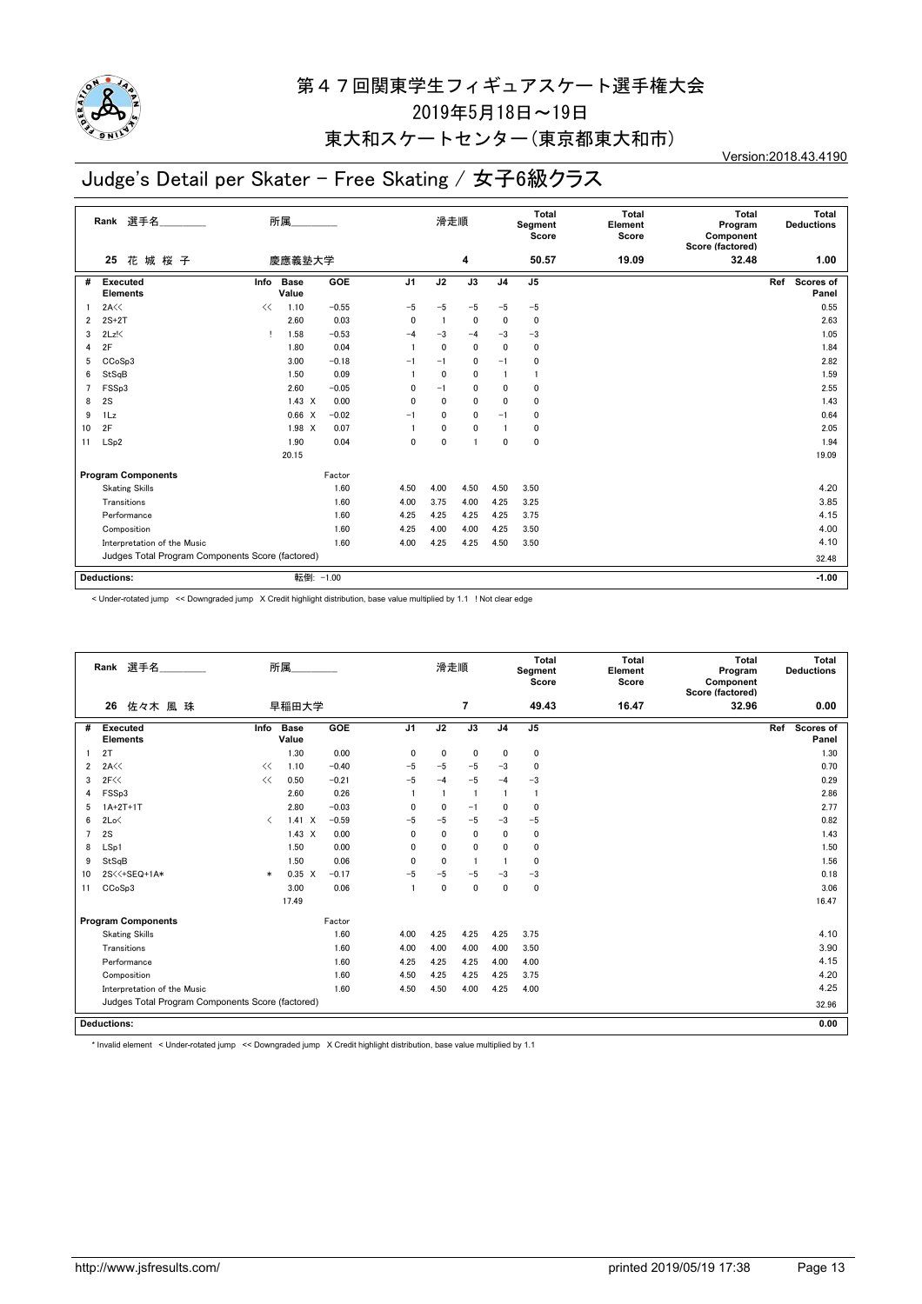

## 東大和スケートセンター(東京都東大和市)

# Judge's Detail per Skater - Free Skating / 女子6級クラス

Version:2018.43.4190

|                | 選手名<br>Rank                                      |      | 所属                   |            |                | 滑走順          |             |                | Total<br>Segment<br>Score | <b>Total</b><br>Element<br>Score | <b>Total</b><br>Program<br>Component<br>Score (factored) | Total<br><b>Deductions</b> |
|----------------|--------------------------------------------------|------|----------------------|------------|----------------|--------------|-------------|----------------|---------------------------|----------------------------------|----------------------------------------------------------|----------------------------|
|                | 花城桜子<br>25                                       |      | 慶應義塾大学               |            |                |              | 4           |                | 50.57                     | 19.09                            | 32.48                                                    | 1.00                       |
| #              | <b>Executed</b><br><b>Elements</b>               | Info | <b>Base</b><br>Value | <b>GOE</b> | J <sub>1</sub> | J2           | J3          | J <sub>4</sub> | J5                        |                                  |                                                          | Ref<br>Scores of<br>Panel  |
|                | 2A<<                                             | <<   | 1.10                 | $-0.55$    | $-5$           | $-5$         | $-5$        | -5             | $-5$                      |                                  |                                                          | 0.55                       |
| $\overline{2}$ | $2S+2T$                                          |      | 2.60                 | 0.03       | 0              |              | 0           | $\Omega$       | 0                         |                                  |                                                          | 2.63                       |
| 3              | $2Lz$ !                                          |      | 1.58                 | $-0.53$    | $-4$           | $-3$         | $-4$        | $-3$           | $-3$                      |                                  |                                                          | 1.05                       |
| 4              | 2F                                               |      | 1.80                 | 0.04       |                | $\mathbf{0}$ | 0           | $\Omega$       | 0                         |                                  |                                                          | 1.84                       |
| 5              | CCoSp3                                           |      | 3.00                 | $-0.18$    | $-1$           | $-1$         | 0           | $-1$           | 0                         |                                  |                                                          | 2.82                       |
| 6              | StSqB                                            |      | 1.50                 | 0.09       |                | $\mathbf{0}$ | 0           |                |                           |                                  |                                                          | 1.59                       |
| $\overline{7}$ | FSSp3                                            |      | 2.60                 | $-0.05$    | 0              | $-1$         | 0           | $\mathbf{0}$   | 0                         |                                  |                                                          | 2.55                       |
| 8              | 2S                                               |      | $1.43 \times$        | 0.00       | 0              | 0            | 0           | $\mathbf{0}$   | 0                         |                                  |                                                          | 1.43                       |
| 9              | 1Lz                                              |      | 0.66<br>$\mathsf{X}$ | $-0.02$    | $-1$           | 0            | 0           | $-1$           | 0                         |                                  |                                                          | 0.64                       |
| 10             | 2F                                               |      | $1.98$ X             | 0.07       |                | $\mathbf 0$  | $\mathbf 0$ |                | 0                         |                                  |                                                          | 2.05                       |
| 11             | LSp2                                             |      | 1.90                 | 0.04       | 0              | $\mathbf{0}$ |             | $\mathbf{0}$   | 0                         |                                  |                                                          | 1.94                       |
|                |                                                  |      | 20.15                |            |                |              |             |                |                           |                                  |                                                          | 19.09                      |
|                | <b>Program Components</b>                        |      |                      | Factor     |                |              |             |                |                           |                                  |                                                          |                            |
|                | <b>Skating Skills</b>                            |      |                      | 1.60       | 4.50           | 4.00         | 4.50        | 4.50           | 3.50                      |                                  |                                                          | 4.20                       |
|                | Transitions                                      |      |                      | 1.60       | 4.00           | 3.75         | 4.00        | 4.25           | 3.25                      |                                  |                                                          | 3.85                       |
|                | Performance                                      |      |                      | 1.60       | 4.25           | 4.25         | 4.25        | 4.25           | 3.75                      |                                  |                                                          | 4.15                       |
|                | Composition                                      |      |                      | 1.60       | 4.25           | 4.00         | 4.00        | 4.25           | 3.50                      |                                  |                                                          | 4.00                       |
|                | Interpretation of the Music                      |      |                      | 1.60       | 4.00           | 4.25         | 4.25        | 4.50           | 3.50                      |                                  |                                                          | 4.10                       |
|                | Judges Total Program Components Score (factored) |      |                      |            |                |              |             |                |                           |                                  |                                                          | 32.48                      |
|                | <b>Deductions:</b>                               |      | 転倒: -1.00            |            |                |              |             |                |                           |                                  |                                                          | $-1.00$                    |

< Under-rotated jump << Downgraded jump X Credit highlight distribution, base value multiplied by 1.1 ! Not clear edge

|                | Rank 選手名                                         |                               | 所属                   |         |                | 滑走順            |                |                | Total<br>Segment<br>Score | <b>Total</b><br>Element<br>Score | <b>Total</b><br>Program<br>Component<br>Score (factored) | Total<br><b>Deductions</b> |
|----------------|--------------------------------------------------|-------------------------------|----------------------|---------|----------------|----------------|----------------|----------------|---------------------------|----------------------------------|----------------------------------------------------------|----------------------------|
|                | 佐々木 風 珠<br>26                                    |                               | 早稲田大学                |         |                |                | $\overline{7}$ |                | 49.43                     | 16.47                            | 32.96                                                    | 0.00                       |
| #              | <b>Executed</b><br><b>Elements</b>               | Info                          | <b>Base</b><br>Value | GOE     | J <sub>1</sub> | J2             | J3             | J <sub>4</sub> | J <sub>5</sub>            |                                  |                                                          | Ref<br>Scores of<br>Panel  |
|                | 2T                                               |                               | 1.30                 | 0.00    | 0              | 0              | $\mathbf 0$    | $\mathbf 0$    | 0                         |                                  |                                                          | 1.30                       |
| $\overline{2}$ | 2A<<                                             | <<                            | 1.10                 | $-0.40$ | $-5$           | $-5$           | $-5$           | $-3$           | $\mathbf{0}$              |                                  |                                                          | 0.70                       |
| 3              | 2F<<                                             | <<                            | 0.50                 | $-0.21$ | $-5$           | $-4$           | $-5$           | $-4$           | $-3$                      |                                  |                                                          | 0.29                       |
| 4              | FSS <sub>p3</sub>                                |                               | 2.60                 | 0.26    |                | $\overline{1}$ | $\overline{1}$ | $\overline{1}$ | -1                        |                                  |                                                          | 2.86                       |
| 5              | $1A+2T+1T$                                       |                               | 2.80                 | $-0.03$ | $\mathbf{0}$   | $\mathbf{0}$   | $-1$           | $\Omega$       | 0                         |                                  |                                                          | 2.77                       |
| 6              | 2Lo<                                             | $\overline{\left( \right. }%$ | $1.41 \times$        | $-0.59$ | $-5$           | $-5$           | $-5$           | $-3$           | $-5$                      |                                  |                                                          | 0.82                       |
| $\overline{7}$ | 2S                                               |                               | $1.43 \times$        | 0.00    | 0              | $\mathbf 0$    | $\mathbf 0$    | $\mathbf{0}$   | $\mathbf 0$               |                                  |                                                          | 1.43                       |
| 8              | LSp1                                             |                               | 1.50                 | 0.00    | $\mathbf{0}$   | $\mathbf{0}$   | $\mathbf{0}$   | $\mathbf{0}$   | 0                         |                                  |                                                          | 1.50                       |
| 9              | StSqB                                            |                               | 1.50                 | 0.06    | $\Omega$       | $\mathbf{0}$   | $\overline{1}$ | -1             | 0                         |                                  |                                                          | 1.56                       |
| 10             | 2S<<+SEQ+1A*                                     | $\ast$                        | $0.35 \quad X$       | $-0.17$ | $-5$           | -5             | $-5$           | $-3$           | $-3$                      |                                  |                                                          | 0.18                       |
| 11             | CCoSp3                                           |                               | 3.00                 | 0.06    |                | $\mathbf 0$    | $\mathbf{0}$   | $\mathbf{0}$   | 0                         |                                  |                                                          | 3.06                       |
|                |                                                  |                               | 17.49                |         |                |                |                |                |                           |                                  |                                                          | 16.47                      |
|                | <b>Program Components</b>                        |                               |                      | Factor  |                |                |                |                |                           |                                  |                                                          |                            |
|                | <b>Skating Skills</b>                            |                               |                      | 1.60    | 4.00           | 4.25           | 4.25           | 4.25           | 3.75                      |                                  |                                                          | 4.10                       |
|                | Transitions                                      |                               |                      | 1.60    | 4.00           | 4.00           | 4.00           | 4.00           | 3.50                      |                                  |                                                          | 3.90                       |
|                | Performance                                      |                               |                      | 1.60    | 4.25           | 4.25           | 4.25           | 4.00           | 4.00                      |                                  |                                                          | 4.15                       |
|                | Composition                                      |                               |                      | 1.60    | 4.50           | 4.25           | 4.25           | 4.25           | 3.75                      |                                  |                                                          | 4.20                       |
|                | Interpretation of the Music                      |                               |                      | 1.60    | 4.50           | 4.50           | 4.00           | 4.25           | 4.00                      |                                  |                                                          | 4.25                       |
|                | Judges Total Program Components Score (factored) |                               |                      |         |                |                |                |                |                           |                                  | 32.96                                                    |                            |
|                | <b>Deductions:</b>                               |                               |                      |         |                |                |                |                |                           |                                  |                                                          | 0.00                       |

\* Invalid element < Under-rotated jump << Downgraded jump X Credit highlight distribution, base value multiplied by 1.1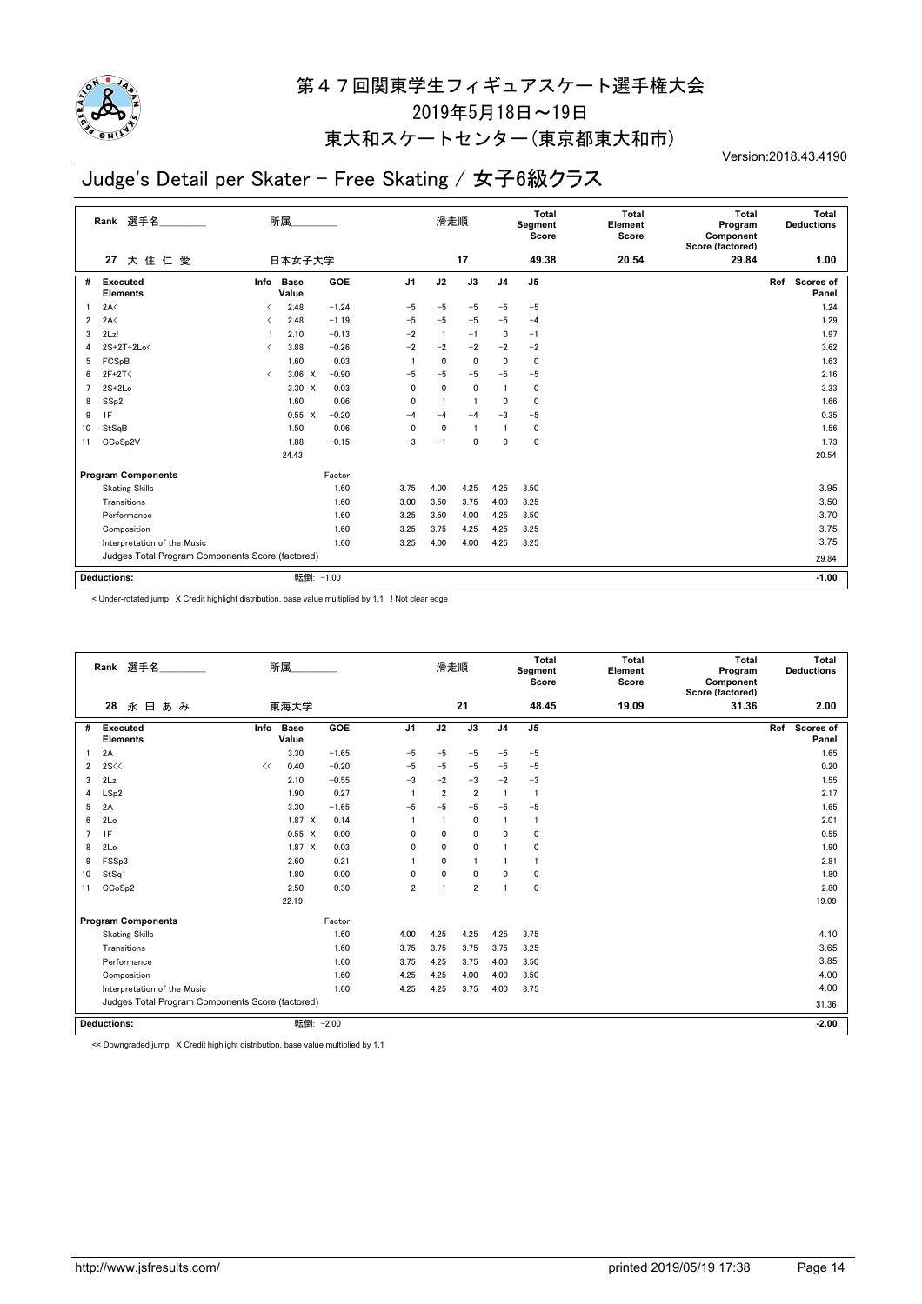

### 東大和スケートセンター(東京都東大和市)

# Judge's Detail per Skater - Free Skating / 女子6級クラス

Version:2018.43.4190

|                | 選手名<br>Rank                                      |           | 所属                   |            |                | 滑走順            |                 |                | Total<br>Segment<br>Score | <b>Total</b><br>Element<br>Score | <b>Total</b><br>Program<br>Component<br>Score (factored) | Total<br><b>Deductions</b> |
|----------------|--------------------------------------------------|-----------|----------------------|------------|----------------|----------------|-----------------|----------------|---------------------------|----------------------------------|----------------------------------------------------------|----------------------------|
|                | 大住仁愛<br>27                                       |           | 日本女子大学               |            |                |                | 17              |                | 49.38                     | 20.54                            | 29.84                                                    | 1.00                       |
| #              | <b>Executed</b><br><b>Elements</b>               | Info      | <b>Base</b><br>Value | <b>GOE</b> | J <sub>1</sub> | J2             | $\overline{J3}$ | J <sub>4</sub> | J <sub>5</sub>            |                                  |                                                          | Scores of<br>Ref<br>Panel  |
|                | 2A<                                              | ✓         | 2.48                 | $-1.24$    | $-5$           | $-5$           | $-5$            | $-5$           | $-5$                      |                                  |                                                          | 1.24                       |
| $\overline{2}$ | 2A<                                              | ◁         | 2.48                 | $-1.19$    | $-5$           | $-5$           | $-5$            | $-5$           | $-4$                      |                                  |                                                          | 1.29                       |
| 3              | 2Lz!                                             |           | 2.10                 | $-0.13$    | $-2$           | $\overline{1}$ | $-1$            | $\mathbf{0}$   | $-1$                      |                                  |                                                          | 1.97                       |
| 4              | $2S+2T+2Lo\leq$                                  | ✓         | 3.88                 | $-0.26$    | $-2$           | $-2$           | $-2$            | $-2$           | $-2$                      |                                  |                                                          | 3.62                       |
| 5              | FCSpB                                            |           | 1.60                 | 0.03       |                | 0              | $\mathbf{0}$    | $\mathbf{0}$   | $\mathbf{0}$              |                                  |                                                          | 1.63                       |
| 6              | $2F+2T<$                                         | $\langle$ | $3.06 \times$        | $-0.90$    | $-5$           | $-5$           | $-5$            | $-5$           | $-5$                      |                                  |                                                          | 2.16                       |
| $\overline{7}$ | $2S+2Lo$                                         |           | 3.30 X               | 0.03       | $\Omega$       | $\Omega$       | 0               |                | 0                         |                                  |                                                          | 3.33                       |
| 8              | SSp2                                             |           | 1.60                 | 0.06       | 0              |                |                 | 0              | $\mathbf{0}$              |                                  |                                                          | 1.66                       |
| 9              | 1F                                               |           | $0.55 \quad X$       | $-0.20$    | $-4$           | $-4$           | $-4$            | $-3$           | $-5$                      |                                  |                                                          | 0.35                       |
| 10             | StSqB                                            |           | 1.50                 | 0.06       | $\Omega$       | 0              |                 |                | 0                         |                                  |                                                          | 1.56                       |
| 11             | CCoSp2V                                          |           | 1.88                 | $-0.15$    | $-3$           | $-1$           | $\mathbf{0}$    | 0              | 0                         |                                  |                                                          | 1.73                       |
|                |                                                  |           | 24.43                |            |                |                |                 |                |                           |                                  |                                                          | 20.54                      |
|                | <b>Program Components</b>                        |           |                      | Factor     |                |                |                 |                |                           |                                  |                                                          |                            |
|                | <b>Skating Skills</b>                            |           |                      | 1.60       | 3.75           | 4.00           | 4.25            | 4.25           | 3.50                      |                                  |                                                          | 3.95                       |
|                | Transitions                                      |           |                      | 1.60       | 3.00           | 3.50           | 3.75            | 4.00           | 3.25                      |                                  |                                                          | 3.50                       |
|                | Performance                                      |           |                      | 1.60       | 3.25           | 3.50           | 4.00            | 4.25           | 3.50                      |                                  |                                                          | 3.70                       |
|                | Composition                                      |           |                      | 1.60       | 3.25           | 3.75           | 4.25            | 4.25           | 3.25                      |                                  |                                                          | 3.75                       |
|                | Interpretation of the Music                      |           |                      | 1.60       | 3.25           | 4.00           | 4.00            | 4.25           | 3.25                      |                                  |                                                          | 3.75                       |
|                | Judges Total Program Components Score (factored) |           |                      |            |                |                |                 |                |                           |                                  |                                                          | 29.84                      |
|                | <b>Deductions:</b>                               |           | 転倒: -1.00            |            |                |                |                 |                |                           |                                  |                                                          | $-1.00$                    |

< Under-rotated jump X Credit highlight distribution, base value multiplied by 1.1 ! Not clear edge

|                | Rank 選手名                                         | 所属   |                      |         |                | 滑走順                     |                |                | Total<br>Segment<br>Score | <b>Total</b><br>Element<br>Score | Total<br>Program<br>Component<br>Score (factored) | Total<br><b>Deductions</b> |
|----------------|--------------------------------------------------|------|----------------------|---------|----------------|-------------------------|----------------|----------------|---------------------------|----------------------------------|---------------------------------------------------|----------------------------|
|                | 永田あみ<br>28                                       |      | 東海大学                 |         |                |                         | 21             |                | 48.45                     | 19.09                            | 31.36                                             | 2.00                       |
| #              | <b>Executed</b><br><b>Elements</b>               | Info | <b>Base</b><br>Value | GOE     | J <sub>1</sub> | J2                      | J3             | J <sub>4</sub> | J <sub>5</sub>            |                                  |                                                   | Ref<br>Scores of<br>Panel  |
|                | 2A                                               |      | 3.30                 | $-1.65$ | $-5$           | $-5$                    | $-5$           | $-5$           | $-5$                      |                                  |                                                   | 1.65                       |
| 2              | 2S <                                             | <<   | 0.40                 | $-0.20$ | $-5$           | $-5$                    | $-5$           | $-5$           | $-5$                      |                                  |                                                   | 0.20                       |
| 3              | 2Lz                                              |      | 2.10                 | $-0.55$ | $-3$           | $-2$                    | $-3$           | $-2$           | $-3$                      |                                  |                                                   | 1.55                       |
| 4              | LSp2                                             |      | 1.90                 | 0.27    |                | $\overline{2}$          | $\overline{2}$ | $\overline{1}$ | -1                        |                                  |                                                   | 2.17                       |
| 5              | 2A                                               |      | 3.30                 | $-1.65$ | $-5$           | $-5$                    | $-5$           | $-5$           | $-5$                      |                                  |                                                   | 1.65                       |
| 6              | 2Lo                                              |      | 1.87 X               | 0.14    |                | $\overline{\mathbf{1}}$ | $\mathbf 0$    | $\mathbf{1}$   | -1                        |                                  |                                                   | 2.01                       |
| $\overline{7}$ | 1F                                               |      | $0.55 \quad X$       | 0.00    | 0              | $\mathbf 0$             | $\mathbf 0$    | $\mathbf{0}$   | 0                         |                                  |                                                   | 0.55                       |
| 8              | 2Lo                                              |      | $1.87 \times$        | 0.03    | 0              | $\mathbf{0}$            | $\mathbf{0}$   |                | $\mathbf{0}$              |                                  |                                                   | 1.90                       |
| 9              | FSSp3                                            |      | 2.60                 | 0.21    |                | $\mathbf{0}$            | $\mathbf{1}$   |                |                           |                                  |                                                   | 2.81                       |
| 10             | StSq1                                            |      | 1.80                 | 0.00    | 0              | $\mathbf 0$             | $\mathbf 0$    | $\mathbf{0}$   | 0                         |                                  |                                                   | 1.80                       |
| 11             | CCoSp2                                           |      | 2.50                 | 0.30    | $\overline{2}$ | -1                      | $\overline{2}$ |                | $\mathbf 0$               |                                  |                                                   | 2.80                       |
|                |                                                  |      | 22.19                |         |                |                         |                |                |                           |                                  |                                                   | 19.09                      |
|                | <b>Program Components</b>                        |      |                      | Factor  |                |                         |                |                |                           |                                  |                                                   |                            |
|                | <b>Skating Skills</b>                            |      |                      | 1.60    | 4.00           | 4.25                    | 4.25           | 4.25           | 3.75                      |                                  |                                                   | 4.10                       |
|                | Transitions                                      |      |                      | 1.60    | 3.75           | 3.75                    | 3.75           | 3.75           | 3.25                      |                                  |                                                   | 3.65                       |
|                | Performance                                      |      |                      | 1.60    | 3.75           | 4.25                    | 3.75           | 4.00           | 3.50                      |                                  |                                                   | 3.85                       |
|                | Composition                                      |      |                      | 1.60    | 4.25           | 4.25                    | 4.00           | 4.00           | 3.50                      |                                  |                                                   | 4.00                       |
|                | Interpretation of the Music                      |      |                      | 1.60    | 4.25           | 4.25                    | 3.75           | 4.00           | 3.75                      |                                  |                                                   | 4.00                       |
|                | Judges Total Program Components Score (factored) |      |                      |         |                |                         |                |                |                           | 31.36                            |                                                   |                            |
|                | <b>Deductions:</b>                               |      | 転倒: -2.00            |         |                |                         |                |                |                           |                                  |                                                   | $-2.00$                    |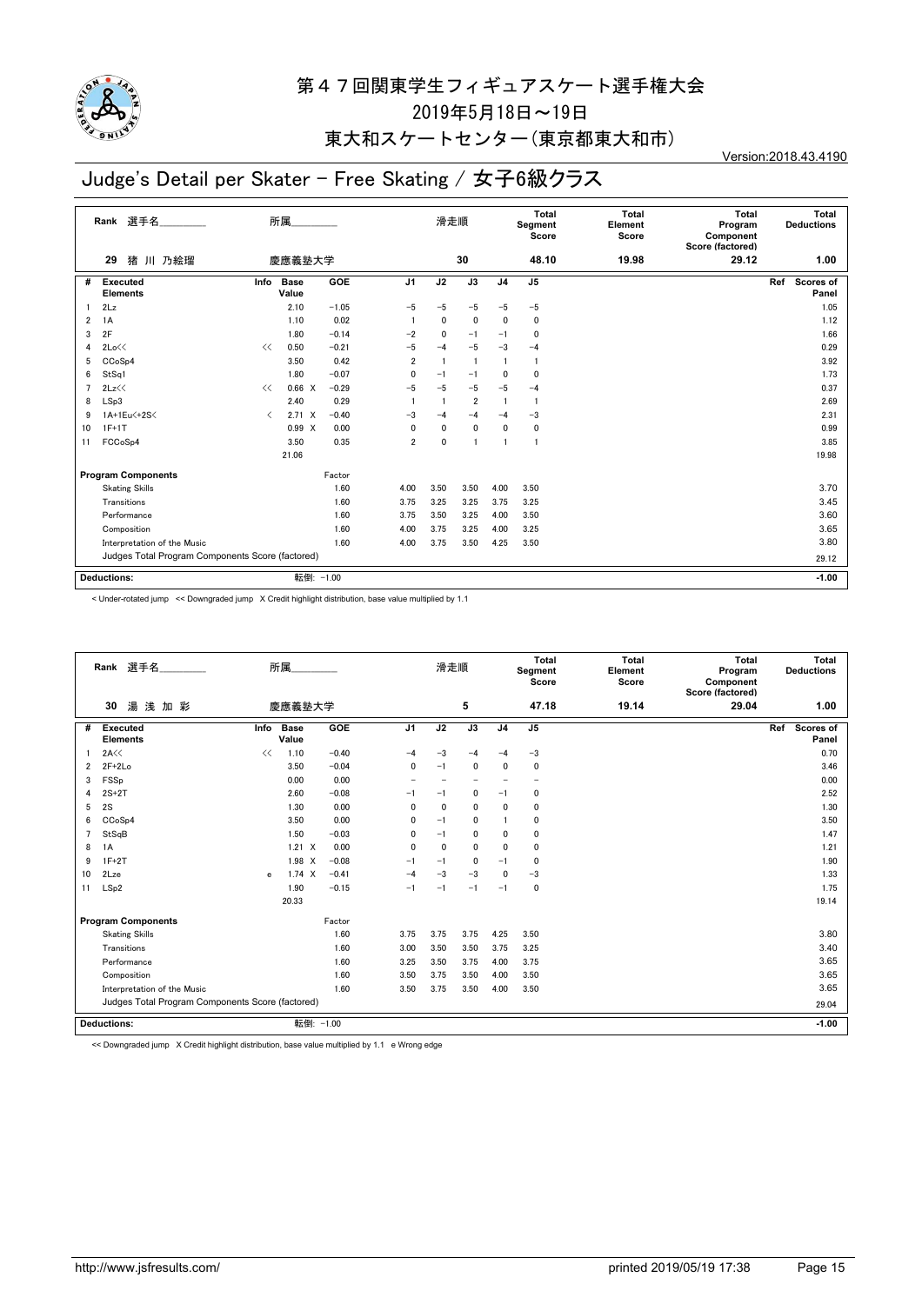

## 東大和スケートセンター(東京都東大和市)

# Judge's Detail per Skater - Free Skating / 女子6級クラス

Version:2018.43.4190

|                | 選手名<br>Rank                                      |                               | 所属                   |            |                | 滑走順          |                         |                | Total<br>Segment<br>Score | Total<br>Element<br>Score | <b>Total</b><br>Program<br>Component<br>Score (factored) | Total<br><b>Deductions</b>       |
|----------------|--------------------------------------------------|-------------------------------|----------------------|------------|----------------|--------------|-------------------------|----------------|---------------------------|---------------------------|----------------------------------------------------------|----------------------------------|
|                | 猪 川 乃絵瑠<br>29                                    |                               | 慶應義塾大学               |            |                |              | 30                      |                | 48.10                     | 19.98                     | 29.12                                                    | 1.00                             |
| #              | <b>Executed</b><br><b>Elements</b>               | Info                          | <b>Base</b><br>Value | <b>GOE</b> | J <sub>1</sub> | J2           | J3                      | J <sub>4</sub> | J <sub>5</sub>            |                           |                                                          | <b>Scores of</b><br>Ref<br>Panel |
|                | 2Lz                                              |                               | 2.10                 | $-1.05$    | $-5$           | $-5$         | $-5$                    | $-5$           | $-5$                      |                           |                                                          | 1.05                             |
| 2              | 1A                                               |                               | 1.10                 | 0.02       |                | $\mathbf{0}$ | $\mathbf 0$             | 0              | 0                         |                           |                                                          | 1.12                             |
| 3              | 2F                                               |                               | 1.80                 | $-0.14$    | $-2$           | $\mathbf{0}$ | $-1$                    | $-1$           | 0                         |                           |                                                          | 1.66                             |
| 4              | 2Lo<<                                            | <<                            | 0.50                 | $-0.21$    | $-5$           | $-4$         | $-5$                    | $-3$           | $-4$                      |                           |                                                          | 0.29                             |
| 5              | CCoSp4                                           |                               | 3.50                 | 0.42       | 2              |              |                         |                | $\mathbf{1}$              |                           |                                                          | 3.92                             |
| 6              | StSq1                                            |                               | 1.80                 | $-0.07$    | 0              | $-1$         | $-1$                    | 0              | $\mathbf{0}$              |                           |                                                          | 1.73                             |
| $\overline{7}$ | 2Lz<<                                            | <<                            | $0.66 \times$        | $-0.29$    | $-5$           | $-5$         | $-5$                    | $-5$           | $-4$                      |                           |                                                          | 0.37                             |
| 8              | LSp3                                             |                               | 2.40                 | 0.29       |                |              | $\overline{\mathbf{2}}$ |                | -1                        |                           |                                                          | 2.69                             |
| 9              | 1A+1Eu<+2S<                                      | $\overline{\left( \right. }%$ | $2.71 \times$        | $-0.40$    | $-3$           | $-4$         | $-4$                    | $-4$           | $-3$                      |                           |                                                          | 2.31                             |
| 10             | $1F+1T$                                          |                               | 0.99 X               | 0.00       | 0              | $\mathbf{0}$ | $\mathbf 0$             | 0              | 0                         |                           |                                                          | 0.99                             |
| 11             | FCCoSp4                                          |                               | 3.50                 | 0.35       | $\overline{2}$ | $\mathbf{0}$ |                         |                | -1                        |                           |                                                          | 3.85                             |
|                |                                                  |                               | 21.06                |            |                |              |                         |                |                           |                           |                                                          | 19.98                            |
|                | <b>Program Components</b>                        |                               |                      | Factor     |                |              |                         |                |                           |                           |                                                          |                                  |
|                | <b>Skating Skills</b>                            |                               |                      | 1.60       | 4.00           | 3.50         | 3.50                    | 4.00           | 3.50                      |                           |                                                          | 3.70                             |
|                | Transitions                                      |                               |                      | 1.60       | 3.75           | 3.25         | 3.25                    | 3.75           | 3.25                      |                           |                                                          | 3.45                             |
|                | Performance                                      |                               |                      | 1.60       | 3.75           | 3.50         | 3.25                    | 4.00           | 3.50                      |                           |                                                          | 3.60                             |
|                | Composition                                      |                               |                      | 1.60       | 4.00           | 3.75         | 3.25                    | 4.00           | 3.25                      |                           |                                                          | 3.65                             |
|                | Interpretation of the Music                      |                               |                      | 1.60       | 4.00           | 3.75         | 3.50                    | 4.25           | 3.50                      |                           |                                                          | 3.80                             |
|                | Judges Total Program Components Score (factored) |                               |                      |            |                |              |                         |                |                           |                           |                                                          | 29.12                            |
|                | <b>Deductions:</b>                               |                               | 転倒: -1.00            |            |                |              |                         |                |                           |                           |                                                          | $-1.00$                          |

< Under-rotated jump << Downgraded jump X Credit highlight distribution, base value multiplied by 1.1

| Rank 選手名<br>所属<br>湯浅加彩<br>慶應義塾大学<br>30 |                                                  |      |                      | 滑走順       |                |              | Total<br>Segment<br>Score | Total<br>Element<br>Score | Total<br>Program<br>Component<br>Score (factored) | Total<br><b>Deductions</b> |       |                           |
|----------------------------------------|--------------------------------------------------|------|----------------------|-----------|----------------|--------------|---------------------------|---------------------------|---------------------------------------------------|----------------------------|-------|---------------------------|
|                                        |                                                  |      |                      |           |                |              | 5                         |                           | 47.18                                             | 19.14                      | 29.04 | 1.00                      |
| #                                      | <b>Executed</b><br><b>Elements</b>               | Info | <b>Base</b><br>Value | GOE       | J <sub>1</sub> | J2           | J3                        | J <sub>4</sub>            | J <sub>5</sub>                                    |                            |       | Ref<br>Scores of<br>Panel |
|                                        | 2A<<                                             | <<   | 1.10                 | $-0.40$   | $-4$           | $-3$         | $-4$                      | $-4$                      | $-3$                                              |                            |       | 0.70                      |
| $\overline{2}$                         | $2F+2Lo$                                         |      | 3.50                 | $-0.04$   | 0              | $-1$         | $\mathbf{0}$              | $\mathbf 0$               | $\mathbf 0$                                       |                            |       | 3.46                      |
| 3                                      | FSSp                                             |      | 0.00                 | 0.00      |                |              | $\overline{\phantom{a}}$  |                           | $\overline{\phantom{0}}$                          |                            |       | 0.00                      |
| 4                                      | $2S+2T$                                          |      | 2.60                 | $-0.08$   | $-1$           | $-1$         | 0                         | $-1$                      | 0                                                 |                            |       | 2.52                      |
| 5                                      | 2S                                               |      | 1.30                 | 0.00      | $\Omega$       | $\mathbf{0}$ | $\mathbf{0}$              | $\mathbf{0}$              | $\mathbf 0$                                       |                            |       | 1.30                      |
| 6                                      | CCoSp4                                           |      | 3.50                 | 0.00      | 0              | $-1$         | 0                         |                           | 0                                                 |                            |       | 3.50                      |
| 7                                      | StSqB                                            |      | 1.50                 | $-0.03$   | 0              | $-1$         | 0                         | 0                         | 0                                                 |                            |       | 1.47                      |
| 8                                      | 1A                                               |      | $1.21 \times$        | 0.00      | $\mathbf 0$    | $\mathbf{0}$ | $\mathbf{0}$              | $\Omega$                  | 0                                                 |                            |       | 1.21                      |
| 9                                      | $1F+2T$                                          |      | 1.98<br>X            | $-0.08$   | $-1$           | $-1$         | $\mathbf{0}$              | $-1$                      | 0                                                 |                            |       | 1.90                      |
| 10                                     | 2Lze                                             | e    | $1.74 \times$        | $-0.41$   | $-4$           | $-3$         | $-3$                      | $\Omega$                  | $-3$                                              |                            |       | 1.33                      |
| 11                                     | LSp2                                             |      | 1.90                 | $-0.15$   | $-1$           | $-1$         | $-1$                      | $-1$                      | 0                                                 |                            |       | 1.75                      |
|                                        |                                                  |      | 20.33                |           |                |              |                           |                           |                                                   |                            |       | 19.14                     |
|                                        | <b>Program Components</b>                        |      |                      | Factor    |                |              |                           |                           |                                                   |                            |       |                           |
|                                        | <b>Skating Skills</b>                            |      |                      | 1.60      | 3.75           | 3.75         | 3.75                      | 4.25                      | 3.50                                              |                            |       | 3.80                      |
|                                        | Transitions                                      |      |                      | 1.60      | 3.00           | 3.50         | 3.50                      | 3.75                      | 3.25                                              |                            |       | 3.40                      |
|                                        | Performance                                      |      |                      | 1.60      | 3.25           | 3.50         | 3.75                      | 4.00                      | 3.75                                              |                            |       | 3.65                      |
|                                        | Composition                                      |      |                      | 1.60      | 3.50           | 3.75         | 3.50                      | 4.00                      | 3.50                                              |                            |       | 3.65                      |
|                                        | Interpretation of the Music                      |      |                      | 1.60      | 3.50           | 3.75         | 3.50                      | 4.00                      | 3.50                                              |                            |       | 3.65                      |
|                                        | Judges Total Program Components Score (factored) |      |                      |           |                |              |                           |                           |                                                   |                            |       | 29.04                     |
|                                        | Deductions:                                      |      |                      | 転倒: -1.00 |                |              |                           |                           |                                                   |                            |       | $-1.00$                   |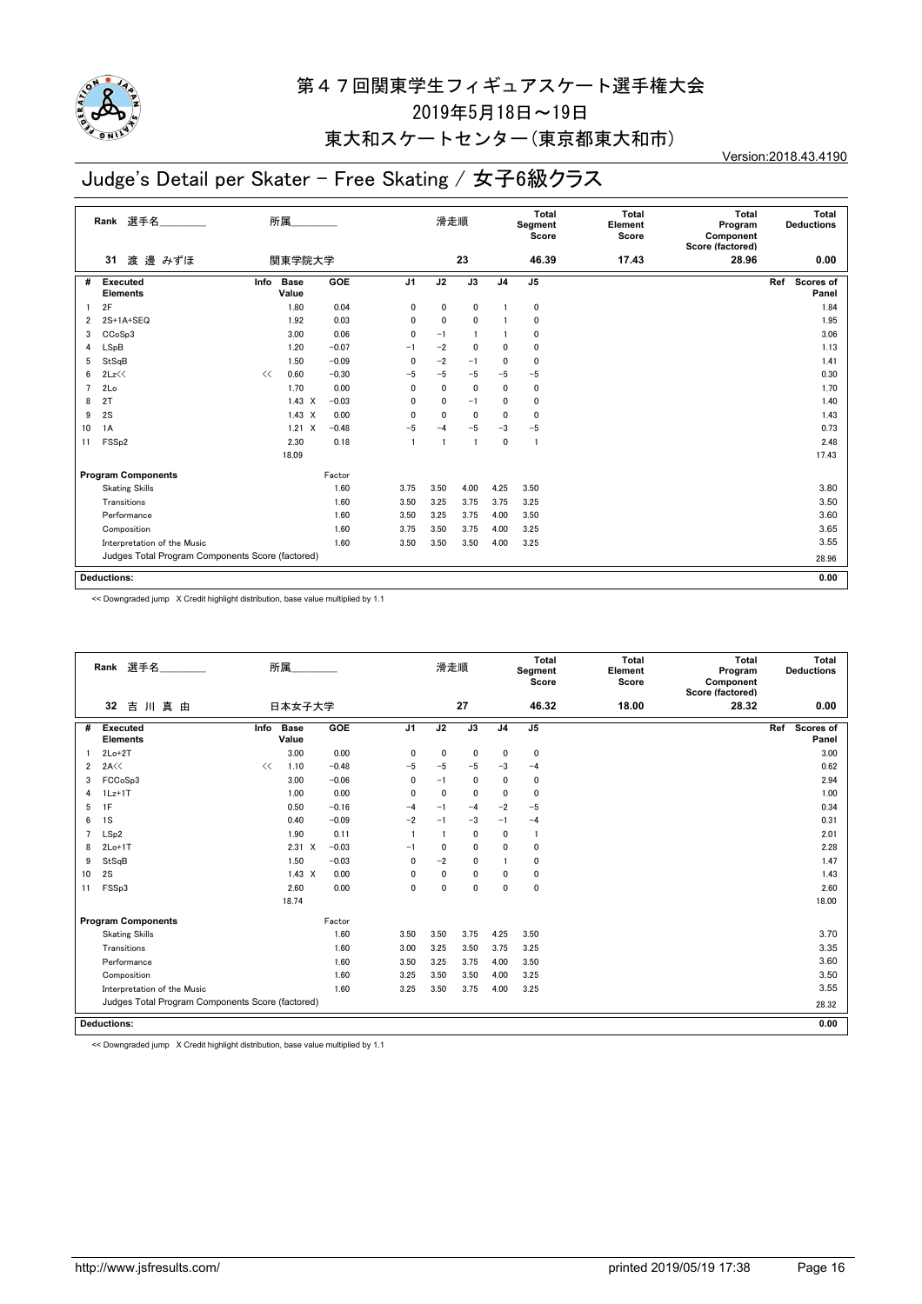

### 東大和スケートセンター(東京都東大和市)

# Judge's Detail per Skater - Free Skating / 女子6級クラス

Version:2018.43.4190

|    | 選手名<br>Rank                                      |      | 所属            |         |                | 滑走順  |                 |                | Total<br>Segment<br>Score | Total<br>Element<br>Score | <b>Total</b><br>Program<br>Component<br>Score (factored) | Total<br><b>Deductions</b> |
|----|--------------------------------------------------|------|---------------|---------|----------------|------|-----------------|----------------|---------------------------|---------------------------|----------------------------------------------------------|----------------------------|
|    | 渡 邊 みずほ<br>31                                    |      | 関東学院大学        |         |                |      | 23              |                | 46.39                     | 17.43                     | 28.96                                                    | 0.00                       |
| #  | <b>Executed</b><br><b>Elements</b>               | Info | Base<br>Value | GOE     | J <sub>1</sub> | J2   | $\overline{J3}$ | J <sub>4</sub> | J <sub>5</sub>            |                           |                                                          | Scores of<br>Ref<br>Panel  |
|    | 2F                                               |      | 1.80          | 0.04    | 0              | 0    | 0               |                | 0                         |                           |                                                          | 1.84                       |
| 2  | $2S+1A+SEQ$                                      |      | 1.92          | 0.03    | $\mathbf{0}$   | 0    | 0               |                | 0                         |                           |                                                          | 1.95                       |
| 3  | CCoSp3                                           |      | 3.00          | 0.06    | 0              | $-1$ |                 |                | 0                         |                           |                                                          | 3.06                       |
| 4  | LSpB                                             |      | 1.20          | $-0.07$ | $-1$           | $-2$ | $\mathbf{0}$    | $\mathbf{0}$   | $\mathbf{0}$              |                           |                                                          | 1.13                       |
| 5  | StSqB                                            |      | 1.50          | $-0.09$ | 0              | $-2$ | $-1$            | $\mathbf{0}$   | $\mathbf{0}$              |                           |                                                          | 1.41                       |
| 6  | 2Lz<<                                            | <<   | 0.60          | $-0.30$ | $-5$           | $-5$ | $-5$            | $-5$           | $-5$                      |                           |                                                          | 0.30                       |
| 7  | 2Lo                                              |      | 1.70          | 0.00    | $\mathbf{0}$   | 0    | 0               | $\mathbf{0}$   | 0                         |                           |                                                          | 1.70                       |
| 8  | 2T                                               |      | $1.43 \times$ | $-0.03$ | $\mathbf{0}$   | 0    | $-1$            | 0              | $\mathbf{0}$              |                           |                                                          | 1.40                       |
| 9  | 2S                                               |      | $1.43 \times$ | 0.00    | $\mathbf{0}$   | 0    | $\mathbf{0}$    | $\mathbf{0}$   | $\mathbf{0}$              |                           |                                                          | 1.43                       |
| 10 | 1A                                               |      | $1.21 \times$ | $-0.48$ | -5             | -4   | $-5$            | $-3$           | $-5$                      |                           |                                                          | 0.73                       |
| 11 | FSS <sub>p2</sub>                                |      | 2.30          | 0.18    |                |      |                 | $\mathbf{0}$   | $\overline{1}$            |                           |                                                          | 2.48                       |
|    |                                                  |      | 18.09         |         |                |      |                 |                |                           |                           |                                                          | 17.43                      |
|    | <b>Program Components</b>                        |      |               | Factor  |                |      |                 |                |                           |                           |                                                          |                            |
|    | <b>Skating Skills</b>                            |      |               | 1.60    | 3.75           | 3.50 | 4.00            | 4.25           | 3.50                      |                           |                                                          | 3.80                       |
|    | Transitions                                      |      |               | 1.60    | 3.50           | 3.25 | 3.75            | 3.75           | 3.25                      |                           |                                                          | 3.50                       |
|    | Performance                                      |      |               | 1.60    | 3.50           | 3.25 | 3.75            | 4.00           | 3.50                      |                           |                                                          | 3.60                       |
|    | Composition                                      |      |               | 1.60    | 3.75           | 3.50 | 3.75            | 4.00           | 3.25                      |                           |                                                          | 3.65                       |
|    | Interpretation of the Music                      |      |               | 1.60    | 3.50           | 3.50 | 3.50            | 4.00           | 3.25                      |                           |                                                          | 3.55                       |
|    | Judges Total Program Components Score (factored) |      |               |         |                |      |                 |                |                           |                           |                                                          | 28.96                      |
|    |                                                  |      |               |         |                |      |                 |                |                           |                           |                                                          |                            |
|    | <b>Deductions:</b>                               |      |               |         |                |      |                 |                |                           |                           |                                                          | 0.00                       |

<< Downgraded jump X Credit highlight distribution, base value multiplied by 1.1

| Rank 選手名<br>所属<br>吉川真由<br>32 |                                                  |      |                      |         |                | 滑走順            |             |                | Total<br>Segment<br>Score | <b>Total</b><br>Element<br>Score | Total<br>Program<br>Component<br>Score (factored) | Total<br><b>Deductions</b>       |
|------------------------------|--------------------------------------------------|------|----------------------|---------|----------------|----------------|-------------|----------------|---------------------------|----------------------------------|---------------------------------------------------|----------------------------------|
|                              |                                                  |      | 日本女子大学               |         |                |                | 27          |                | 46.32                     | 18.00                            | 28.32                                             | 0.00                             |
| #                            | <b>Executed</b><br><b>Elements</b>               | Info | <b>Base</b><br>Value | GOE     | J <sub>1</sub> | J2             | J3          | J <sub>4</sub> | J <sub>5</sub>            |                                  |                                                   | Ref<br><b>Scores of</b><br>Panel |
|                              | $2Lo+2T$                                         |      | 3.00                 | 0.00    | 0              | $\Omega$       | $\pmb{0}$   | 0              | 0                         |                                  |                                                   | 3.00                             |
| $\overline{2}$               | 2A<<                                             | <<   | 1.10                 | $-0.48$ | $-5$           | $-5$           | $-5$        | $-3$           | $-4$                      |                                  |                                                   | 0.62                             |
| 3                            | FCCoSp3                                          |      | 3.00                 | $-0.06$ | 0              | $-1$           | $\mathbf 0$ | 0              | 0                         |                                  |                                                   | 2.94                             |
| 4                            | $1Lz+1T$                                         |      | 1.00                 | 0.00    | $\mathbf{0}$   | $\mathbf{0}$   | $\mathbf 0$ | 0              | $\mathbf 0$               |                                  |                                                   | 1.00                             |
| 5                            | 1F                                               |      | 0.50                 | $-0.16$ | $-4$           | $-1$           | $-4$        | $-2$           | $-5$                      |                                  |                                                   | 0.34                             |
| 6                            | 1S                                               |      | 0.40                 | $-0.09$ | $-2$           | $-1$           | $-3$        | $-1$           | $-4$                      |                                  |                                                   | 0.31                             |
| $\overline{7}$               | LSp2                                             |      | 1.90                 | 0.11    |                | $\overline{1}$ | $\mathbf 0$ | 0              | $\overline{1}$            |                                  |                                                   | 2.01                             |
| 8                            | $2Lo+1T$                                         |      | $2.31 \t X$          | $-0.03$ | $-1$           | $\mathbf{0}$   | $\mathbf 0$ | 0              | 0                         |                                  |                                                   | 2.28                             |
| 9                            | StSqB                                            |      | 1.50                 | $-0.03$ | 0              | $-2$           | $\mathbf 0$ |                | 0                         |                                  |                                                   | 1.47                             |
| 10                           | 2S                                               |      | $1.43 \times$        | 0.00    | 0              | $\mathbf{0}$   | 0           | 0              | $\mathbf{0}$              |                                  |                                                   | 1.43                             |
| 11                           | FSSp3                                            |      | 2.60                 | 0.00    | 0              | $\Omega$       | $\mathbf 0$ | 0              | 0                         |                                  |                                                   | 2.60                             |
|                              |                                                  |      | 18.74                |         |                |                |             |                |                           |                                  |                                                   | 18.00                            |
|                              | <b>Program Components</b>                        |      |                      | Factor  |                |                |             |                |                           |                                  |                                                   |                                  |
|                              | <b>Skating Skills</b>                            |      |                      | 1.60    | 3.50           | 3.50           | 3.75        | 4.25           | 3.50                      |                                  |                                                   | 3.70                             |
|                              | Transitions                                      |      |                      | 1.60    | 3.00           | 3.25           | 3.50        | 3.75           | 3.25                      |                                  |                                                   | 3.35                             |
|                              | Performance                                      |      |                      | 1.60    | 3.50           | 3.25           | 3.75        | 4.00           | 3.50                      |                                  |                                                   | 3.60                             |
|                              | Composition                                      |      |                      | 1.60    | 3.25           | 3.50           | 3.50        | 4.00           | 3.25                      |                                  |                                                   | 3.50                             |
|                              | Interpretation of the Music                      |      |                      | 1.60    | 3.25           | 3.50           | 3.75        | 4.00           | 3.25                      |                                  |                                                   | 3.55                             |
|                              | Judges Total Program Components Score (factored) |      |                      |         |                |                |             |                |                           |                                  | 28.32                                             |                                  |
|                              | Deductions:                                      |      |                      |         |                |                |             |                |                           |                                  |                                                   | 0.00                             |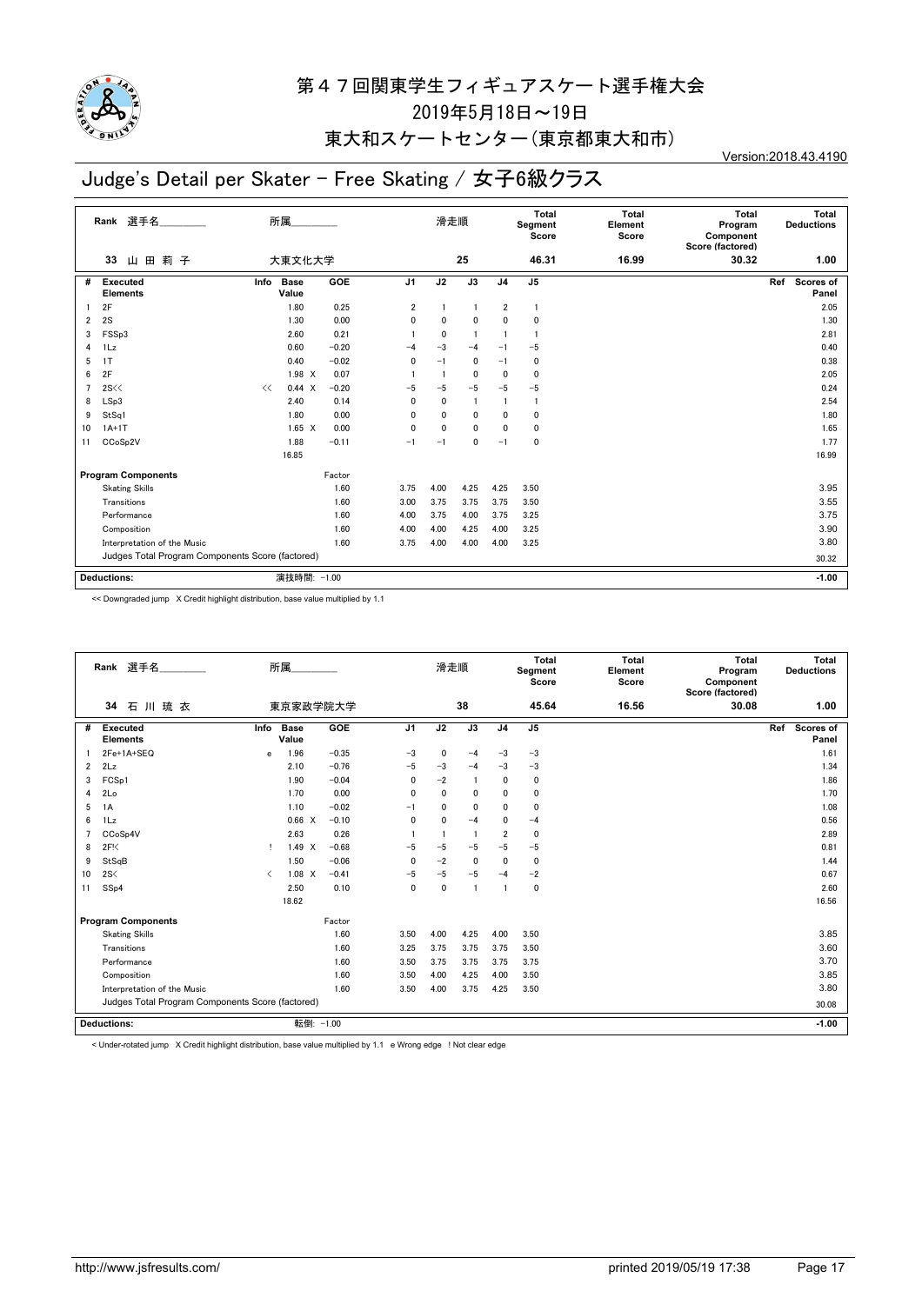

## 東大和スケートセンター(東京都東大和市)

# Judge's Detail per Skater - Free Skating / 女子6級クラス

Version:2018.43.4190

|                | 選手名<br>Rank                                      | 所属                           |            |                | 滑走順  |                 |                | <b>Total</b><br>Segment<br>Score | <b>Total</b><br>Element<br>Score | <b>Total</b><br>Program<br>Component<br>Score (factored) | Total<br><b>Deductions</b>       |
|----------------|--------------------------------------------------|------------------------------|------------|----------------|------|-----------------|----------------|----------------------------------|----------------------------------|----------------------------------------------------------|----------------------------------|
|                | 莉子<br>田<br>33<br>Ш                               | 大東文化大学                       |            |                |      | 25              |                | 46.31                            | 16.99                            | 30.32                                                    | 1.00                             |
| #              | Executed<br><b>Elements</b>                      | Info<br><b>Base</b><br>Value | <b>GOE</b> | J <sub>1</sub> | J2   | $\overline{J3}$ | J <sub>4</sub> | J <sub>5</sub>                   |                                  |                                                          | Ref<br><b>Scores of</b><br>Panel |
|                | 2F                                               | 1.80                         | 0.25       | 2              |      |                 | 2              | $\overline{1}$                   |                                  |                                                          | 2.05                             |
| $\overline{2}$ | 2S                                               | 1.30                         | 0.00       | 0              | 0    | 0               | 0              | $\mathbf{0}$                     |                                  |                                                          | 1.30                             |
| 3              | FSSp3                                            | 2.60                         | 0.21       |                | 0    |                 |                | -1                               |                                  |                                                          | 2.81                             |
| 4              | 1Lz                                              | 0.60                         | $-0.20$    | -4             | $-3$ | $-4$            | $-1$           | $-5$                             |                                  |                                                          | 0.40                             |
| 5              | 1T                                               | 0.40                         | $-0.02$    | 0              | $-1$ | 0               | $-1$           | $\mathbf{0}$                     |                                  |                                                          | 0.38                             |
| 6              | 2F                                               | 1.98 X                       | 0.07       |                |      | $\mathbf{0}$    | 0              | $\mathbf{0}$                     |                                  |                                                          | 2.05                             |
| $\overline{7}$ | 2S <                                             | $0.44 \times$<br><<          | $-0.20$    | -5             | $-5$ | $-5$            | $-5$           | $-5$                             |                                  |                                                          | 0.24                             |
| 8              | LSp3                                             | 2.40                         | 0.14       | 0              | 0    |                 |                | -1                               |                                  |                                                          | 2.54                             |
| 9              | StSq1                                            | 1.80                         | 0.00       | 0              | 0    | 0               | 0              | $\mathbf{0}$                     |                                  |                                                          | 1.80                             |
| 10             | $1A+1T$                                          | $1.65 \quad X$               | 0.00       | 0              | 0    | 0               | 0              | 0                                |                                  |                                                          | 1.65                             |
| 11             | CCoSp2V                                          | 1.88                         | $-0.11$    | $-1$           | $-1$ | 0               | $-1$           | $\mathbf{0}$                     |                                  |                                                          | 1.77                             |
|                |                                                  | 16.85                        |            |                |      |                 |                |                                  |                                  |                                                          | 16.99                            |
|                | <b>Program Components</b>                        |                              | Factor     |                |      |                 |                |                                  |                                  |                                                          |                                  |
|                | <b>Skating Skills</b>                            |                              | 1.60       | 3.75           | 4.00 | 4.25            | 4.25           | 3.50                             |                                  |                                                          | 3.95                             |
|                | Transitions                                      |                              | 1.60       | 3.00           | 3.75 | 3.75            | 3.75           | 3.50                             |                                  |                                                          | 3.55                             |
|                | Performance                                      |                              | 1.60       | 4.00           | 3.75 | 4.00            | 3.75           | 3.25                             |                                  |                                                          | 3.75                             |
|                | Composition                                      |                              | 1.60       | 4.00           | 4.00 | 4.25            | 4.00           | 3.25                             |                                  |                                                          | 3.90                             |
|                | Interpretation of the Music                      |                              | 1.60       | 3.75           | 4.00 | 4.00            | 4.00           | 3.25                             |                                  |                                                          | 3.80                             |
|                | Judges Total Program Components Score (factored) |                              |            |                |      |                 |                |                                  |                                  |                                                          | 30.32                            |
|                | <b>Deductions:</b>                               | 演技時間: -1.00                  |            |                |      |                 |                |                                  |                                  |                                                          | $-1.00$                          |

<< Downgraded jump X Credit highlight distribution, base value multiplied by 1.1

| Rank 選手名<br>所属<br>東京家政学院大学<br>石川琉衣<br>34 |                                                  |                               |                      |         | 滑走順            |      |                | <b>Total</b><br>Segment<br>Score | <b>Total</b><br>Element<br>Score | <b>Total</b><br>Program<br>Component<br>Score (factored) | Total<br><b>Deductions</b> |                           |
|------------------------------------------|--------------------------------------------------|-------------------------------|----------------------|---------|----------------|------|----------------|----------------------------------|----------------------------------|----------------------------------------------------------|----------------------------|---------------------------|
|                                          |                                                  |                               |                      |         |                |      | 38             |                                  | 45.64                            | 16.56                                                    | 30.08                      | 1.00                      |
| #                                        | <b>Executed</b><br><b>Elements</b>               | Info                          | <b>Base</b><br>Value | GOE     | J <sub>1</sub> | J2   | J3             | J <sub>4</sub>                   | J <sub>5</sub>                   |                                                          |                            | Ref<br>Scores of<br>Panel |
|                                          | 2Fe+1A+SEQ                                       | e                             | 1.96                 | $-0.35$ | $-3$           | 0    | $-4$           | $-3$                             | $-3$                             |                                                          |                            | 1.61                      |
| $\overline{2}$                           | 2Lz                                              |                               | 2.10                 | $-0.76$ | $-5$           | $-3$ | $-4$           | $-3$                             | $-3$                             |                                                          |                            | 1.34                      |
| 3                                        | FCSp1                                            |                               | 1.90                 | $-0.04$ | 0              | $-2$ | $\overline{1}$ | 0                                | 0                                |                                                          |                            | 1.86                      |
| 4                                        | 2Lo                                              |                               | 1.70                 | 0.00    | $\mathbf{0}$   | 0    | $\mathbf 0$    | 0                                | 0                                |                                                          |                            | 1.70                      |
| 5                                        | 1A                                               |                               | 1.10                 | $-0.02$ | $-1$           | 0    | $\mathbf{0}$   | 0                                | 0                                |                                                          |                            | 1.08                      |
| 6                                        | 1Lz                                              |                               | 0.66 X               | $-0.10$ | $\mathbf{0}$   | 0    | $-4$           | 0                                | $-4$                             |                                                          |                            | 0.56                      |
| 7                                        | CCoSp4V                                          |                               | 2.63                 | 0.26    |                |      | $\overline{1}$ | $\overline{\mathbf{2}}$          | $\mathbf 0$                      |                                                          |                            | 2.89                      |
| 8                                        | 2F <sub>1</sub>                                  | Ţ.                            | $1.49 \times$        | $-0.68$ | $-5$           | $-5$ | $-5$           | $-5$                             | $-5$                             |                                                          |                            | 0.81                      |
| 9                                        | StSqB                                            |                               | 1.50                 | $-0.06$ | 0              | $-2$ | $\mathbf 0$    | 0                                | 0                                |                                                          |                            | 1.44                      |
| 10                                       | 2S<                                              | $\overline{\left( \right. }%$ | $1.08$ X             | $-0.41$ | -5             | $-5$ | $-5$           | $-4$                             | $-2$                             |                                                          |                            | 0.67                      |
| 11                                       | SSp4                                             |                               | 2.50                 | 0.10    | $\mathbf 0$    | 0    | $\overline{1}$ | 1                                | $\mathbf 0$                      |                                                          |                            | 2.60                      |
|                                          |                                                  |                               | 18.62                |         |                |      |                |                                  |                                  |                                                          |                            | 16.56                     |
|                                          | <b>Program Components</b>                        |                               |                      | Factor  |                |      |                |                                  |                                  |                                                          |                            |                           |
|                                          | <b>Skating Skills</b>                            |                               |                      | 1.60    | 3.50           | 4.00 | 4.25           | 4.00                             | 3.50                             |                                                          |                            | 3.85                      |
|                                          | Transitions                                      |                               |                      | 1.60    | 3.25           | 3.75 | 3.75           | 3.75                             | 3.50                             |                                                          |                            | 3.60                      |
|                                          | Performance                                      |                               |                      | 1.60    | 3.50           | 3.75 | 3.75           | 3.75                             | 3.75                             |                                                          |                            | 3.70                      |
|                                          | Composition                                      |                               |                      | 1.60    | 3.50           | 4.00 | 4.25           | 4.00                             | 3.50                             |                                                          |                            | 3.85                      |
|                                          | Interpretation of the Music                      |                               |                      | 1.60    | 3.50           | 4.00 | 3.75           | 4.25                             | 3.50                             |                                                          |                            | 3.80                      |
|                                          | Judges Total Program Components Score (factored) |                               |                      |         |                |      |                |                                  |                                  | 30.08                                                    |                            |                           |
|                                          | <b>Deductions:</b>                               | 転倒: -1.00                     |                      |         |                |      |                |                                  |                                  | $-1.00$                                                  |                            |                           |

< Under-rotated jump X Credit highlight distribution, base value multiplied by 1.1 e Wrong edge ! Not clear edge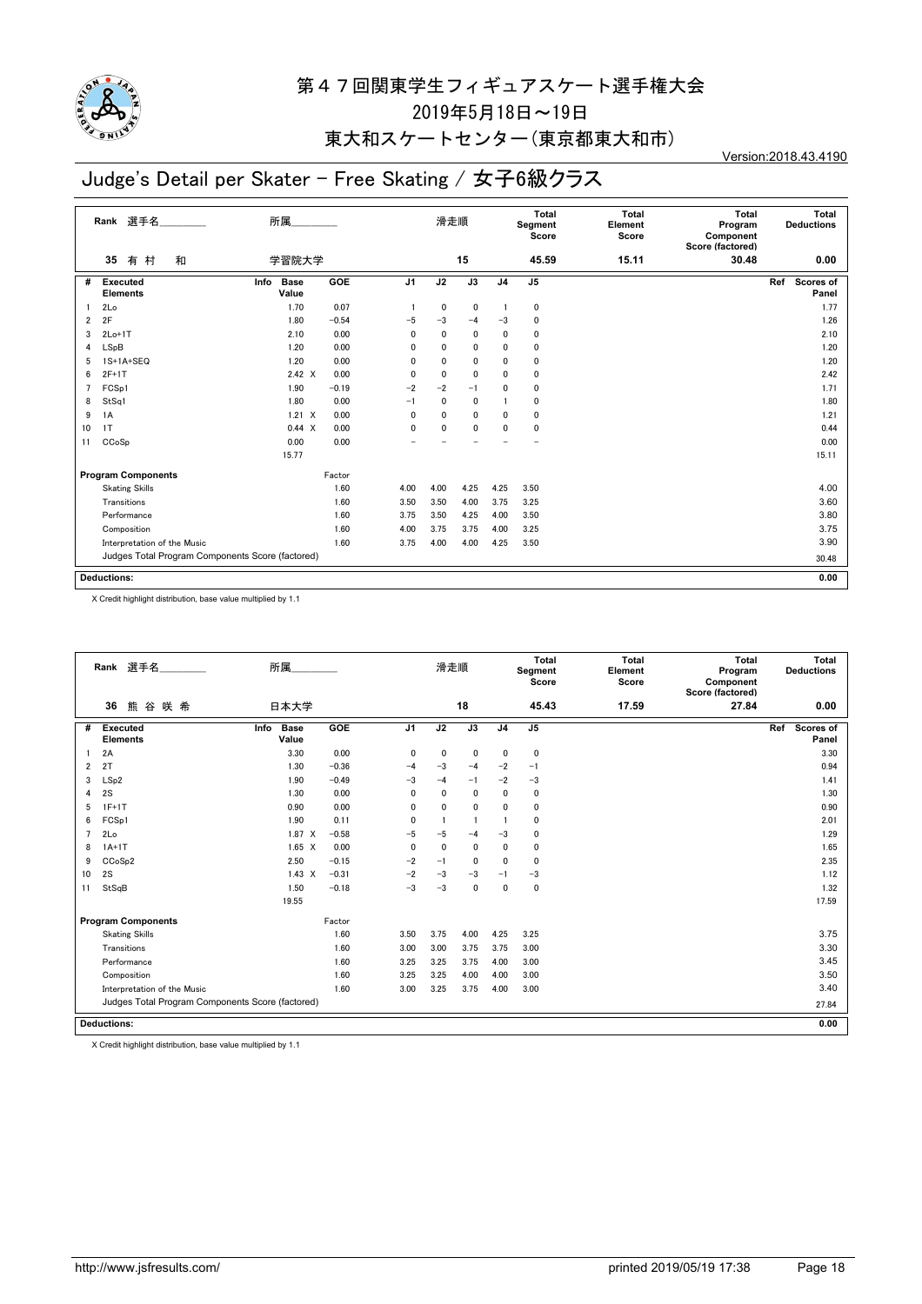

### 東大和スケートセンター(東京都東大和市)

# Judge's Detail per Skater - Free Skating / 女子6級クラス

Version:2018.43.4190

|    | 選手名<br>Rank                                      | 所属                           |            |                | 滑走順          |              |                | <b>Total</b><br>Segment<br>Score | <b>Total</b><br>Element<br>Score | <b>Total</b><br>Program<br>Component<br>Score (factored) | Total<br><b>Deductions</b> |
|----|--------------------------------------------------|------------------------------|------------|----------------|--------------|--------------|----------------|----------------------------------|----------------------------------|----------------------------------------------------------|----------------------------|
|    | 有<br>村<br>和<br>35                                | 学習院大学                        |            |                |              | 15           |                | 45.59                            | 15.11                            | 30.48                                                    | 0.00                       |
| #  | <b>Executed</b><br><b>Elements</b>               | Info<br><b>Base</b><br>Value | <b>GOE</b> | J <sub>1</sub> | J2           | J3           | J <sub>4</sub> | J5                               |                                  |                                                          | Scores of<br>Ref<br>Panel  |
|    | 2Lo                                              | 1.70                         | 0.07       |                | 0            | $\mathbf 0$  | -1             | $\mathbf 0$                      |                                  |                                                          | 1.77                       |
| 2  | 2F                                               | 1.80                         | $-0.54$    | $-5$           | $-3$         | $-4$         | $-3$           | 0                                |                                  |                                                          | 1.26                       |
| 3  | $2Lo+1T$                                         | 2.10                         | 0.00       | 0              | $\mathbf{0}$ | $\mathbf{0}$ | $\mathbf{0}$   | 0                                |                                  |                                                          | 2.10                       |
| 4  | LSpB                                             | 1.20                         | 0.00       | 0              | 0            | $\mathbf{0}$ | $\mathbf{0}$   | $\mathbf 0$                      |                                  |                                                          | 1.20                       |
| 5  | 1S+1A+SEQ                                        | 1.20                         | 0.00       | 0              | 0            | $\mathbf{0}$ | $\mathbf{0}$   | 0                                |                                  |                                                          | 1.20                       |
| 6  | $2F+1T$                                          | $2.42 \times$                | 0.00       | 0              | 0            | $\mathbf{0}$ | $\mathbf{0}$   | 0                                |                                  |                                                          | 2.42                       |
| 7  | FCSp1                                            | 1.90                         | $-0.19$    | $-2$           | $-2$         | $-1$         | 0              | 0                                |                                  |                                                          | 1.71                       |
| 8  | StSq1                                            | 1.80                         | 0.00       | $-1$           | 0            | $\mathbf{0}$ |                | $\mathbf{0}$                     |                                  |                                                          | 1.80                       |
| 9  | 1A                                               | $1.21 \times$                | 0.00       | 0              | 0            | $\mathbf{0}$ | $\mathbf{0}$   | 0                                |                                  |                                                          | 1.21                       |
| 10 | 1T                                               | $0.44 \times$                | 0.00       | 0              | 0            | $\mathbf{0}$ | $\mathbf{0}$   | $\mathbf{0}$                     |                                  |                                                          | 0.44                       |
| 11 | CCoSp                                            | 0.00                         | 0.00       |                |              |              |                |                                  |                                  |                                                          | 0.00                       |
|    |                                                  | 15.77                        |            |                |              |              |                |                                  |                                  |                                                          | 15.11                      |
|    | <b>Program Components</b>                        |                              | Factor     |                |              |              |                |                                  |                                  |                                                          |                            |
|    | <b>Skating Skills</b>                            |                              | 1.60       | 4.00           | 4.00         | 4.25         | 4.25           | 3.50                             |                                  |                                                          | 4.00                       |
|    | Transitions                                      |                              | 1.60       | 3.50           | 3.50         | 4.00         | 3.75           | 3.25                             |                                  |                                                          | 3.60                       |
|    | Performance                                      |                              | 1.60       | 3.75           | 3.50         | 4.25         | 4.00           | 3.50                             |                                  |                                                          | 3.80                       |
|    | Composition                                      |                              | 1.60       | 4.00           | 3.75         | 3.75         | 4.00           | 3.25                             |                                  |                                                          | 3.75                       |
|    | Interpretation of the Music                      |                              | 1.60       | 3.75           | 4.00         | 4.00         | 4.25           | 3.50                             |                                  |                                                          | 3.90                       |
|    | Judges Total Program Components Score (factored) |                              |            |                |              |              |                |                                  |                                  |                                                          | 30.48                      |
|    |                                                  |                              |            |                |              |              |                |                                  |                                  |                                                          |                            |
|    | <b>Deductions:</b>                               |                              |            |                |              |              |                |                                  |                                  |                                                          | 0.00                       |

X Credit highlight distribution, base value multiplied by 1.1

|                | Rank 選手名                                         | 所属________                   |         |                | 滑走順          |              |                | Total<br>Segment<br>Score | <b>Total</b><br>Element<br>Score | Total<br>Program<br>Component<br>Score (factored) | Total<br><b>Deductions</b> |
|----------------|--------------------------------------------------|------------------------------|---------|----------------|--------------|--------------|----------------|---------------------------|----------------------------------|---------------------------------------------------|----------------------------|
|                | 36<br>熊谷咲希                                       | 日本大学                         |         |                |              | 18           |                | 45.43                     | 17.59                            | 27.84                                             | 0.00                       |
| #              | <b>Executed</b><br><b>Elements</b>               | <b>Base</b><br>Info<br>Value | GOE     | J <sub>1</sub> | J2           | J3           | J <sub>4</sub> | J5                        |                                  |                                                   | Ref<br>Scores of<br>Panel  |
|                | 2A                                               | 3.30                         | 0.00    | 0              | 0            | $\mathbf 0$  | 0              | $\mathbf 0$               |                                  |                                                   | 3.30                       |
| 2              | 2T                                               | 1.30                         | $-0.36$ | $-4$           | $-3$         | $-4$         | $-2$           | $-1$                      |                                  |                                                   | 0.94                       |
| 3              | LSp2                                             | 1.90                         | $-0.49$ | $-3$           | $-4$         | $-1$         | $-2$           | $-3$                      |                                  |                                                   | 1.41                       |
| 4              | 2S                                               | 1.30                         | 0.00    | $\mathbf{0}$   | $\mathbf{0}$ | $\mathbf{0}$ | 0              | $\mathbf 0$               |                                  |                                                   | 1.30                       |
| 5              | $1F+1T$                                          | 0.90                         | 0.00    | $\mathbf{0}$   | $\mathbf{0}$ | $\mathbf{0}$ | $\mathbf{0}$   | 0                         |                                  |                                                   | 0.90                       |
| 6              | FCSp1                                            | 1.90                         | 0.11    | $\mathbf{0}$   |              | -1           |                | $\Omega$                  |                                  |                                                   | 2.01                       |
| $\overline{7}$ | 2Lo                                              | 1.87<br>$\times$             | $-0.58$ | $-5$           | $-5$         | $-4$         | $-3$           | $\mathbf 0$               |                                  |                                                   | 1.29                       |
| 8              | $1A+1T$                                          | $1.65 \quad X$               | 0.00    | $\mathbf{0}$   | $\mathbf{0}$ | $\mathbf 0$  | 0              | $\mathbf 0$               |                                  |                                                   | 1.65                       |
| 9              | CCoSp2                                           | 2.50                         | $-0.15$ | $-2$           | $-1$         | $\mathbf 0$  | 0              | $\mathbf 0$               |                                  |                                                   | 2.35                       |
| 10             | 2S                                               | $1.43 \times$                | $-0.31$ | $-2$           | $-3$         | $-3$         | $-1$           | $-3$                      |                                  |                                                   | 1.12                       |
| 11             | StSqB                                            | 1.50                         | $-0.18$ | $-3$           | $-3$         | $\mathbf 0$  | $\mathbf 0$    | $\mathbf 0$               |                                  |                                                   | 1.32                       |
|                |                                                  | 19.55                        |         |                |              |              |                |                           |                                  |                                                   | 17.59                      |
|                | <b>Program Components</b>                        |                              | Factor  |                |              |              |                |                           |                                  |                                                   |                            |
|                | <b>Skating Skills</b>                            |                              | 1.60    | 3.50           | 3.75         | 4.00         | 4.25           | 3.25                      |                                  |                                                   | 3.75                       |
|                | Transitions                                      |                              | 1.60    | 3.00           | 3.00         | 3.75         | 3.75           | 3.00                      |                                  |                                                   | 3.30                       |
|                | Performance                                      |                              | 1.60    | 3.25           | 3.25         | 3.75         | 4.00           | 3.00                      |                                  |                                                   | 3.45                       |
|                | Composition                                      |                              | 1.60    | 3.25           | 3.25         | 4.00         | 4.00           | 3.00                      |                                  |                                                   | 3.50                       |
|                | Interpretation of the Music                      |                              | 1.60    | 3.00           | 3.25         | 3.75         | 4.00           | 3.00                      |                                  |                                                   | 3.40                       |
|                | Judges Total Program Components Score (factored) |                              |         |                |              |              |                |                           |                                  |                                                   | 27.84                      |
|                | <b>Deductions:</b>                               |                              |         |                |              |              |                |                           |                                  |                                                   | 0.00                       |

X Credit highlight distribution, base value multiplied by 1.1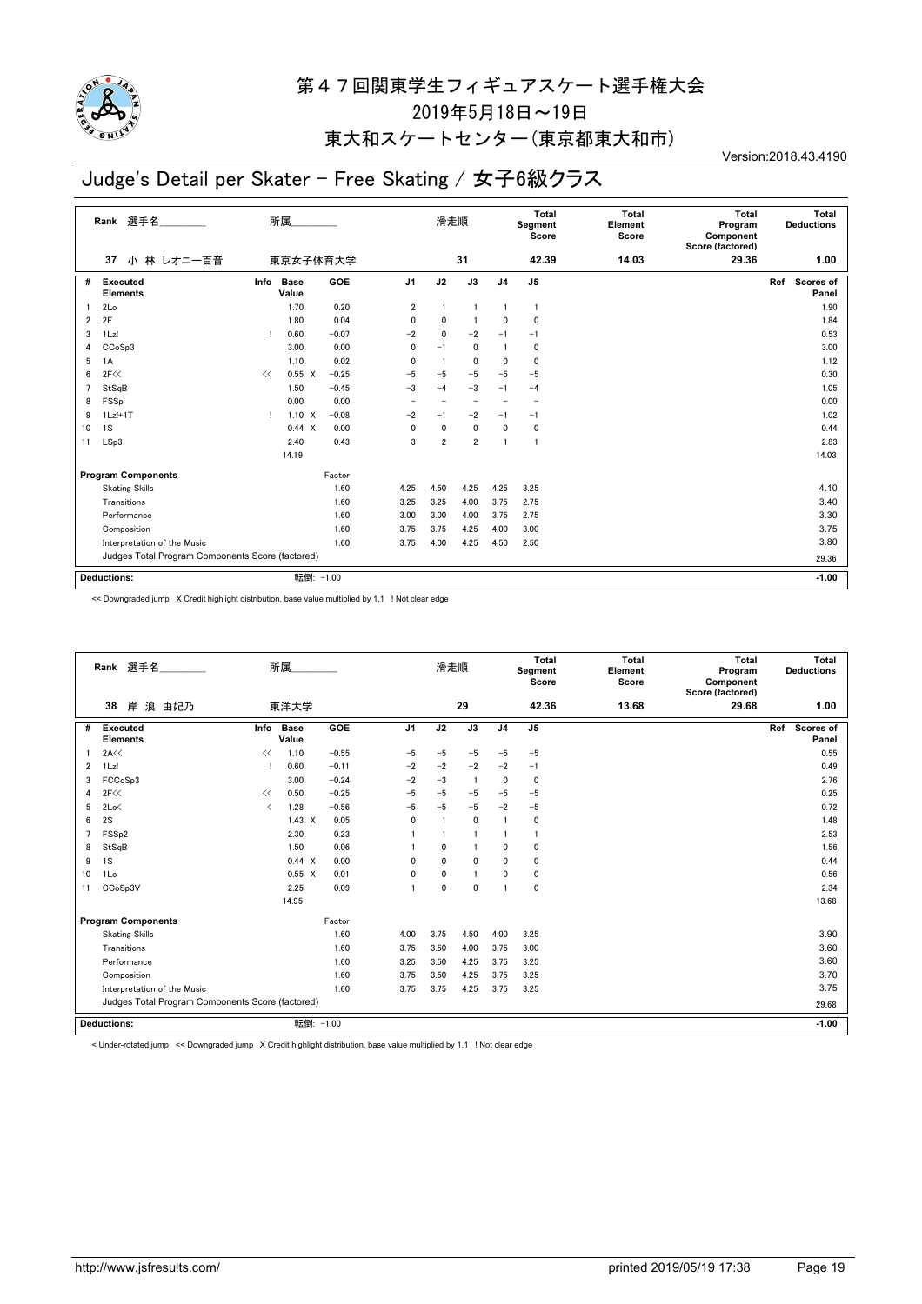

### 東大和スケートセンター(東京都東大和市)

# Judge's Detail per Skater - Free Skating / 女子6級クラス

Version:2018.43.4190

| 選手名<br>Rank                         |                                                  | 所属   |                      |            |                          | 滑走順                      |                          |                | Total<br>Segment<br>Score | <b>Total</b><br>Element<br>Score | Total<br>Program<br>Component<br>Score (factored) | Total<br><b>Deductions</b> |  |
|-------------------------------------|--------------------------------------------------|------|----------------------|------------|--------------------------|--------------------------|--------------------------|----------------|---------------------------|----------------------------------|---------------------------------------------------|----------------------------|--|
|                                     | 小 林 レオニー百音<br>37                                 |      | 東京女子体育大学             |            |                          |                          | 31                       |                | 42.39                     | 14.03                            | 29.36                                             | 1.00                       |  |
| #                                   | <b>Executed</b><br><b>Elements</b>               | Info | <b>Base</b><br>Value | <b>GOE</b> | J <sub>1</sub>           | J2                       | $\overline{J3}$          | J <sub>4</sub> | J <sub>5</sub>            |                                  |                                                   | Ref<br>Scores of<br>Panel  |  |
|                                     | 2Lo                                              |      | 1.70                 | 0.20       | 2                        |                          |                          |                |                           |                                  |                                                   | 1.90                       |  |
| $\overline{2}$                      | 2F                                               |      | 1.80                 | 0.04       | $\mathbf{0}$             | $\mathbf 0$              |                          | 0              | $\mathbf{0}$              |                                  |                                                   | 1.84                       |  |
| 3                                   | 1Lz!                                             | т    | 0.60                 | $-0.07$    | $-2$                     | $\mathbf{0}$             | $-2$                     | $-1$           | $-1$                      |                                  |                                                   | 0.53                       |  |
| 4                                   | CCoSp3                                           |      | 3.00                 | 0.00       | 0                        | $-1$                     | $\mathbf{0}$             |                | $\mathbf{0}$              |                                  |                                                   | 3.00                       |  |
| 5                                   | 1A                                               |      | 1.10                 | 0.02       | $\mathbf{0}$             |                          | 0                        | $\mathbf{0}$   | $\mathbf{0}$              |                                  |                                                   | 1.12                       |  |
| 6                                   | 2F<<                                             | <<   | $0.55 \quad X$       | $-0.25$    | $-5$                     | $-5$                     | $-5$                     | $-5$           | $-5$                      |                                  |                                                   | 0.30                       |  |
| $\overline{7}$                      | StSqB                                            |      | 1.50                 | $-0.45$    | $-3$                     | $-4$                     | $-3$                     | $-1$           | $-4$                      |                                  |                                                   | 1.05                       |  |
| 8                                   | FSSp                                             |      | 0.00                 | 0.00       | $\overline{\phantom{0}}$ | $\overline{\phantom{0}}$ | $\overline{\phantom{0}}$ |                |                           |                                  |                                                   | 0.00                       |  |
| 9                                   | $1Lz!+1T$                                        | Ţ.   | $1.10 \times$        | $-0.08$    | $-2$                     | $-1$                     | $-2$                     | $-1$           | $-1$                      |                                  |                                                   | 1.02                       |  |
| 10                                  | 1S                                               |      | 0.44 X               | 0.00       | 0                        | $\mathbf 0$              | $\mathbf{0}$             | $\mathbf 0$    | 0                         |                                  |                                                   | 0.44                       |  |
| 11                                  | LSp3                                             |      | 2.40                 | 0.43       | 3                        | $\overline{2}$           | $\overline{2}$           |                |                           |                                  |                                                   | 2.83                       |  |
|                                     |                                                  |      | 14.19                |            |                          |                          |                          |                |                           |                                  |                                                   | 14.03                      |  |
| <b>Program Components</b><br>Factor |                                                  |      |                      |            |                          |                          |                          |                |                           |                                  |                                                   |                            |  |
|                                     | <b>Skating Skills</b>                            |      |                      | 1.60       | 4.25                     | 4.50                     | 4.25                     | 4.25           | 3.25                      |                                  |                                                   | 4.10                       |  |
|                                     | Transitions                                      |      |                      | 1.60       | 3.25                     | 3.25                     | 4.00                     | 3.75           | 2.75                      |                                  |                                                   | 3.40                       |  |
|                                     | Performance                                      |      |                      | 1.60       | 3.00                     | 3.00                     | 4.00                     | 3.75           | 2.75                      |                                  |                                                   | 3.30                       |  |
|                                     | Composition                                      |      |                      | 1.60       | 3.75                     | 3.75                     | 4.25                     | 4.00           | 3.00                      |                                  |                                                   | 3.75                       |  |
|                                     | Interpretation of the Music                      |      |                      | 1.60       | 3.75                     | 4.00                     | 4.25                     | 4.50           | 2.50                      |                                  |                                                   | 3.80                       |  |
|                                     | Judges Total Program Components Score (factored) |      |                      |            |                          |                          |                          |                |                           |                                  | 29.36                                             |                            |  |
| 転倒: -1.00<br><b>Deductions:</b>     |                                                  |      |                      |            |                          |                          |                          |                |                           |                                  | $-1.00$                                           |                            |  |

<< Downgraded jump X Credit highlight distribution, base value multiplied by 1.1 ! Not clear edge

|                                     | Rank 選手名                                         | 所属                                       |                      |         |                | 滑走順          |                |                | Total<br>Segment<br>Score | Total<br>Element<br>Score | Total<br>Program<br>Component<br>Score (factored) | Total<br><b>Deductions</b> |
|-------------------------------------|--------------------------------------------------|------------------------------------------|----------------------|---------|----------------|--------------|----------------|----------------|---------------------------|---------------------------|---------------------------------------------------|----------------------------|
|                                     | 38<br>岸<br>浪 由妃乃                                 |                                          | 東洋大学                 |         |                |              | 29             |                | 42.36                     | 13.68                     | 29.68                                             | 1.00                       |
| #                                   | <b>Executed</b><br><b>Elements</b>               | Info                                     | <b>Base</b><br>Value | GOE     | J <sub>1</sub> | J2           | J3             | J <sub>4</sub> | J <sub>5</sub>            |                           |                                                   | Scores of<br>Ref<br>Panel  |
|                                     | 2A<<                                             | <<                                       | 1.10                 | $-0.55$ | $-5$           | $-5$         | $-5$           | $-5$           | $-5$                      |                           |                                                   | 0.55                       |
| 2                                   | $1$ Lz!                                          |                                          | 0.60                 | $-0.11$ | $-2$           | $-2$         | $-2$           | $-2$           | $-1$                      |                           |                                                   | 0.49                       |
| 3                                   | FCCoSp3                                          |                                          | 3.00                 | $-0.24$ | $-2$           | $-3$         | $\overline{1}$ | 0              | $\Omega$                  |                           |                                                   | 2.76                       |
| 4                                   | 2F<<                                             | <<                                       | 0.50                 | $-0.25$ | $-5$           | $-5$         | $-5$           | $-5$           | $-5$                      |                           |                                                   | 0.25                       |
| 5                                   | 2Lo<                                             | $\overline{\left\langle \right\rangle }$ | 1.28                 | $-0.56$ | $-5$           | $-5$         | $-5$           | $-2$           | $-5$                      |                           |                                                   | 0.72                       |
| 6                                   | 2S                                               |                                          | $1.43 \times$        | 0.05    | $\mathbf{0}$   |              | 0              |                | $\mathbf 0$               |                           |                                                   | 1.48                       |
|                                     | FSS <sub>p2</sub>                                |                                          | 2.30                 | 0.23    |                |              | 1              |                | $\mathbf{1}$              |                           |                                                   | 2.53                       |
| 8                                   | StSqB                                            |                                          | 1.50                 | 0.06    |                | $\mathbf{0}$ | 1              | $\mathbf{0}$   | $\mathbf 0$               |                           |                                                   | 1.56                       |
| 9                                   | 1S                                               |                                          | 0.44 X               | 0.00    | $\Omega$       | 0            | $\mathbf{0}$   | 0              | $\mathbf 0$               |                           |                                                   | 0.44                       |
| 10                                  | 1Lo                                              |                                          | $0.55 \quad X$       | 0.01    | $\mathbf{0}$   | 0            | $\blacksquare$ | 0              | $\mathbf 0$               |                           |                                                   | 0.56                       |
| 11                                  | CCoSp3V                                          |                                          | 2.25                 | 0.09    |                | $\mathbf{0}$ | 0              |                | $\Omega$                  |                           |                                                   | 2.34                       |
|                                     |                                                  |                                          | 14.95                |         |                |              |                |                |                           |                           |                                                   | 13.68                      |
| Factor<br><b>Program Components</b> |                                                  |                                          |                      |         |                |              |                |                |                           |                           |                                                   |                            |
|                                     | <b>Skating Skills</b>                            |                                          |                      | 1.60    | 4.00           | 3.75         | 4.50           | 4.00           | 3.25                      |                           |                                                   | 3.90                       |
|                                     | Transitions                                      |                                          |                      | 1.60    | 3.75           | 3.50         | 4.00           | 3.75           | 3.00                      |                           |                                                   | 3.60                       |
|                                     | Performance                                      |                                          |                      | 1.60    | 3.25           | 3.50         | 4.25           | 3.75           | 3.25                      |                           |                                                   | 3.60                       |
|                                     | Composition                                      |                                          |                      | 1.60    | 3.75           | 3.50         | 4.25           | 3.75           | 3.25                      |                           |                                                   | 3.70                       |
|                                     | Interpretation of the Music                      |                                          |                      | 1.60    | 3.75           | 3.75         | 4.25           | 3.75           | 3.25                      |                           |                                                   | 3.75                       |
|                                     | Judges Total Program Components Score (factored) |                                          |                      |         |                |              |                |                |                           |                           | 29.68                                             |                            |
| 転倒: -1.00<br><b>Deductions:</b>     |                                                  |                                          |                      |         |                |              |                |                |                           |                           |                                                   | $-1.00$                    |

< Under-rotated jump << Downgraded jump X Credit highlight distribution, base value multiplied by 1.1 ! Not clear edge